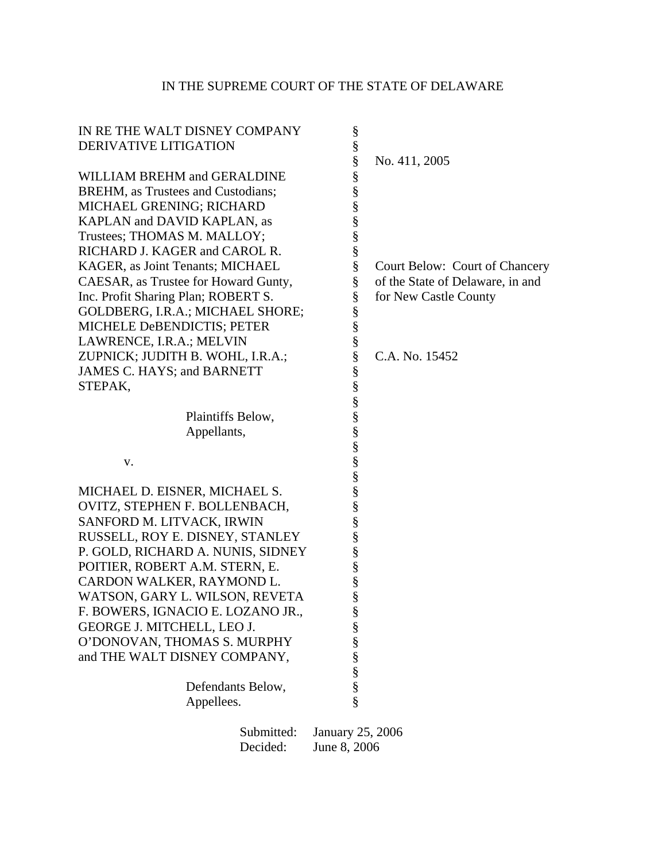## IN THE SUPREME COURT OF THE STATE OF DELAWARE

| IN RE THE WALT DISNEY COMPANY        | §                                     |
|--------------------------------------|---------------------------------------|
| <b>DERIVATIVE LITIGATION</b>         | §                                     |
|                                      | §<br>No. 411, 2005                    |
| WILLIAM BREHM and GERALDINE          | §                                     |
| BREHM, as Trustees and Custodians;   | §                                     |
| MICHAEL GRENING; RICHARD             | §                                     |
| KAPLAN and DAVID KAPLAN, as          |                                       |
| Trustees; THOMAS M. MALLOY;          | §<br>§                                |
| RICHARD J. KAGER and CAROL R.        | §                                     |
| KAGER, as Joint Tenants; MICHAEL     | §<br>Court Below: Court of Chancery   |
| CAESAR, as Trustee for Howard Gunty, | §<br>of the State of Delaware, in and |
|                                      |                                       |
| Inc. Profit Sharing Plan; ROBERT S.  | ş<br>for New Castle County            |
| GOLDBERG, I.R.A.; MICHAEL SHORE;     | §                                     |
| MICHELE DeBENDICTIS; PETER           | §                                     |
| LAWRENCE, I.R.A.; MELVIN             | §                                     |
| ZUPNICK; JUDITH B. WOHL, I.R.A.;     | §<br>C.A. No. 15452                   |
| JAMES C. HAYS; and BARNETT           | §                                     |
| STEPAK,                              |                                       |
|                                      |                                       |
| Plaintiffs Below,                    |                                       |
| Appellants,                          |                                       |
|                                      | es es es es es es es es es            |
| V.                                   |                                       |
|                                      |                                       |
| MICHAEL D. EISNER, MICHAEL S.        |                                       |
| OVITZ, STEPHEN F. BOLLENBACH,        | §                                     |
| SANFORD M. LITVACK, IRWIN            | §                                     |
| RUSSELL, ROY E. DISNEY, STANLEY      | §                                     |
| P. GOLD, RICHARD A. NUNIS, SIDNEY    | §                                     |
| POITIER, ROBERT A.M. STERN, E.       | §                                     |
| CARDON WALKER, RAYMOND L.            | §                                     |
| WATSON, GARY L. WILSON, REVETA       | §                                     |
| F. BOWERS, IGNACIO E. LOZANO JR.,    |                                       |
| GEORGE J. MITCHELL, LEO J.           |                                       |
| O'DONOVAN, THOMAS S. MURPHY          |                                       |
| and THE WALT DISNEY COMPANY,         |                                       |
|                                      |                                       |
| Defendants Below,                    | So so so so so so so                  |
| Appellees.                           |                                       |
|                                      |                                       |
| Submitted:                           | January 25, 2006                      |
| Decided:                             | June 8, 2006                          |
|                                      |                                       |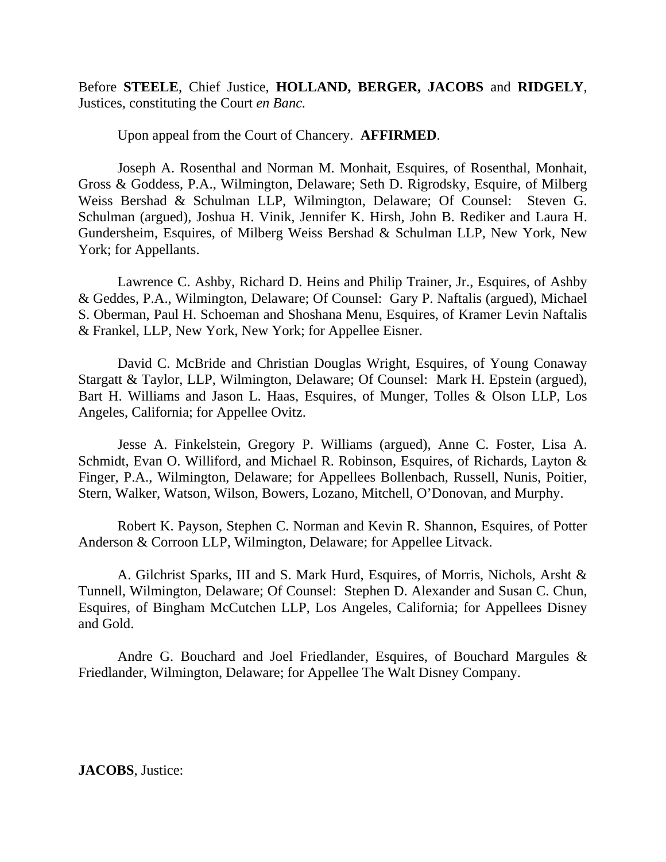Before **STEELE**, Chief Justice, **HOLLAND, BERGER, JACOBS** and **RIDGELY**, Justices, constituting the Court *en Banc.*

Upon appeal from the Court of Chancery. **AFFIRMED**.

 Joseph A. Rosenthal and Norman M. Monhait, Esquires, of Rosenthal, Monhait, Gross & Goddess, P.A., Wilmington, Delaware; Seth D. Rigrodsky, Esquire, of Milberg Weiss Bershad & Schulman LLP, Wilmington, Delaware; Of Counsel: Steven G. Schulman (argued), Joshua H. Vinik, Jennifer K. Hirsh, John B. Rediker and Laura H. Gundersheim, Esquires, of Milberg Weiss Bershad & Schulman LLP, New York, New York; for Appellants.

 Lawrence C. Ashby, Richard D. Heins and Philip Trainer, Jr., Esquires, of Ashby & Geddes, P.A., Wilmington, Delaware; Of Counsel: Gary P. Naftalis (argued), Michael S. Oberman, Paul H. Schoeman and Shoshana Menu, Esquires, of Kramer Levin Naftalis & Frankel, LLP, New York, New York; for Appellee Eisner.

 David C. McBride and Christian Douglas Wright, Esquires, of Young Conaway Stargatt & Taylor, LLP, Wilmington, Delaware; Of Counsel: Mark H. Epstein (argued), Bart H. Williams and Jason L. Haas, Esquires, of Munger, Tolles & Olson LLP, Los Angeles, California; for Appellee Ovitz.

 Jesse A. Finkelstein, Gregory P. Williams (argued), Anne C. Foster, Lisa A. Schmidt, Evan O. Williford, and Michael R. Robinson, Esquires, of Richards, Layton & Finger, P.A., Wilmington, Delaware; for Appellees Bollenbach, Russell, Nunis, Poitier, Stern, Walker, Watson, Wilson, Bowers, Lozano, Mitchell, O'Donovan, and Murphy.

 Robert K. Payson, Stephen C. Norman and Kevin R. Shannon, Esquires, of Potter Anderson & Corroon LLP, Wilmington, Delaware; for Appellee Litvack.

 A. Gilchrist Sparks, III and S. Mark Hurd, Esquires, of Morris, Nichols, Arsht & Tunnell, Wilmington, Delaware; Of Counsel: Stephen D. Alexander and Susan C. Chun, Esquires, of Bingham McCutchen LLP, Los Angeles, California; for Appellees Disney and Gold.

 Andre G. Bouchard and Joel Friedlander, Esquires, of Bouchard Margules & Friedlander, Wilmington, Delaware; for Appellee The Walt Disney Company.

**JACOBS**, Justice: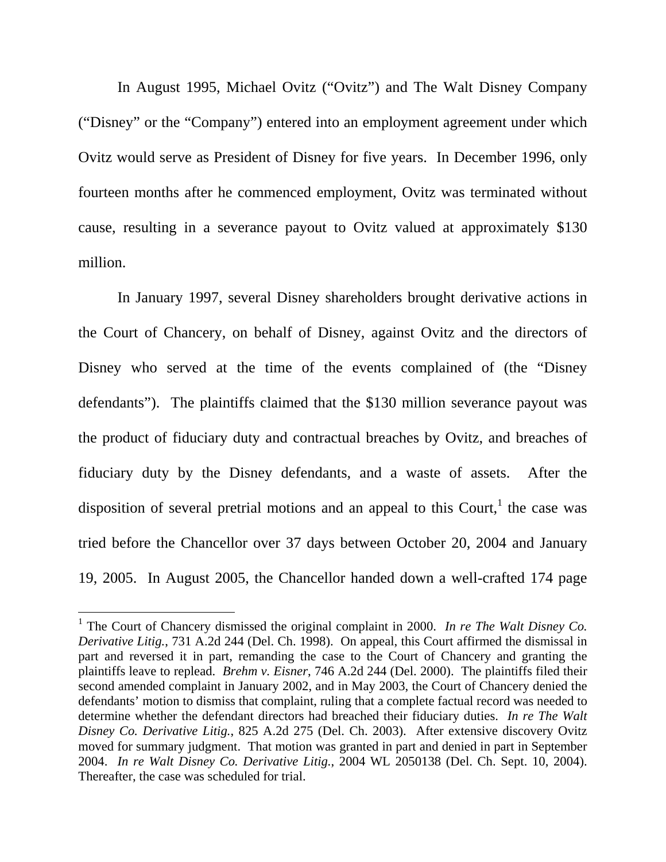In August 1995, Michael Ovitz ("Ovitz") and The Walt Disney Company ("Disney" or the "Company") entered into an employment agreement under which Ovitz would serve as President of Disney for five years. In December 1996, only fourteen months after he commenced employment, Ovitz was terminated without cause, resulting in a severance payout to Ovitz valued at approximately \$130 million.

 In January 1997, several Disney shareholders brought derivative actions in the Court of Chancery, on behalf of Disney, against Ovitz and the directors of Disney who served at the time of the events complained of (the "Disney defendants"). The plaintiffs claimed that the \$130 million severance payout was the product of fiduciary duty and contractual breaches by Ovitz, and breaches of fiduciary duty by the Disney defendants, and a waste of assets. After the disposition of several pretrial motions and an appeal to this Court,  $\mu$  the case was tried before the Chancellor over 37 days between October 20, 2004 and January 19, 2005. In August 2005, the Chancellor handed down a well-crafted 174 page

 1 The Court of Chancery dismissed the original complaint in 2000. *In re The Walt Disney Co. Derivative Litig.*, 731 A.2d 244 (Del. Ch. 1998). On appeal, this Court affirmed the dismissal in part and reversed it in part, remanding the case to the Court of Chancery and granting the plaintiffs leave to replead. *Brehm v. Eisner*, 746 A.2d 244 (Del. 2000). The plaintiffs filed their second amended complaint in January 2002, and in May 2003, the Court of Chancery denied the defendants' motion to dismiss that complaint, ruling that a complete factual record was needed to determine whether the defendant directors had breached their fiduciary duties. *In re The Walt Disney Co. Derivative Litig.*, 825 A.2d 275 (Del. Ch. 2003). After extensive discovery Ovitz moved for summary judgment. That motion was granted in part and denied in part in September 2004. *In re Walt Disney Co. Derivative Litig.*, 2004 WL 2050138 (Del. Ch. Sept. 10, 2004). Thereafter, the case was scheduled for trial.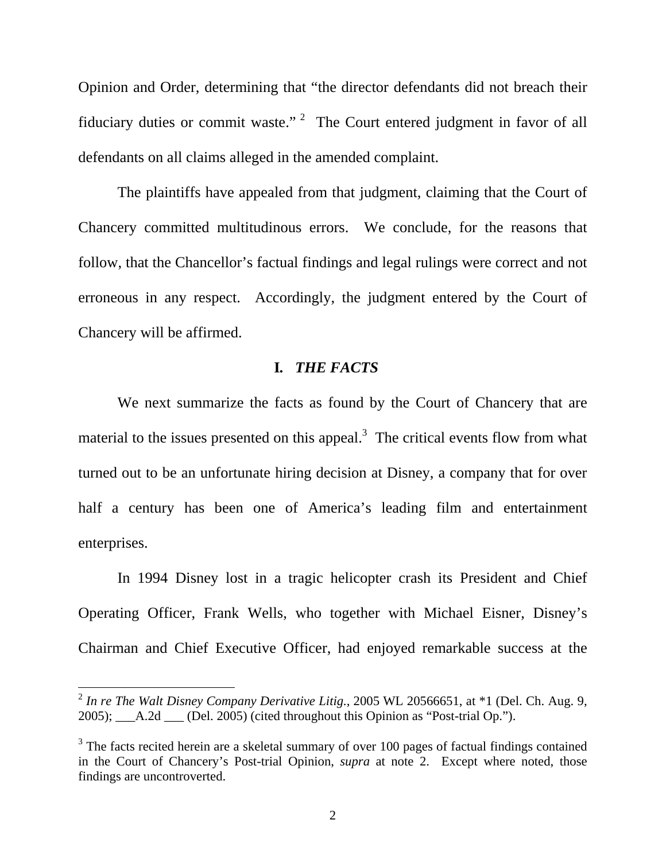Opinion and Order, determining that "the director defendants did not breach their fiduciary duties or commit waste." <sup>2</sup> The Court entered judgment in favor of all defendants on all claims alleged in the amended complaint.

 The plaintiffs have appealed from that judgment, claiming that the Court of Chancery committed multitudinous errors. We conclude, for the reasons that follow, that the Chancellor's factual findings and legal rulings were correct and not erroneous in any respect. Accordingly, the judgment entered by the Court of Chancery will be affirmed.

### **I***. THE FACTS*

We next summarize the facts as found by the Court of Chancery that are material to the issues presented on this appeal.<sup>3</sup> The critical events flow from what turned out to be an unfortunate hiring decision at Disney, a company that for over half a century has been one of America's leading film and entertainment enterprises.

In 1994 Disney lost in a tragic helicopter crash its President and Chief Operating Officer, Frank Wells, who together with Michael Eisner, Disney's Chairman and Chief Executive Officer, had enjoyed remarkable success at the

<sup>2</sup> *In re The Walt Disney Company Derivative Litig.*, 2005 WL 20566651, at \*1 (Del. Ch. Aug. 9, 2005); \_\_\_A.2d \_\_\_ (Del. 2005) (cited throughout this Opinion as "Post-trial Op.").

 $3$  The facts recited herein are a skeletal summary of over 100 pages of factual findings contained in the Court of Chancery's Post-trial Opinion, *supra* at note 2. Except where noted, those findings are uncontroverted.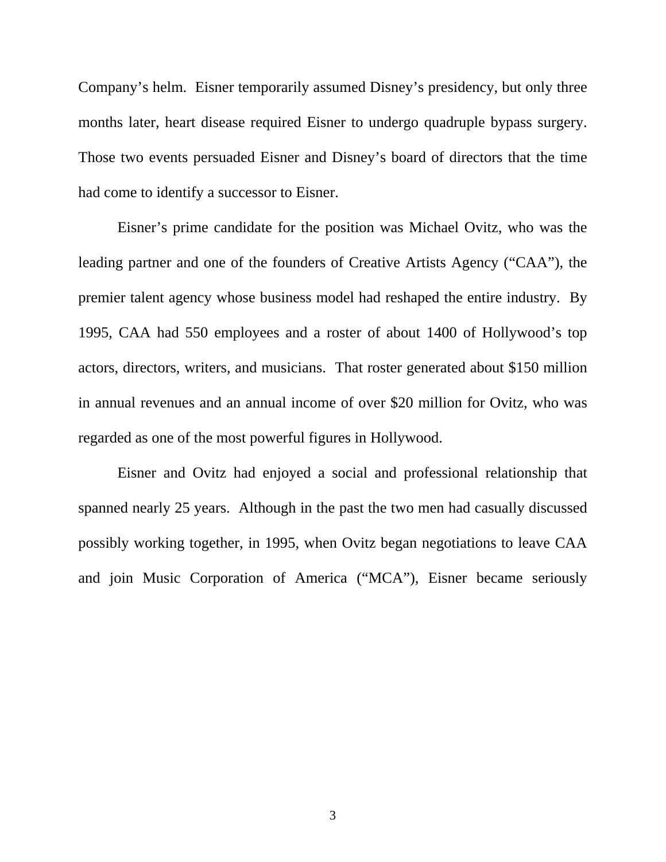Company's helm. Eisner temporarily assumed Disney's presidency, but only three months later, heart disease required Eisner to undergo quadruple bypass surgery. Those two events persuaded Eisner and Disney's board of directors that the time had come to identify a successor to Eisner.

Eisner's prime candidate for the position was Michael Ovitz, who was the leading partner and one of the founders of Creative Artists Agency ("CAA"), the premier talent agency whose business model had reshaped the entire industry. By 1995, CAA had 550 employees and a roster of about 1400 of Hollywood's top actors, directors, writers, and musicians. That roster generated about \$150 million in annual revenues and an annual income of over \$20 million for Ovitz, who was regarded as one of the most powerful figures in Hollywood.

Eisner and Ovitz had enjoyed a social and professional relationship that spanned nearly 25 years. Although in the past the two men had casually discussed possibly working together, in 1995, when Ovitz began negotiations to leave CAA and join Music Corporation of America ("MCA"), Eisner became seriously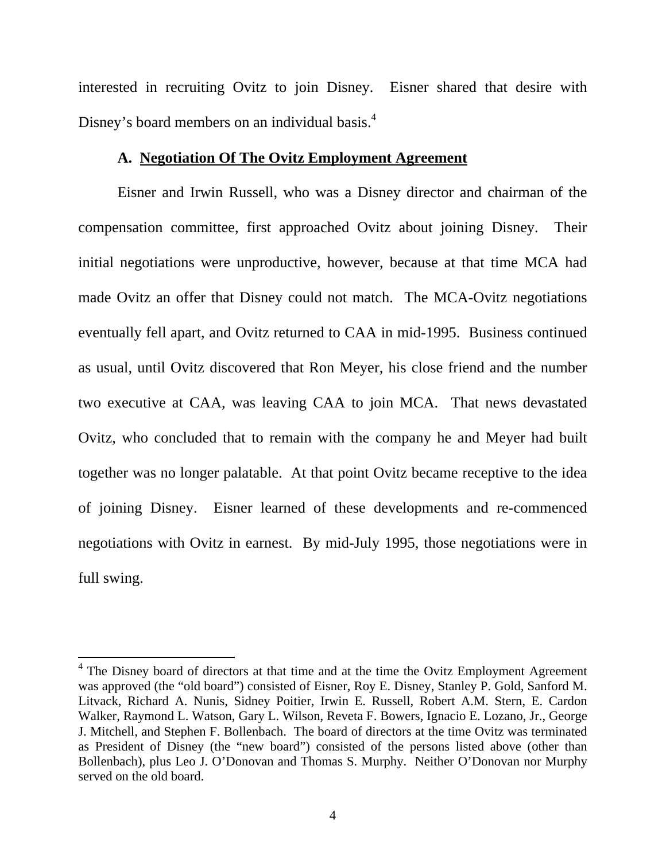interested in recruiting Ovitz to join Disney. Eisner shared that desire with Disney's board members on an individual basis. $4$ 

#### **A. Negotiation Of The Ovitz Employment Agreement**

Eisner and Irwin Russell, who was a Disney director and chairman of the compensation committee, first approached Ovitz about joining Disney. Their initial negotiations were unproductive, however, because at that time MCA had made Ovitz an offer that Disney could not match. The MCA-Ovitz negotiations eventually fell apart, and Ovitz returned to CAA in mid-1995. Business continued as usual, until Ovitz discovered that Ron Meyer, his close friend and the number two executive at CAA, was leaving CAA to join MCA. That news devastated Ovitz, who concluded that to remain with the company he and Meyer had built together was no longer palatable. At that point Ovitz became receptive to the idea of joining Disney. Eisner learned of these developments and re-commenced negotiations with Ovitz in earnest. By mid-July 1995, those negotiations were in full swing.

<sup>&</sup>lt;sup>4</sup> The Disney board of directors at that time and at the time the Ovitz Employment Agreement was approved (the "old board") consisted of Eisner, Roy E. Disney, Stanley P. Gold, Sanford M. Litvack, Richard A. Nunis, Sidney Poitier, Irwin E. Russell, Robert A.M. Stern, E. Cardon Walker, Raymond L. Watson, Gary L. Wilson, Reveta F. Bowers, Ignacio E. Lozano, Jr., George J. Mitchell, and Stephen F. Bollenbach. The board of directors at the time Ovitz was terminated as President of Disney (the "new board") consisted of the persons listed above (other than Bollenbach), plus Leo J. O'Donovan and Thomas S. Murphy. Neither O'Donovan nor Murphy served on the old board.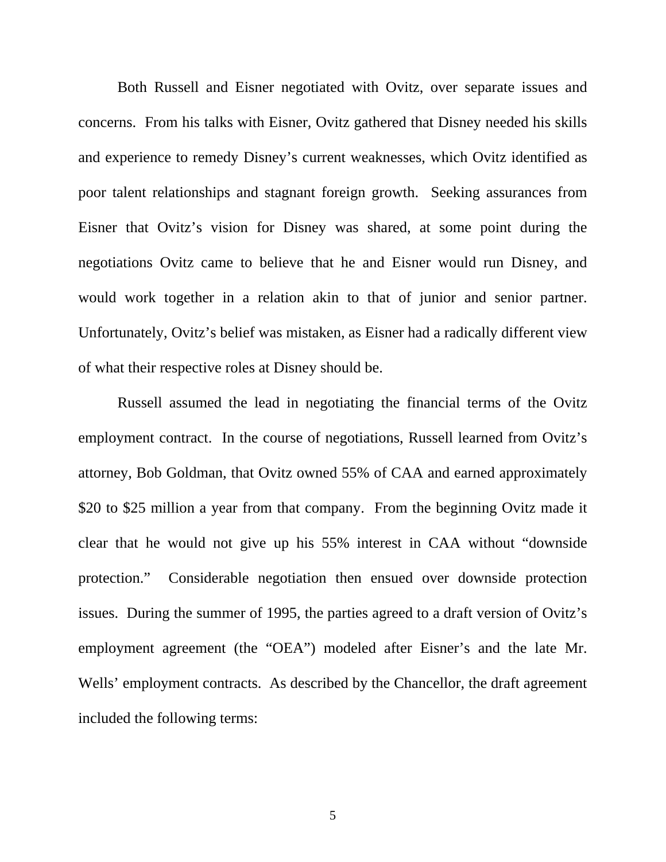Both Russell and Eisner negotiated with Ovitz, over separate issues and concerns. From his talks with Eisner, Ovitz gathered that Disney needed his skills and experience to remedy Disney's current weaknesses, which Ovitz identified as poor talent relationships and stagnant foreign growth. Seeking assurances from Eisner that Ovitz's vision for Disney was shared, at some point during the negotiations Ovitz came to believe that he and Eisner would run Disney, and would work together in a relation akin to that of junior and senior partner. Unfortunately, Ovitz's belief was mistaken, as Eisner had a radically different view of what their respective roles at Disney should be.

Russell assumed the lead in negotiating the financial terms of the Ovitz employment contract. In the course of negotiations, Russell learned from Ovitz's attorney, Bob Goldman, that Ovitz owned 55% of CAA and earned approximately \$20 to \$25 million a year from that company. From the beginning Ovitz made it clear that he would not give up his 55% interest in CAA without "downside protection." Considerable negotiation then ensued over downside protection issues. During the summer of 1995, the parties agreed to a draft version of Ovitz's employment agreement (the "OEA") modeled after Eisner's and the late Mr. Wells' employment contracts. As described by the Chancellor, the draft agreement included the following terms: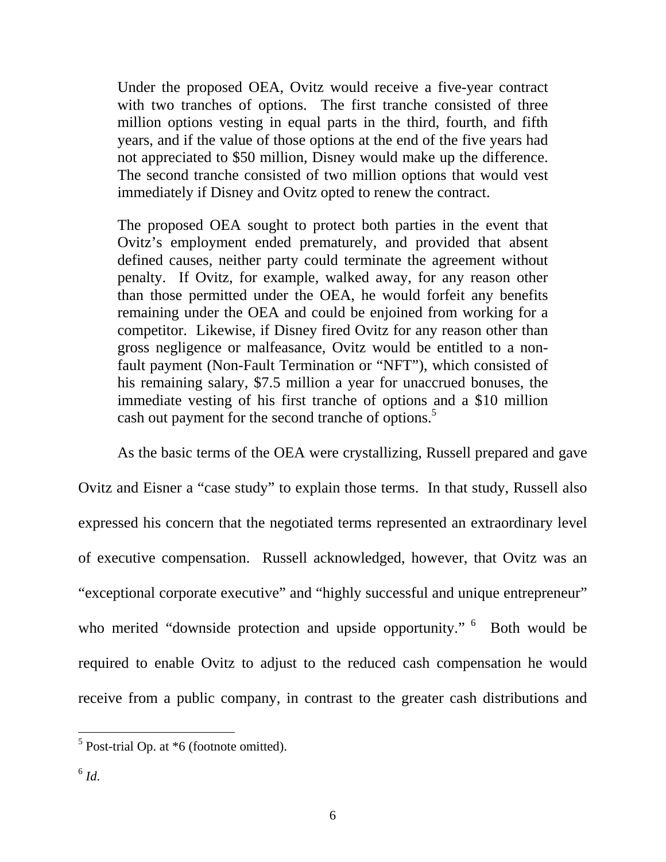Under the proposed OEA, Ovitz would receive a five-year contract with two tranches of options. The first tranche consisted of three million options vesting in equal parts in the third, fourth, and fifth years, and if the value of those options at the end of the five years had not appreciated to \$50 million, Disney would make up the difference. The second tranche consisted of two million options that would vest immediately if Disney and Ovitz opted to renew the contract.

The proposed OEA sought to protect both parties in the event that Ovitz's employment ended prematurely, and provided that absent defined causes, neither party could terminate the agreement without penalty. If Ovitz, for example, walked away, for any reason other than those permitted under the OEA, he would forfeit any benefits remaining under the OEA and could be enjoined from working for a competitor. Likewise, if Disney fired Ovitz for any reason other than gross negligence or malfeasance, Ovitz would be entitled to a nonfault payment (Non-Fault Termination or "NFT"), which consisted of his remaining salary, \$7.5 million a year for unaccrued bonuses, the immediate vesting of his first tranche of options and a \$10 million cash out payment for the second tranche of options.<sup>5</sup>

 As the basic terms of the OEA were crystallizing, Russell prepared and gave Ovitz and Eisner a "case study" to explain those terms. In that study, Russell also expressed his concern that the negotiated terms represented an extraordinary level of executive compensation. Russell acknowledged, however, that Ovitz was an "exceptional corporate executive" and "highly successful and unique entrepreneur" who merited "downside protection and upside opportunity." <sup>6</sup> Both would be required to enable Ovitz to adjust to the reduced cash compensation he would receive from a public company, in contrast to the greater cash distributions and

 5 Post-trial Op. at \*6 (footnote omitted).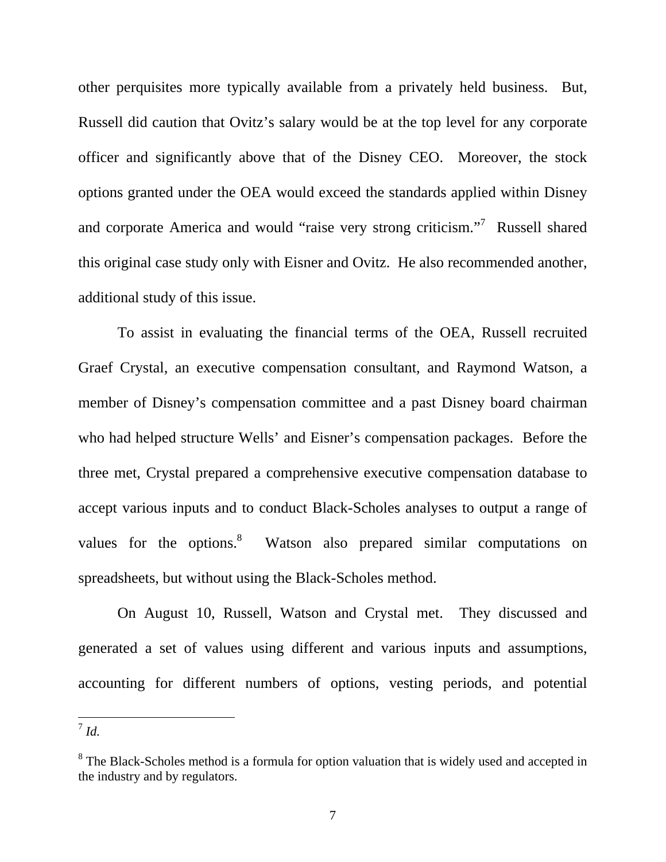other perquisites more typically available from a privately held business. But, Russell did caution that Ovitz's salary would be at the top level for any corporate officer and significantly above that of the Disney CEO. Moreover, the stock options granted under the OEA would exceed the standards applied within Disney and corporate America and would "raise very strong criticism."<sup>7</sup> Russell shared this original case study only with Eisner and Ovitz. He also recommended another, additional study of this issue.

 To assist in evaluating the financial terms of the OEA, Russell recruited Graef Crystal, an executive compensation consultant, and Raymond Watson, a member of Disney's compensation committee and a past Disney board chairman who had helped structure Wells' and Eisner's compensation packages. Before the three met, Crystal prepared a comprehensive executive compensation database to accept various inputs and to conduct Black-Scholes analyses to output a range of values for the options.<sup>8</sup> Watson also prepared similar computations on spreadsheets, but without using the Black-Scholes method.

On August 10, Russell, Watson and Crystal met. They discussed and generated a set of values using different and various inputs and assumptions, accounting for different numbers of options, vesting periods, and potential

 $^7$  *Id.* 

<sup>&</sup>lt;sup>8</sup> The Black-Scholes method is a formula for option valuation that is widely used and accepted in the industry and by regulators.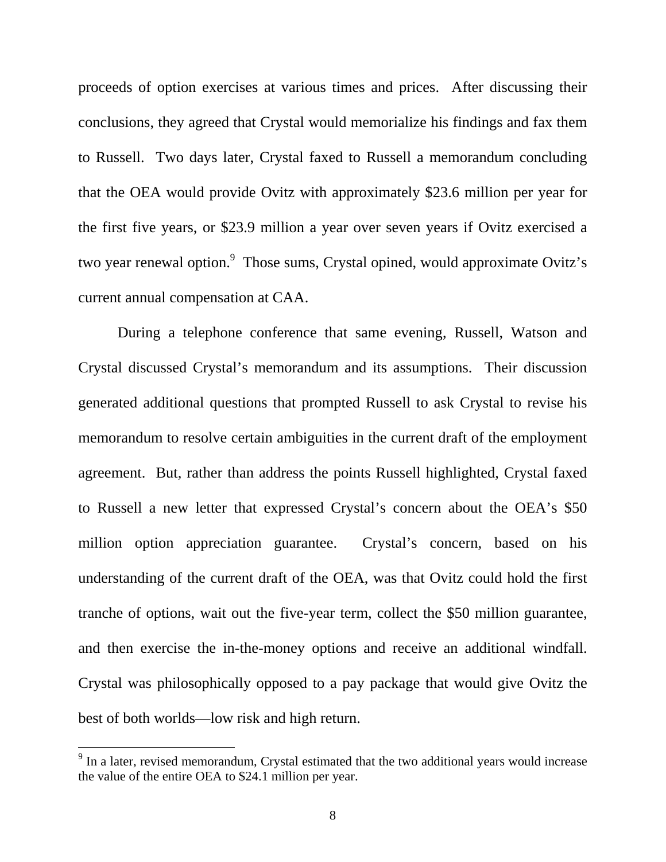proceeds of option exercises at various times and prices. After discussing their conclusions, they agreed that Crystal would memorialize his findings and fax them to Russell. Two days later, Crystal faxed to Russell a memorandum concluding that the OEA would provide Ovitz with approximately \$23.6 million per year for the first five years, or \$23.9 million a year over seven years if Ovitz exercised a two year renewal option. Those sums, Crystal opined, would approximate Ovitz's current annual compensation at CAA.

During a telephone conference that same evening, Russell, Watson and Crystal discussed Crystal's memorandum and its assumptions. Their discussion generated additional questions that prompted Russell to ask Crystal to revise his memorandum to resolve certain ambiguities in the current draft of the employment agreement. But, rather than address the points Russell highlighted, Crystal faxed to Russell a new letter that expressed Crystal's concern about the OEA's \$50 million option appreciation guarantee. Crystal's concern, based on his understanding of the current draft of the OEA, was that Ovitz could hold the first tranche of options, wait out the five-year term, collect the \$50 million guarantee, and then exercise the in-the-money options and receive an additional windfall. Crystal was philosophically opposed to a pay package that would give Ovitz the best of both worlds—low risk and high return.

<sup>&</sup>lt;sup>9</sup> In a later, revised memorandum, Crystal estimated that the two additional years would increase the value of the entire OEA to \$24.1 million per year.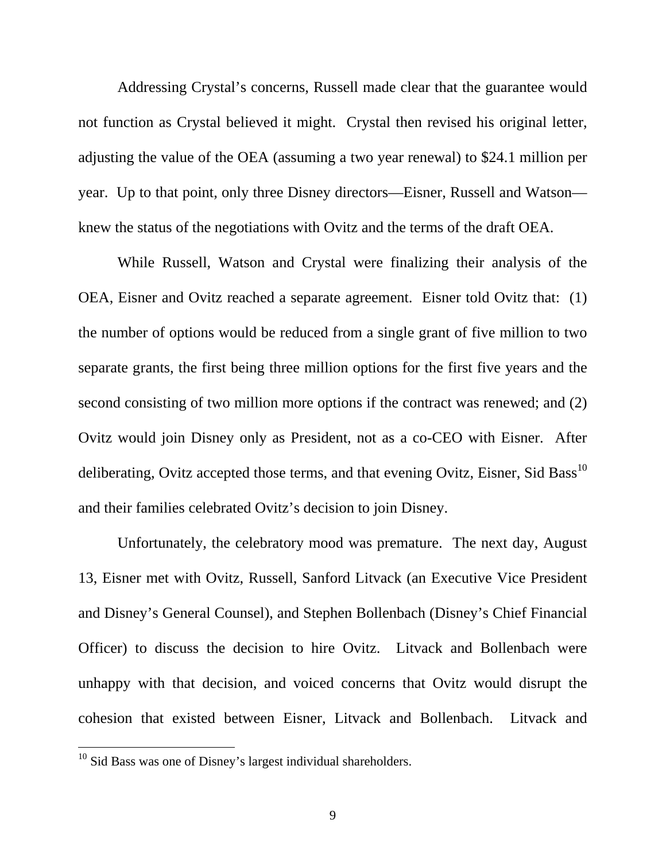Addressing Crystal's concerns, Russell made clear that the guarantee would not function as Crystal believed it might. Crystal then revised his original letter, adjusting the value of the OEA (assuming a two year renewal) to \$24.1 million per year. Up to that point, only three Disney directors—Eisner, Russell and Watson knew the status of the negotiations with Ovitz and the terms of the draft OEA.

While Russell, Watson and Crystal were finalizing their analysis of the OEA, Eisner and Ovitz reached a separate agreement. Eisner told Ovitz that: (1) the number of options would be reduced from a single grant of five million to two separate grants, the first being three million options for the first five years and the second consisting of two million more options if the contract was renewed; and (2) Ovitz would join Disney only as President, not as a co-CEO with Eisner. After deliberating, Ovitz accepted those terms, and that evening Ovitz, Eisner, Sid Bass<sup>10</sup> and their families celebrated Ovitz's decision to join Disney.

Unfortunately, the celebratory mood was premature. The next day, August 13, Eisner met with Ovitz, Russell, Sanford Litvack (an Executive Vice President and Disney's General Counsel), and Stephen Bollenbach (Disney's Chief Financial Officer) to discuss the decision to hire Ovitz. Litvack and Bollenbach were unhappy with that decision, and voiced concerns that Ovitz would disrupt the cohesion that existed between Eisner, Litvack and Bollenbach. Litvack and

 $10$  Sid Bass was one of Disney's largest individual shareholders.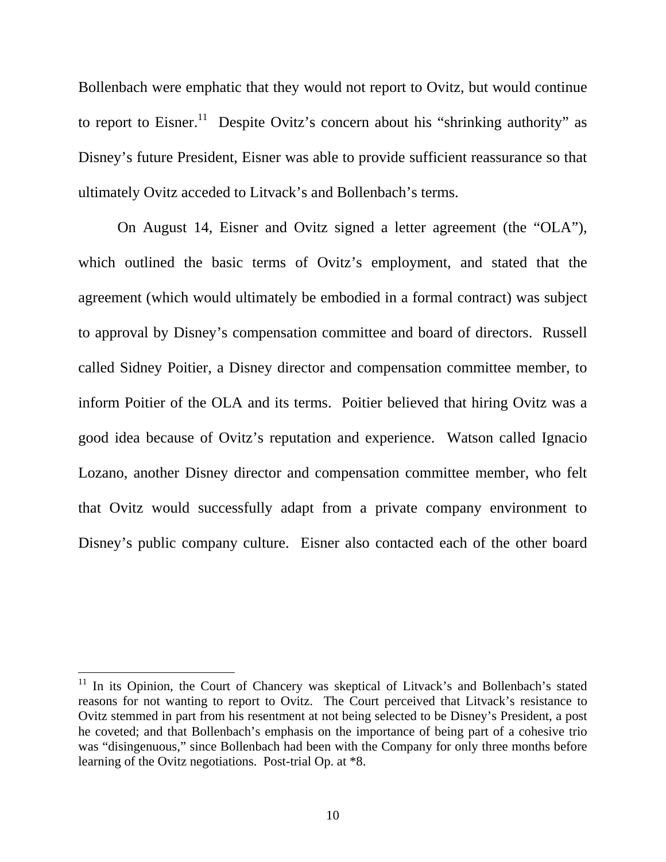Bollenbach were emphatic that they would not report to Ovitz, but would continue to report to Eisner.<sup>11</sup> Despite Ovitz's concern about his "shrinking authority" as Disney's future President, Eisner was able to provide sufficient reassurance so that ultimately Ovitz acceded to Litvack's and Bollenbach's terms.

On August 14, Eisner and Ovitz signed a letter agreement (the "OLA"), which outlined the basic terms of Ovitz's employment, and stated that the agreement (which would ultimately be embodied in a formal contract) was subject to approval by Disney's compensation committee and board of directors. Russell called Sidney Poitier, a Disney director and compensation committee member, to inform Poitier of the OLA and its terms. Poitier believed that hiring Ovitz was a good idea because of Ovitz's reputation and experience. Watson called Ignacio Lozano, another Disney director and compensation committee member, who felt that Ovitz would successfully adapt from a private company environment to Disney's public company culture. Eisner also contacted each of the other board

 $11$  In its Opinion, the Court of Chancery was skeptical of Litvack's and Bollenbach's stated reasons for not wanting to report to Ovitz. The Court perceived that Litvack's resistance to Ovitz stemmed in part from his resentment at not being selected to be Disney's President, a post he coveted; and that Bollenbach's emphasis on the importance of being part of a cohesive trio was "disingenuous," since Bollenbach had been with the Company for only three months before learning of the Ovitz negotiations. Post-trial Op. at \*8.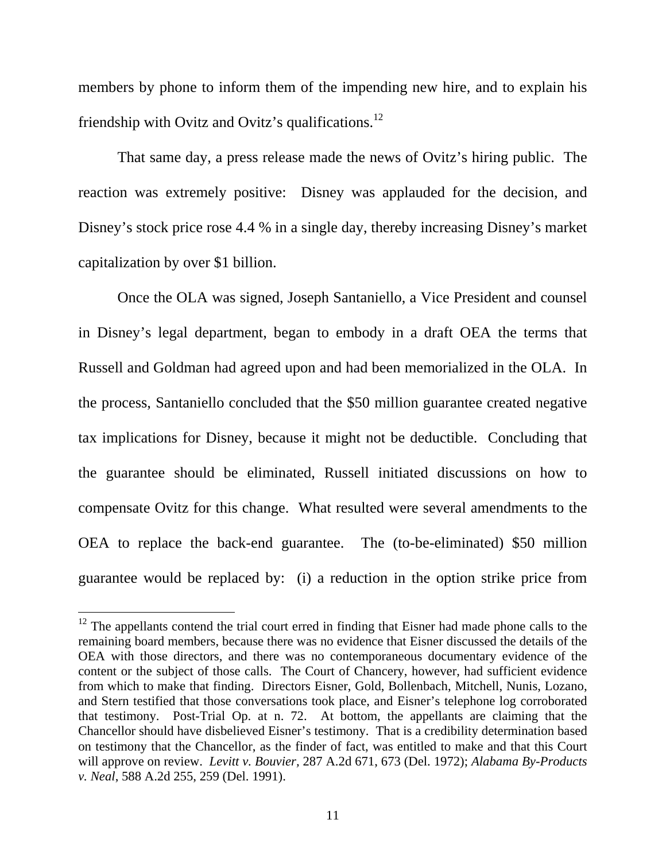members by phone to inform them of the impending new hire, and to explain his friendship with Ovitz and Ovitz's qualifications.<sup>12</sup>

That same day, a press release made the news of Ovitz's hiring public. The reaction was extremely positive: Disney was applauded for the decision, and Disney's stock price rose 4.4 % in a single day, thereby increasing Disney's market capitalization by over \$1 billion.

Once the OLA was signed, Joseph Santaniello, a Vice President and counsel in Disney's legal department, began to embody in a draft OEA the terms that Russell and Goldman had agreed upon and had been memorialized in the OLA. In the process, Santaniello concluded that the \$50 million guarantee created negative tax implications for Disney, because it might not be deductible. Concluding that the guarantee should be eliminated, Russell initiated discussions on how to compensate Ovitz for this change. What resulted were several amendments to the OEA to replace the back-end guarantee. The (to-be-eliminated) \$50 million guarantee would be replaced by: (i) a reduction in the option strike price from

 $12$  The appellants contend the trial court erred in finding that Eisner had made phone calls to the remaining board members, because there was no evidence that Eisner discussed the details of the OEA with those directors, and there was no contemporaneous documentary evidence of the content or the subject of those calls. The Court of Chancery, however, had sufficient evidence from which to make that finding. Directors Eisner, Gold, Bollenbach, Mitchell, Nunis, Lozano, and Stern testified that those conversations took place, and Eisner's telephone log corroborated that testimony. Post-Trial Op. at n. 72. At bottom, the appellants are claiming that the Chancellor should have disbelieved Eisner's testimony. That is a credibility determination based on testimony that the Chancellor, as the finder of fact, was entitled to make and that this Court will approve on review. *Levitt v. Bouvier,* 287 A.2d 671, 673 (Del. 1972); *Alabama By-Products v. Neal*, 588 A.2d 255, 259 (Del. 1991).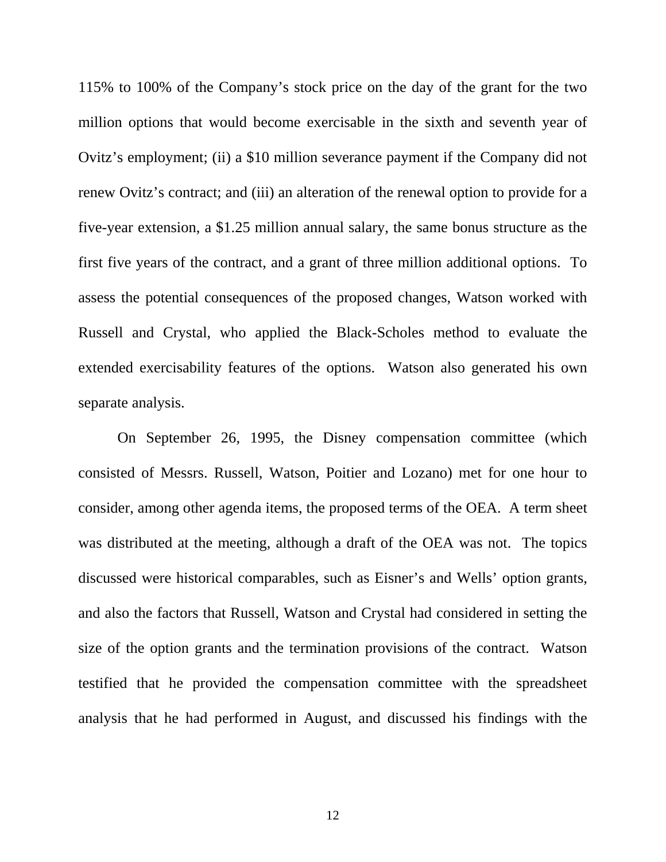115% to 100% of the Company's stock price on the day of the grant for the two million options that would become exercisable in the sixth and seventh year of Ovitz's employment; (ii) a \$10 million severance payment if the Company did not renew Ovitz's contract; and (iii) an alteration of the renewal option to provide for a five-year extension, a \$1.25 million annual salary, the same bonus structure as the first five years of the contract, and a grant of three million additional options. To assess the potential consequences of the proposed changes, Watson worked with Russell and Crystal, who applied the Black-Scholes method to evaluate the extended exercisability features of the options. Watson also generated his own separate analysis.

On September 26, 1995, the Disney compensation committee (which consisted of Messrs. Russell, Watson, Poitier and Lozano) met for one hour to consider, among other agenda items, the proposed terms of the OEA. A term sheet was distributed at the meeting, although a draft of the OEA was not. The topics discussed were historical comparables, such as Eisner's and Wells' option grants, and also the factors that Russell, Watson and Crystal had considered in setting the size of the option grants and the termination provisions of the contract. Watson testified that he provided the compensation committee with the spreadsheet analysis that he had performed in August, and discussed his findings with the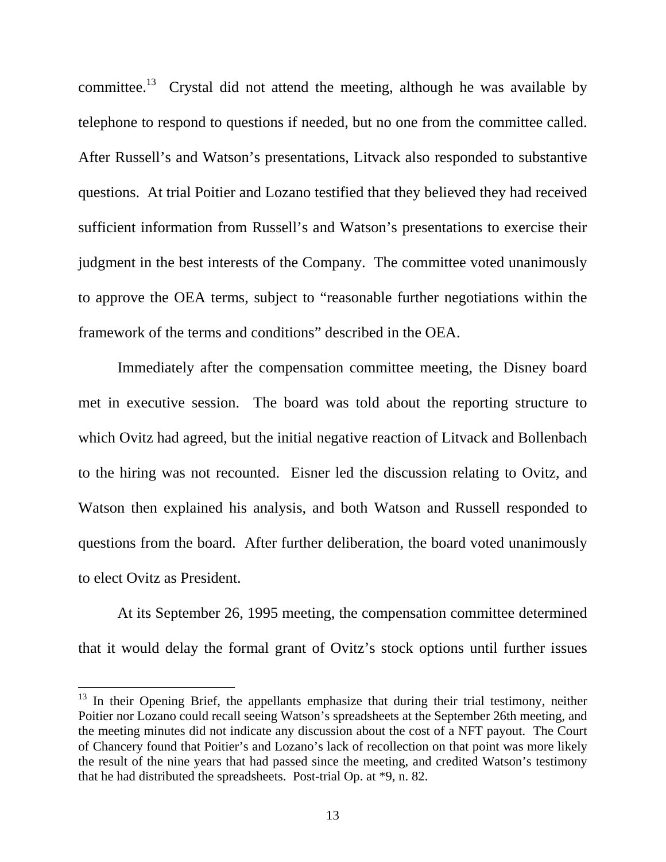committee.<sup>13</sup> Crystal did not attend the meeting, although he was available by telephone to respond to questions if needed, but no one from the committee called. After Russell's and Watson's presentations, Litvack also responded to substantive questions. At trial Poitier and Lozano testified that they believed they had received sufficient information from Russell's and Watson's presentations to exercise their judgment in the best interests of the Company. The committee voted unanimously to approve the OEA terms, subject to "reasonable further negotiations within the framework of the terms and conditions" described in the OEA.

Immediately after the compensation committee meeting, the Disney board met in executive session. The board was told about the reporting structure to which Ovitz had agreed, but the initial negative reaction of Litvack and Bollenbach to the hiring was not recounted. Eisner led the discussion relating to Ovitz, and Watson then explained his analysis, and both Watson and Russell responded to questions from the board. After further deliberation, the board voted unanimously to elect Ovitz as President.

At its September 26, 1995 meeting, the compensation committee determined that it would delay the formal grant of Ovitz's stock options until further issues

 $13$  In their Opening Brief, the appellants emphasize that during their trial testimony, neither Poitier nor Lozano could recall seeing Watson's spreadsheets at the September 26th meeting, and the meeting minutes did not indicate any discussion about the cost of a NFT payout. The Court of Chancery found that Poitier's and Lozano's lack of recollection on that point was more likely the result of the nine years that had passed since the meeting, and credited Watson's testimony that he had distributed the spreadsheets. Post-trial Op. at \*9, n. 82.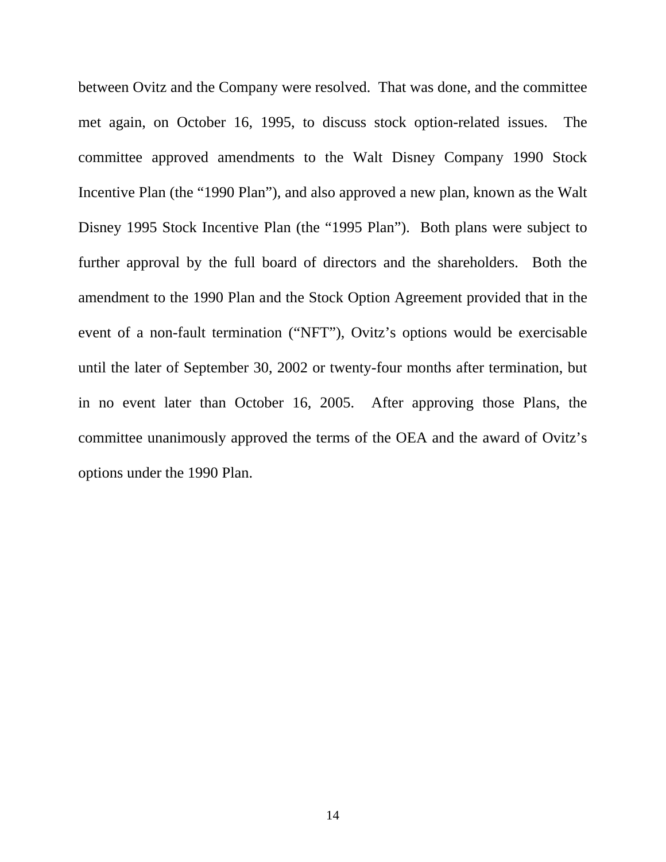between Ovitz and the Company were resolved. That was done, and the committee met again, on October 16, 1995, to discuss stock option-related issues. The committee approved amendments to the Walt Disney Company 1990 Stock Incentive Plan (the "1990 Plan"), and also approved a new plan, known as the Walt Disney 1995 Stock Incentive Plan (the "1995 Plan"). Both plans were subject to further approval by the full board of directors and the shareholders. Both the amendment to the 1990 Plan and the Stock Option Agreement provided that in the event of a non-fault termination ("NFT"), Ovitz's options would be exercisable until the later of September 30, 2002 or twenty-four months after termination, but in no event later than October 16, 2005. After approving those Plans, the committee unanimously approved the terms of the OEA and the award of Ovitz's options under the 1990 Plan.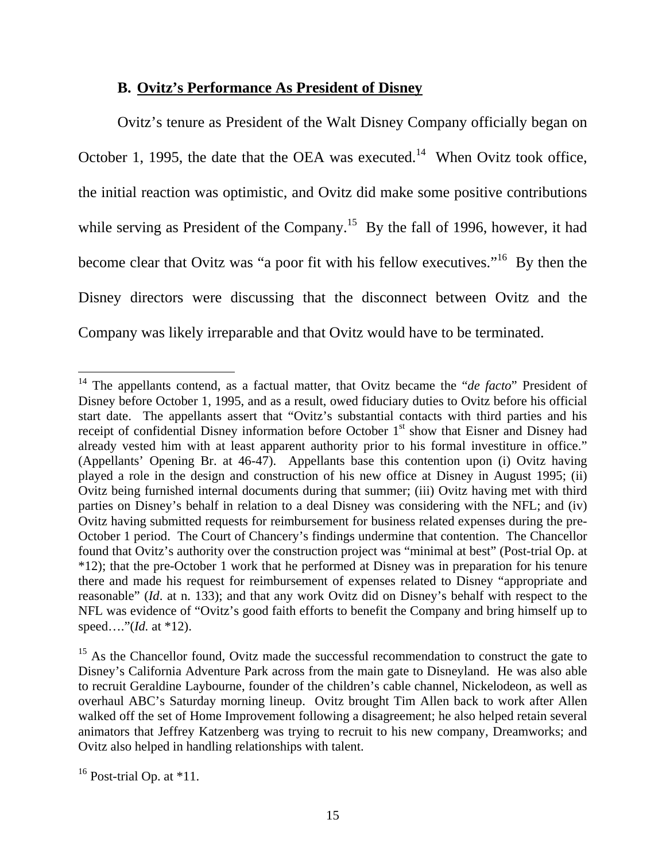### **B. Ovitz's Performance As President of Disney**

Ovitz's tenure as President of the Walt Disney Company officially began on October 1, 1995, the date that the OEA was executed.<sup>14</sup> When Ovitz took office, the initial reaction was optimistic, and Ovitz did make some positive contributions while serving as President of the Company.<sup>15</sup> By the fall of 1996, however, it had become clear that Ovitz was "a poor fit with his fellow executives."16 By then the Disney directors were discussing that the disconnect between Ovitz and the Company was likely irreparable and that Ovitz would have to be terminated.

 $\overline{a}$ <sup>14</sup> The appellants contend, as a factual matter, that Ovitz became the "*de facto*" President of Disney before October 1, 1995, and as a result, owed fiduciary duties to Ovitz before his official start date. The appellants assert that "Ovitz's substantial contacts with third parties and his receipt of confidential Disney information before October 1<sup>st</sup> show that Eisner and Disney had already vested him with at least apparent authority prior to his formal investiture in office." (Appellants' Opening Br. at 46-47). Appellants base this contention upon (i) Ovitz having played a role in the design and construction of his new office at Disney in August 1995; (ii) Ovitz being furnished internal documents during that summer; (iii) Ovitz having met with third parties on Disney's behalf in relation to a deal Disney was considering with the NFL; and (iv) Ovitz having submitted requests for reimbursement for business related expenses during the pre-October 1 period. The Court of Chancery's findings undermine that contention. The Chancellor found that Ovitz's authority over the construction project was "minimal at best" (Post-trial Op. at \*12); that the pre-October 1 work that he performed at Disney was in preparation for his tenure there and made his request for reimbursement of expenses related to Disney "appropriate and reasonable" (*Id*. at n. 133); and that any work Ovitz did on Disney's behalf with respect to the NFL was evidence of "Ovitz's good faith efforts to benefit the Company and bring himself up to speed…."(*Id.* at \*12).

<sup>&</sup>lt;sup>15</sup> As the Chancellor found, Ovitz made the successful recommendation to construct the gate to Disney's California Adventure Park across from the main gate to Disneyland. He was also able to recruit Geraldine Laybourne, founder of the children's cable channel, Nickelodeon, as well as overhaul ABC's Saturday morning lineup. Ovitz brought Tim Allen back to work after Allen walked off the set of Home Improvement following a disagreement; he also helped retain several animators that Jeffrey Katzenberg was trying to recruit to his new company, Dreamworks; and Ovitz also helped in handling relationships with talent.

 $16$  Post-trial Op. at  $*11$ .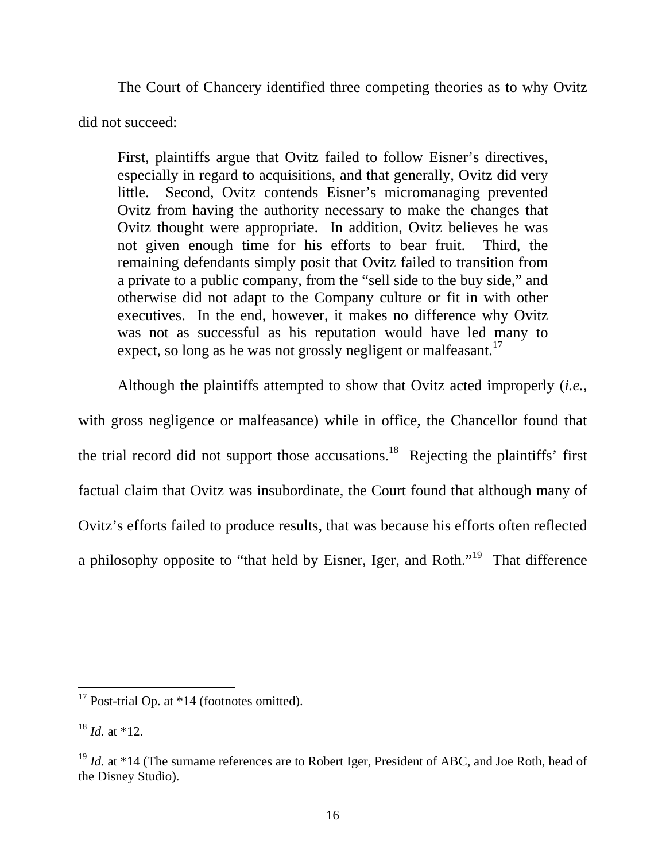The Court of Chancery identified three competing theories as to why Ovitz

did not succeed:

First, plaintiffs argue that Ovitz failed to follow Eisner's directives, especially in regard to acquisitions, and that generally, Ovitz did very little. Second, Ovitz contends Eisner's micromanaging prevented Ovitz from having the authority necessary to make the changes that Ovitz thought were appropriate. In addition, Ovitz believes he was not given enough time for his efforts to bear fruit. Third, the remaining defendants simply posit that Ovitz failed to transition from a private to a public company, from the "sell side to the buy side," and otherwise did not adapt to the Company culture or fit in with other executives. In the end, however, it makes no difference why Ovitz was not as successful as his reputation would have led many to expect, so long as he was not grossly negligent or malfeasant.<sup>17</sup>

Although the plaintiffs attempted to show that Ovitz acted improperly (*i.e.*,

with gross negligence or malfeasance) while in office, the Chancellor found that the trial record did not support those accusations.<sup>18</sup> Rejecting the plaintiffs' first factual claim that Ovitz was insubordinate, the Court found that although many of Ovitz's efforts failed to produce results, that was because his efforts often reflected a philosophy opposite to "that held by Eisner, Iger, and Roth."19 That difference

 $17$  Post-trial Op. at  $*14$  (footnotes omitted).

 $18$  *Id.* at \*12.

<sup>&</sup>lt;sup>19</sup> *Id.* at \*14 (The surname references are to Robert Iger, President of ABC, and Joe Roth, head of the Disney Studio).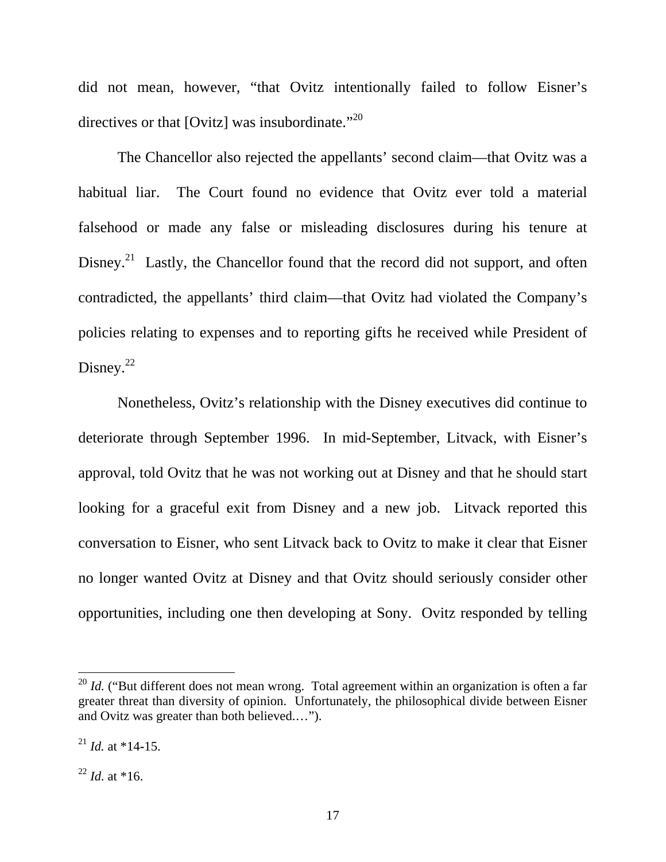did not mean, however, "that Ovitz intentionally failed to follow Eisner's directives or that [Ovitz] was insubordinate. $"^{20}$ 

The Chancellor also rejected the appellants' second claim—that Ovitz was a habitual liar. The Court found no evidence that Ovitz ever told a material falsehood or made any false or misleading disclosures during his tenure at Disney.<sup>21</sup> Lastly, the Chancellor found that the record did not support, and often contradicted, the appellants' third claim—that Ovitz had violated the Company's policies relating to expenses and to reporting gifts he received while President of Disney. $^{22}$ 

Nonetheless, Ovitz's relationship with the Disney executives did continue to deteriorate through September 1996. In mid-September, Litvack, with Eisner's approval, told Ovitz that he was not working out at Disney and that he should start looking for a graceful exit from Disney and a new job. Litvack reported this conversation to Eisner, who sent Litvack back to Ovitz to make it clear that Eisner no longer wanted Ovitz at Disney and that Ovitz should seriously consider other opportunities, including one then developing at Sony. Ovitz responded by telling

<sup>&</sup>lt;sup>20</sup> Id. ("But different does not mean wrong. Total agreement within an organization is often a far greater threat than diversity of opinion. Unfortunately, the philosophical divide between Eisner and Ovitz was greater than both believed.…").

 $^{21}$  *Id.* at \*14-15.

 $^{22}$  *Id.* at \*16.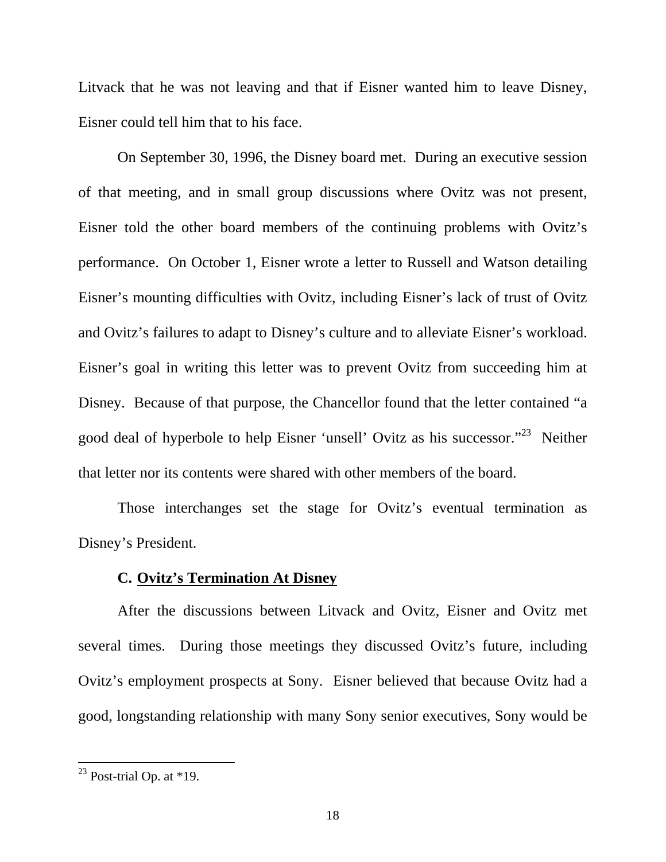Litvack that he was not leaving and that if Eisner wanted him to leave Disney, Eisner could tell him that to his face.

On September 30, 1996, the Disney board met. During an executive session of that meeting, and in small group discussions where Ovitz was not present, Eisner told the other board members of the continuing problems with Ovitz's performance. On October 1, Eisner wrote a letter to Russell and Watson detailing Eisner's mounting difficulties with Ovitz, including Eisner's lack of trust of Ovitz and Ovitz's failures to adapt to Disney's culture and to alleviate Eisner's workload. Eisner's goal in writing this letter was to prevent Ovitz from succeeding him at Disney. Because of that purpose, the Chancellor found that the letter contained "a good deal of hyperbole to help Eisner 'unsell' Ovitz as his successor."23 Neither that letter nor its contents were shared with other members of the board.

Those interchanges set the stage for Ovitz's eventual termination as Disney's President.

#### **C. Ovitz's Termination At Disney**

After the discussions between Litvack and Ovitz, Eisner and Ovitz met several times. During those meetings they discussed Ovitz's future, including Ovitz's employment prospects at Sony. Eisner believed that because Ovitz had a good, longstanding relationship with many Sony senior executives, Sony would be

 $23$  Post-trial Op. at  $*19$ .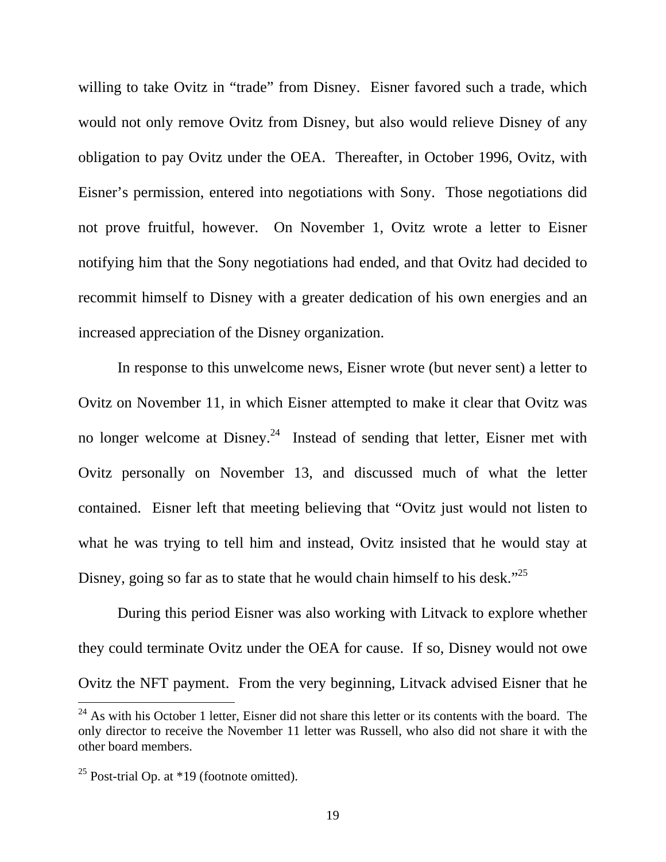willing to take Ovitz in "trade" from Disney. Eisner favored such a trade, which would not only remove Ovitz from Disney, but also would relieve Disney of any obligation to pay Ovitz under the OEA. Thereafter, in October 1996, Ovitz, with Eisner's permission, entered into negotiations with Sony. Those negotiations did not prove fruitful, however. On November 1, Ovitz wrote a letter to Eisner notifying him that the Sony negotiations had ended, and that Ovitz had decided to recommit himself to Disney with a greater dedication of his own energies and an increased appreciation of the Disney organization.

In response to this unwelcome news, Eisner wrote (but never sent) a letter to Ovitz on November 11, in which Eisner attempted to make it clear that Ovitz was no longer welcome at Disney.<sup>24</sup> Instead of sending that letter, Eisner met with Ovitz personally on November 13, and discussed much of what the letter contained. Eisner left that meeting believing that "Ovitz just would not listen to what he was trying to tell him and instead, Ovitz insisted that he would stay at Disney, going so far as to state that he would chain himself to his desk.<sup> $25$ </sup>

During this period Eisner was also working with Litvack to explore whether they could terminate Ovitz under the OEA for cause. If so, Disney would not owe Ovitz the NFT payment. From the very beginning, Litvack advised Eisner that he

 $^{24}$  As with his October 1 letter, Eisner did not share this letter or its contents with the board. The only director to receive the November 11 letter was Russell, who also did not share it with the other board members.

<sup>&</sup>lt;sup>25</sup> Post-trial Op. at  $*19$  (footnote omitted).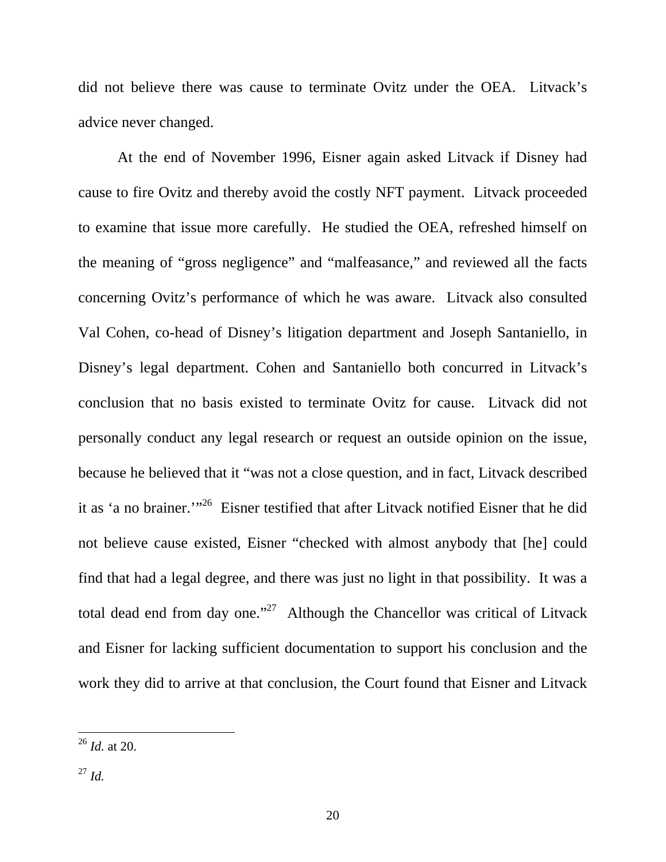did not believe there was cause to terminate Ovitz under the OEA. Litvack's advice never changed.

At the end of November 1996, Eisner again asked Litvack if Disney had cause to fire Ovitz and thereby avoid the costly NFT payment. Litvack proceeded to examine that issue more carefully. He studied the OEA, refreshed himself on the meaning of "gross negligence" and "malfeasance," and reviewed all the facts concerning Ovitz's performance of which he was aware. Litvack also consulted Val Cohen, co-head of Disney's litigation department and Joseph Santaniello, in Disney's legal department. Cohen and Santaniello both concurred in Litvack's conclusion that no basis existed to terminate Ovitz for cause. Litvack did not personally conduct any legal research or request an outside opinion on the issue, because he believed that it "was not a close question, and in fact, Litvack described it as 'a no brainer."<sup>26</sup> Eisner testified that after Litvack notified Eisner that he did not believe cause existed, Eisner "checked with almost anybody that [he] could find that had a legal degree, and there was just no light in that possibility. It was a total dead end from day one."<sup>27</sup> Although the Chancellor was critical of Litvack and Eisner for lacking sufficient documentation to support his conclusion and the work they did to arrive at that conclusion, the Court found that Eisner and Litvack

<sup>26</sup> *Id.* at 20.

<sup>27</sup> *Id.*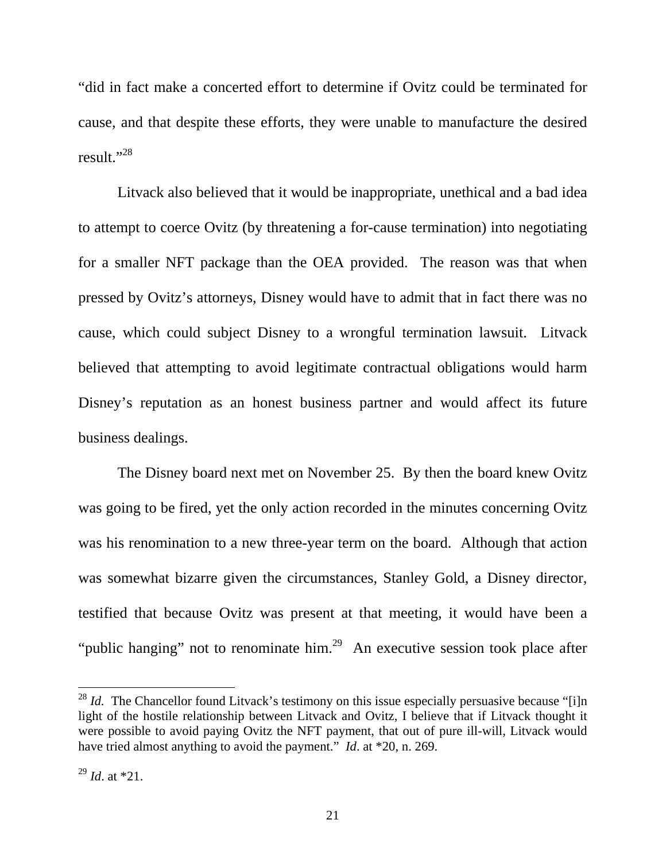"did in fact make a concerted effort to determine if Ovitz could be terminated for cause, and that despite these efforts, they were unable to manufacture the desired result."28

Litvack also believed that it would be inappropriate, unethical and a bad idea to attempt to coerce Ovitz (by threatening a for-cause termination) into negotiating for a smaller NFT package than the OEA provided. The reason was that when pressed by Ovitz's attorneys, Disney would have to admit that in fact there was no cause, which could subject Disney to a wrongful termination lawsuit. Litvack believed that attempting to avoid legitimate contractual obligations would harm Disney's reputation as an honest business partner and would affect its future business dealings.

The Disney board next met on November 25. By then the board knew Ovitz was going to be fired, yet the only action recorded in the minutes concerning Ovitz was his renomination to a new three-year term on the board. Although that action was somewhat bizarre given the circumstances, Stanley Gold, a Disney director, testified that because Ovitz was present at that meeting, it would have been a "public hanging" not to renominate him. $2^9$  An executive session took place after

 $^{28}$  *Id.* The Chancellor found Litvack's testimony on this issue especially persuasive because "[i]n light of the hostile relationship between Litvack and Ovitz, I believe that if Litvack thought it were possible to avoid paying Ovitz the NFT payment, that out of pure ill-will, Litvack would have tried almost anything to avoid the payment." *Id*. at \*20, n. 269.

<sup>29</sup> *Id*. at \*21.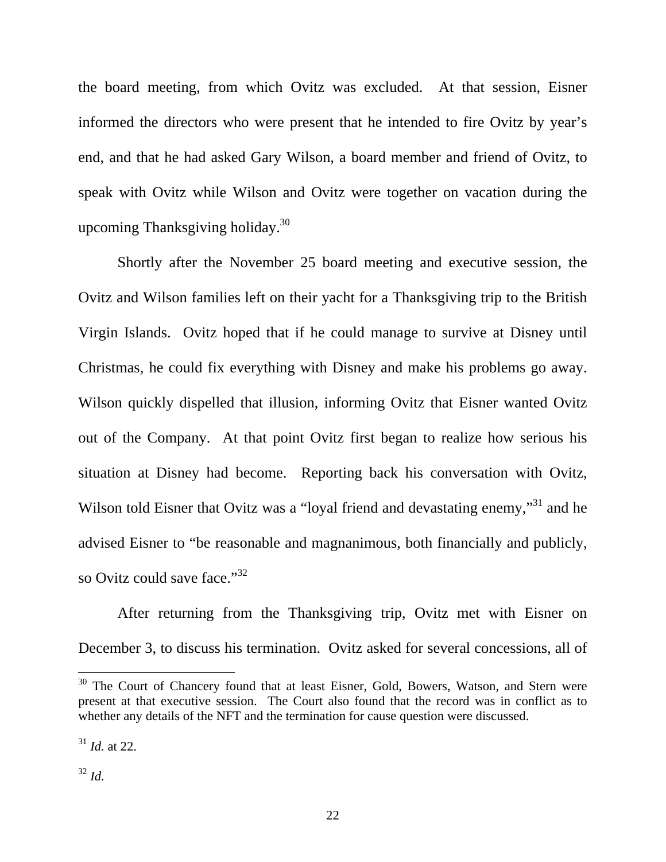the board meeting, from which Ovitz was excluded. At that session, Eisner informed the directors who were present that he intended to fire Ovitz by year's end, and that he had asked Gary Wilson, a board member and friend of Ovitz, to speak with Ovitz while Wilson and Ovitz were together on vacation during the upcoming Thanksgiving holiday.<sup>30</sup>

Shortly after the November 25 board meeting and executive session, the Ovitz and Wilson families left on their yacht for a Thanksgiving trip to the British Virgin Islands. Ovitz hoped that if he could manage to survive at Disney until Christmas, he could fix everything with Disney and make his problems go away. Wilson quickly dispelled that illusion, informing Ovitz that Eisner wanted Ovitz out of the Company. At that point Ovitz first began to realize how serious his situation at Disney had become. Reporting back his conversation with Ovitz, Wilson told Eisner that Ovitz was a "loyal friend and devastating enemy,"<sup>31</sup> and he advised Eisner to "be reasonable and magnanimous, both financially and publicly, so Ovitz could save face."<sup>32</sup>

After returning from the Thanksgiving trip, Ovitz met with Eisner on December 3, to discuss his termination. Ovitz asked for several concessions, all of

 $30$  The Court of Chancery found that at least Eisner, Gold, Bowers, Watson, and Stern were present at that executive session. The Court also found that the record was in conflict as to whether any details of the NFT and the termination for cause question were discussed.

 $31$  *Id.* at 22.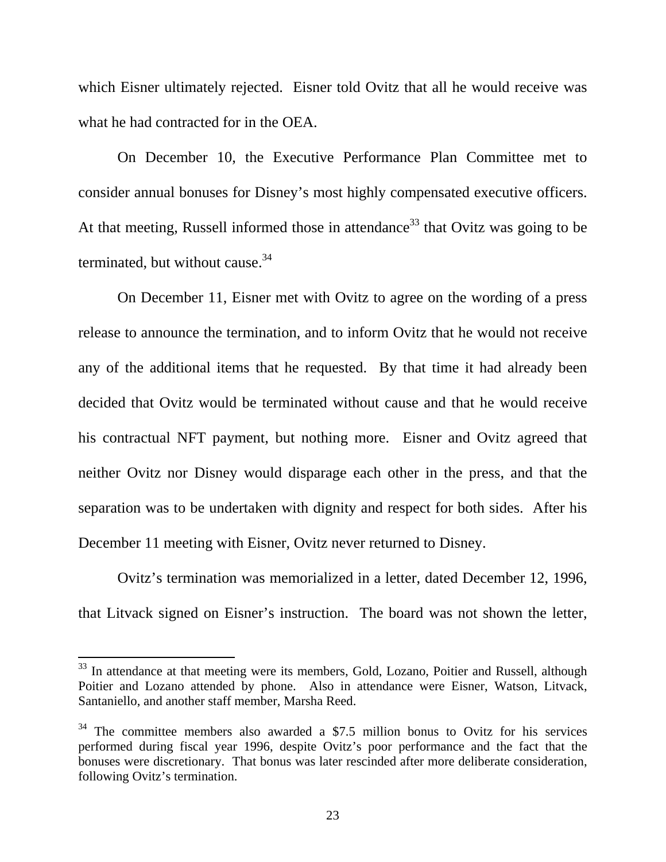which Eisner ultimately rejected. Eisner told Ovitz that all he would receive was what he had contracted for in the OEA.

On December 10, the Executive Performance Plan Committee met to consider annual bonuses for Disney's most highly compensated executive officers. At that meeting, Russell informed those in attendance<sup>33</sup> that Ovitz was going to be terminated, but without cause.<sup>34</sup>

On December 11, Eisner met with Ovitz to agree on the wording of a press release to announce the termination, and to inform Ovitz that he would not receive any of the additional items that he requested. By that time it had already been decided that Ovitz would be terminated without cause and that he would receive his contractual NFT payment, but nothing more. Eisner and Ovitz agreed that neither Ovitz nor Disney would disparage each other in the press, and that the separation was to be undertaken with dignity and respect for both sides. After his December 11 meeting with Eisner, Ovitz never returned to Disney.

Ovitz's termination was memorialized in a letter, dated December 12, 1996, that Litvack signed on Eisner's instruction. The board was not shown the letter,

 $33$  In attendance at that meeting were its members, Gold, Lozano, Poitier and Russell, although Poitier and Lozano attended by phone. Also in attendance were Eisner, Watson, Litvack, Santaniello, and another staff member, Marsha Reed.

 $34$  The committee members also awarded a \$7.5 million bonus to Ovitz for his services performed during fiscal year 1996, despite Ovitz's poor performance and the fact that the bonuses were discretionary. That bonus was later rescinded after more deliberate consideration, following Ovitz's termination.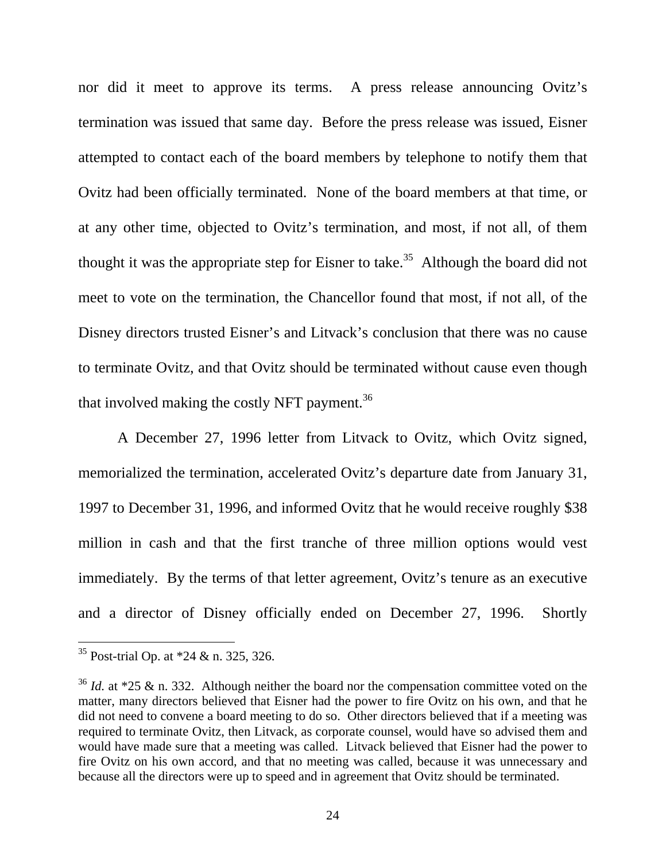nor did it meet to approve its terms. A press release announcing Ovitz's termination was issued that same day. Before the press release was issued, Eisner attempted to contact each of the board members by telephone to notify them that Ovitz had been officially terminated. None of the board members at that time, or at any other time, objected to Ovitz's termination, and most, if not all, of them thought it was the appropriate step for Eisner to take.<sup>35</sup> Although the board did not meet to vote on the termination, the Chancellor found that most, if not all, of the Disney directors trusted Eisner's and Litvack's conclusion that there was no cause to terminate Ovitz, and that Ovitz should be terminated without cause even though that involved making the costly NFT payment.<sup>36</sup>

A December 27, 1996 letter from Litvack to Ovitz, which Ovitz signed, memorialized the termination, accelerated Ovitz's departure date from January 31, 1997 to December 31, 1996, and informed Ovitz that he would receive roughly \$38 million in cash and that the first tranche of three million options would vest immediately. By the terms of that letter agreement, Ovitz's tenure as an executive and a director of Disney officially ended on December 27, 1996. Shortly

<sup>35</sup> Post-trial Op. at \*24 & n. 325, 326.

<sup>&</sup>lt;sup>36</sup> *Id.* at \*25 & n. 332. Although neither the board nor the compensation committee voted on the matter, many directors believed that Eisner had the power to fire Ovitz on his own, and that he did not need to convene a board meeting to do so. Other directors believed that if a meeting was required to terminate Ovitz, then Litvack, as corporate counsel, would have so advised them and would have made sure that a meeting was called. Litvack believed that Eisner had the power to fire Ovitz on his own accord, and that no meeting was called, because it was unnecessary and because all the directors were up to speed and in agreement that Ovitz should be terminated.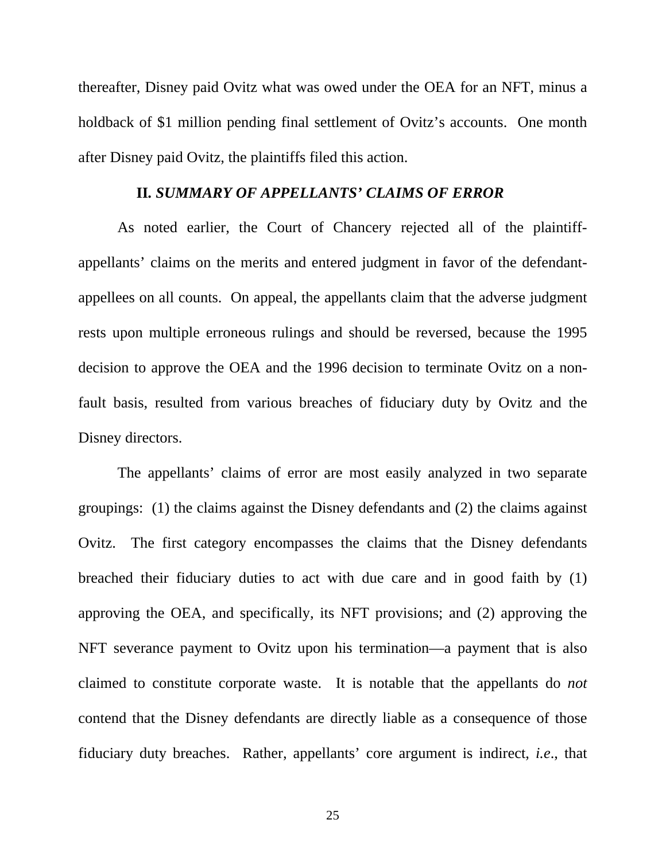thereafter, Disney paid Ovitz what was owed under the OEA for an NFT, minus a holdback of \$1 million pending final settlement of Ovitz's accounts. One month after Disney paid Ovitz, the plaintiffs filed this action.

#### **II***. SUMMARY OF APPELLANTS' CLAIMS OF ERROR*

As noted earlier, the Court of Chancery rejected all of the plaintiffappellants' claims on the merits and entered judgment in favor of the defendantappellees on all counts. On appeal, the appellants claim that the adverse judgment rests upon multiple erroneous rulings and should be reversed, because the 1995 decision to approve the OEA and the 1996 decision to terminate Ovitz on a nonfault basis, resulted from various breaches of fiduciary duty by Ovitz and the Disney directors.

The appellants' claims of error are most easily analyzed in two separate groupings: (1) the claims against the Disney defendants and (2) the claims against Ovitz. The first category encompasses the claims that the Disney defendants breached their fiduciary duties to act with due care and in good faith by (1) approving the OEA, and specifically, its NFT provisions; and (2) approving the NFT severance payment to Ovitz upon his termination—a payment that is also claimed to constitute corporate waste. It is notable that the appellants do *not* contend that the Disney defendants are directly liable as a consequence of those fiduciary duty breaches. Rather, appellants' core argument is indirect, *i.e*., that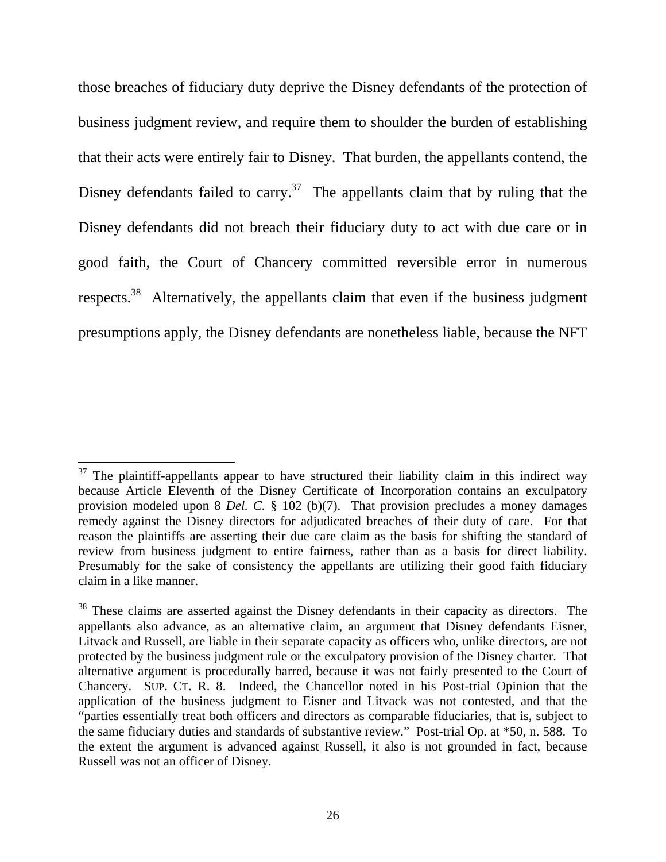those breaches of fiduciary duty deprive the Disney defendants of the protection of business judgment review, and require them to shoulder the burden of establishing that their acts were entirely fair to Disney. That burden, the appellants contend, the Disney defendants failed to carry.<sup>37</sup> The appellants claim that by ruling that the Disney defendants did not breach their fiduciary duty to act with due care or in good faith, the Court of Chancery committed reversible error in numerous respects.<sup>38</sup> Alternatively, the appellants claim that even if the business judgment presumptions apply, the Disney defendants are nonetheless liable, because the NFT

 $37$  The plaintiff-appellants appear to have structured their liability claim in this indirect way because Article Eleventh of the Disney Certificate of Incorporation contains an exculpatory provision modeled upon 8 *Del. C.* § 102 (b)(7). That provision precludes a money damages remedy against the Disney directors for adjudicated breaches of their duty of care. For that reason the plaintiffs are asserting their due care claim as the basis for shifting the standard of review from business judgment to entire fairness, rather than as a basis for direct liability. Presumably for the sake of consistency the appellants are utilizing their good faith fiduciary claim in a like manner.

<sup>&</sup>lt;sup>38</sup> These claims are asserted against the Disney defendants in their capacity as directors. The appellants also advance, as an alternative claim, an argument that Disney defendants Eisner, Litvack and Russell, are liable in their separate capacity as officers who, unlike directors, are not protected by the business judgment rule or the exculpatory provision of the Disney charter. That alternative argument is procedurally barred, because it was not fairly presented to the Court of Chancery. SUP. CT. R. 8. Indeed, the Chancellor noted in his Post-trial Opinion that the application of the business judgment to Eisner and Litvack was not contested, and that the "parties essentially treat both officers and directors as comparable fiduciaries, that is, subject to the same fiduciary duties and standards of substantive review." Post-trial Op. at \*50, n. 588. To the extent the argument is advanced against Russell, it also is not grounded in fact, because Russell was not an officer of Disney.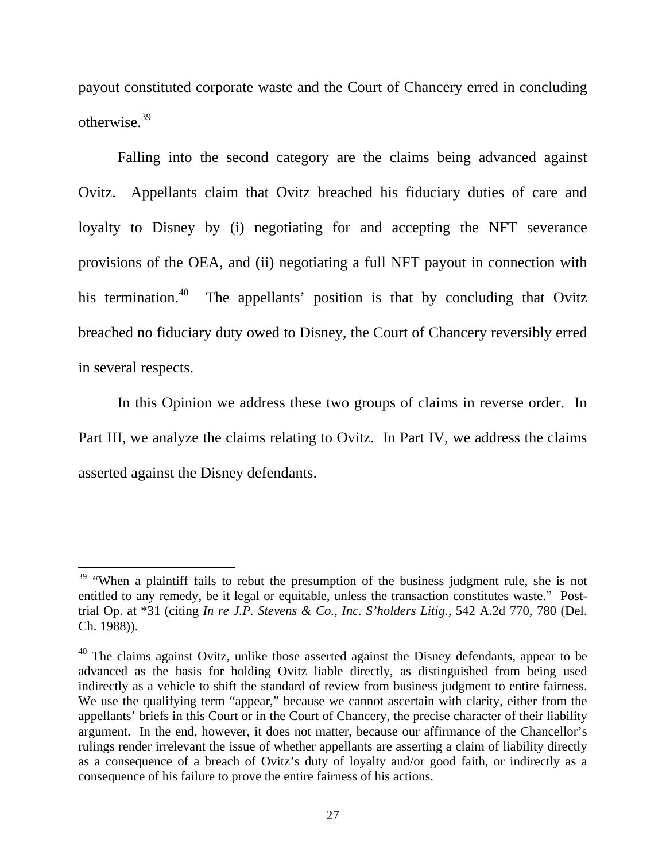payout constituted corporate waste and the Court of Chancery erred in concluding otherwise.<sup>39</sup>

Falling into the second category are the claims being advanced against Ovitz. Appellants claim that Ovitz breached his fiduciary duties of care and loyalty to Disney by (i) negotiating for and accepting the NFT severance provisions of the OEA, and (ii) negotiating a full NFT payout in connection with his termination.<sup>40</sup> The appellants' position is that by concluding that Ovitz breached no fiduciary duty owed to Disney, the Court of Chancery reversibly erred in several respects.

In this Opinion we address these two groups of claims in reverse order. In Part III, we analyze the claims relating to Ovitz. In Part IV, we address the claims asserted against the Disney defendants.

 $39$  "When a plaintiff fails to rebut the presumption of the business judgment rule, she is not entitled to any remedy, be it legal or equitable, unless the transaction constitutes waste." Posttrial Op. at \*31 (citing *In re J.P. Stevens & Co., Inc. S'holders Litig.*, 542 A.2d 770, 780 (Del. Ch. 1988)).

<sup>&</sup>lt;sup>40</sup> The claims against Ovitz, unlike those asserted against the Disney defendants, appear to be advanced as the basis for holding Ovitz liable directly, as distinguished from being used indirectly as a vehicle to shift the standard of review from business judgment to entire fairness. We use the qualifying term "appear," because we cannot ascertain with clarity, either from the appellants' briefs in this Court or in the Court of Chancery, the precise character of their liability argument. In the end, however, it does not matter, because our affirmance of the Chancellor's rulings render irrelevant the issue of whether appellants are asserting a claim of liability directly as a consequence of a breach of Ovitz's duty of loyalty and/or good faith, or indirectly as a consequence of his failure to prove the entire fairness of his actions.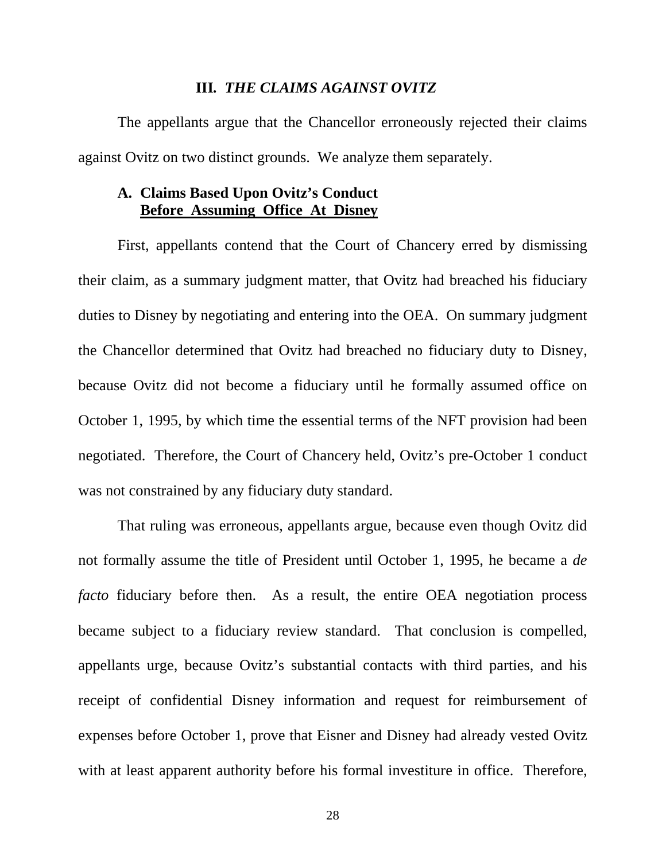#### **III***.**THE CLAIMS AGAINST OVITZ*

The appellants argue that the Chancellor erroneously rejected their claims against Ovitz on two distinct grounds. We analyze them separately.

## **A. Claims Based Upon Ovitz's Conduct Before Assuming Office At Disney**

First, appellants contend that the Court of Chancery erred by dismissing their claim, as a summary judgment matter, that Ovitz had breached his fiduciary duties to Disney by negotiating and entering into the OEA. On summary judgment the Chancellor determined that Ovitz had breached no fiduciary duty to Disney, because Ovitz did not become a fiduciary until he formally assumed office on October 1, 1995, by which time the essential terms of the NFT provision had been negotiated. Therefore, the Court of Chancery held, Ovitz's pre-October 1 conduct was not constrained by any fiduciary duty standard.

That ruling was erroneous, appellants argue, because even though Ovitz did not formally assume the title of President until October 1, 1995, he became a *de facto* fiduciary before then. As a result, the entire OEA negotiation process became subject to a fiduciary review standard. That conclusion is compelled, appellants urge, because Ovitz's substantial contacts with third parties, and his receipt of confidential Disney information and request for reimbursement of expenses before October 1, prove that Eisner and Disney had already vested Ovitz with at least apparent authority before his formal investiture in office. Therefore,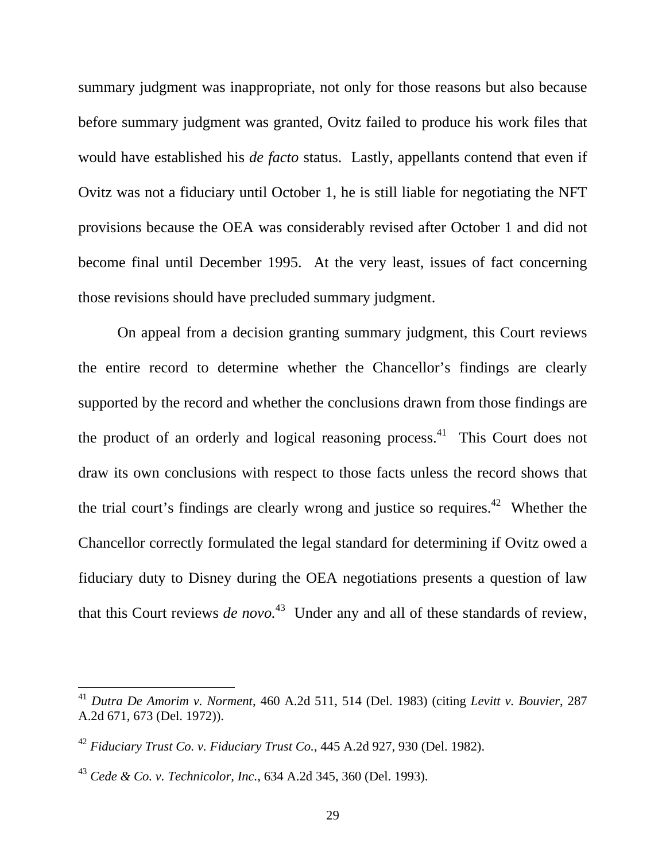summary judgment was inappropriate, not only for those reasons but also because before summary judgment was granted, Ovitz failed to produce his work files that would have established his *de facto* status. Lastly, appellants contend that even if Ovitz was not a fiduciary until October 1, he is still liable for negotiating the NFT provisions because the OEA was considerably revised after October 1 and did not become final until December 1995. At the very least, issues of fact concerning those revisions should have precluded summary judgment.

On appeal from a decision granting summary judgment, this Court reviews the entire record to determine whether the Chancellor's findings are clearly supported by the record and whether the conclusions drawn from those findings are the product of an orderly and logical reasoning process.<sup>41</sup> This Court does not draw its own conclusions with respect to those facts unless the record shows that the trial court's findings are clearly wrong and justice so requires.<sup>42</sup> Whether the Chancellor correctly formulated the legal standard for determining if Ovitz owed a fiduciary duty to Disney during the OEA negotiations presents a question of law that this Court reviews *de novo.*43 Under any and all of these standards of review,

<sup>41</sup> *Dutra De Amorim v. Norment*, 460 A.2d 511, 514 (Del. 1983) (citing *Levitt v. Bouvier*, 287 A.2d 671, 673 (Del. 1972)).

<sup>42</sup> *Fiduciary Trust Co. v. Fiduciary Trust Co.*, 445 A.2d 927, 930 (Del. 1982).

<sup>43</sup> *Cede & Co. v. Technicolor, Inc.*, 634 A.2d 345, 360 (Del. 1993).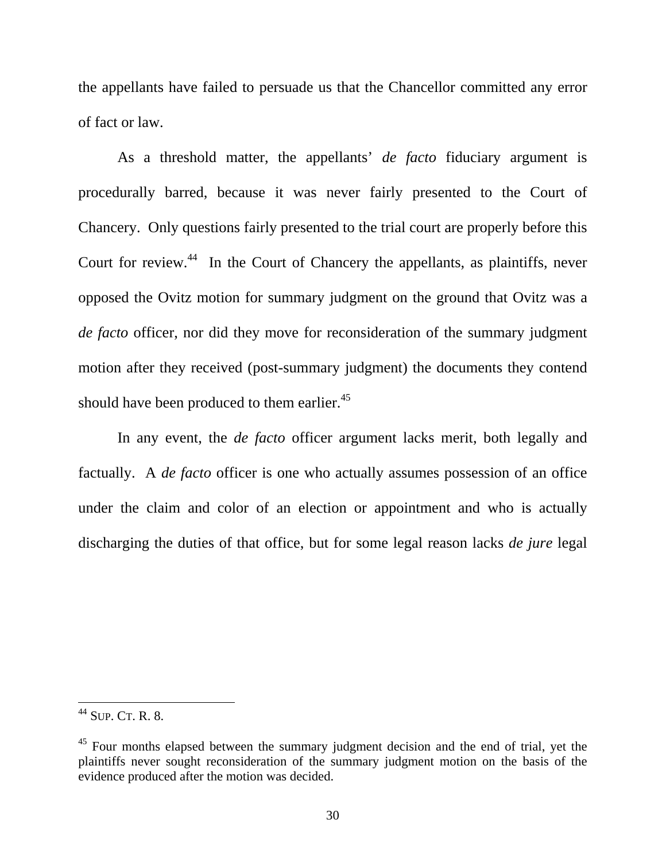the appellants have failed to persuade us that the Chancellor committed any error of fact or law.

As a threshold matter, the appellants' *de facto* fiduciary argument is procedurally barred, because it was never fairly presented to the Court of Chancery. Only questions fairly presented to the trial court are properly before this Court for review.<sup>44</sup> In the Court of Chancery the appellants, as plaintiffs, never opposed the Ovitz motion for summary judgment on the ground that Ovitz was a *de facto* officer, nor did they move for reconsideration of the summary judgment motion after they received (post-summary judgment) the documents they contend should have been produced to them earlier.<sup>45</sup>

In any event, the *de facto* officer argument lacks merit, both legally and factually. A *de facto* officer is one who actually assumes possession of an office under the claim and color of an election or appointment and who is actually discharging the duties of that office, but for some legal reason lacks *de jure* legal

<sup>44</sup> SUP. CT. R. 8.

<sup>&</sup>lt;sup>45</sup> Four months elapsed between the summary judgment decision and the end of trial, yet the plaintiffs never sought reconsideration of the summary judgment motion on the basis of the evidence produced after the motion was decided.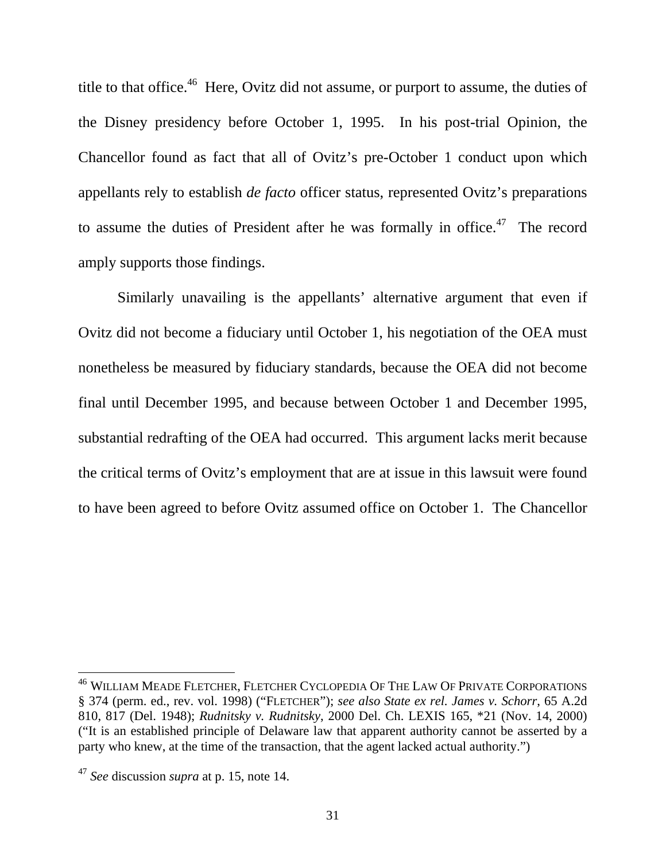title to that office.<sup>46</sup> Here, Ovitz did not assume, or purport to assume, the duties of the Disney presidency before October 1, 1995. In his post-trial Opinion, the Chancellor found as fact that all of Ovitz's pre-October 1 conduct upon which appellants rely to establish *de facto* officer status, represented Ovitz's preparations to assume the duties of President after he was formally in office.<sup>47</sup> The record amply supports those findings.

 Similarly unavailing is the appellants' alternative argument that even if Ovitz did not become a fiduciary until October 1, his negotiation of the OEA must nonetheless be measured by fiduciary standards, because the OEA did not become final until December 1995, and because between October 1 and December 1995, substantial redrafting of the OEA had occurred. This argument lacks merit because the critical terms of Ovitz's employment that are at issue in this lawsuit were found to have been agreed to before Ovitz assumed office on October 1. The Chancellor

<sup>46</sup> WILLIAM MEADE FLETCHER, FLETCHER CYCLOPEDIA OF THE LAW OF PRIVATE CORPORATIONS § 374 (perm. ed., rev. vol. 1998) ("FLETCHER"); *see also State ex rel. James v. Schorr*, 65 A.2d 810, 817 (Del. 1948); *Rudnitsky v. Rudnitsky*, 2000 Del. Ch. LEXIS 165, \*21 (Nov. 14, 2000) ("It is an established principle of Delaware law that apparent authority cannot be asserted by a party who knew, at the time of the transaction, that the agent lacked actual authority.")

<sup>47</sup> *See* discussion *supra* at p. 15, note 14.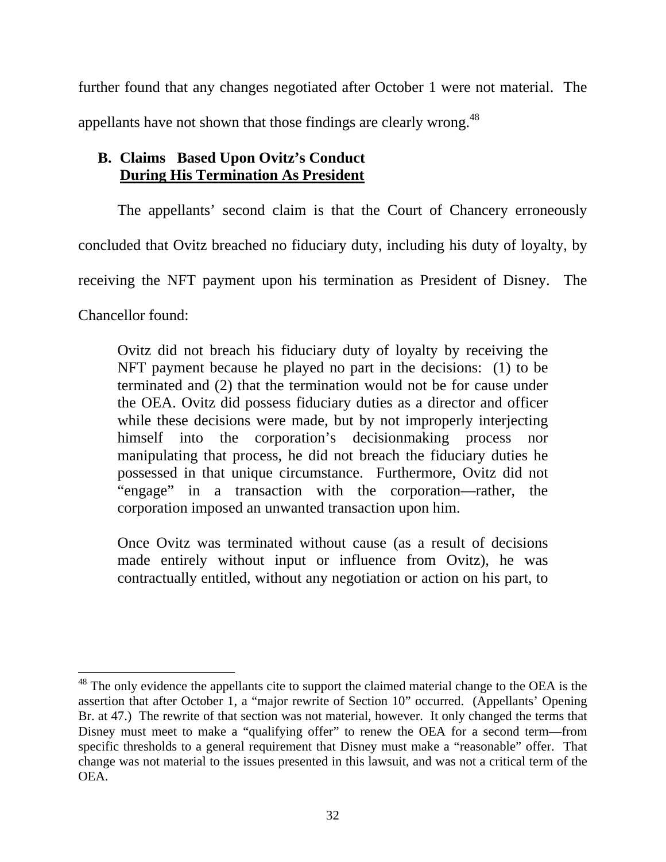further found that any changes negotiated after October 1 were not material. The appellants have not shown that those findings are clearly wrong.<sup>48</sup>

# **B. Claims Based Upon Ovitz's Conduct During His Termination As President**

 $\overline{a}$ 

The appellants' second claim is that the Court of Chancery erroneously concluded that Ovitz breached no fiduciary duty, including his duty of loyalty, by receiving the NFT payment upon his termination as President of Disney. The Chancellor found:

Ovitz did not breach his fiduciary duty of loyalty by receiving the NFT payment because he played no part in the decisions: (1) to be terminated and (2) that the termination would not be for cause under the OEA. Ovitz did possess fiduciary duties as a director and officer while these decisions were made, but by not improperly interjecting himself into the corporation's decisionmaking process nor manipulating that process, he did not breach the fiduciary duties he possessed in that unique circumstance. Furthermore, Ovitz did not "engage" in a transaction with the corporation—rather, the corporation imposed an unwanted transaction upon him.

Once Ovitz was terminated without cause (as a result of decisions made entirely without input or influence from Ovitz), he was contractually entitled, without any negotiation or action on his part, to

 $48$  The only evidence the appellants cite to support the claimed material change to the OEA is the assertion that after October 1, a "major rewrite of Section 10" occurred. (Appellants' Opening Br. at 47.) The rewrite of that section was not material, however. It only changed the terms that Disney must meet to make a "qualifying offer" to renew the OEA for a second term—from specific thresholds to a general requirement that Disney must make a "reasonable" offer. That change was not material to the issues presented in this lawsuit, and was not a critical term of the OEA.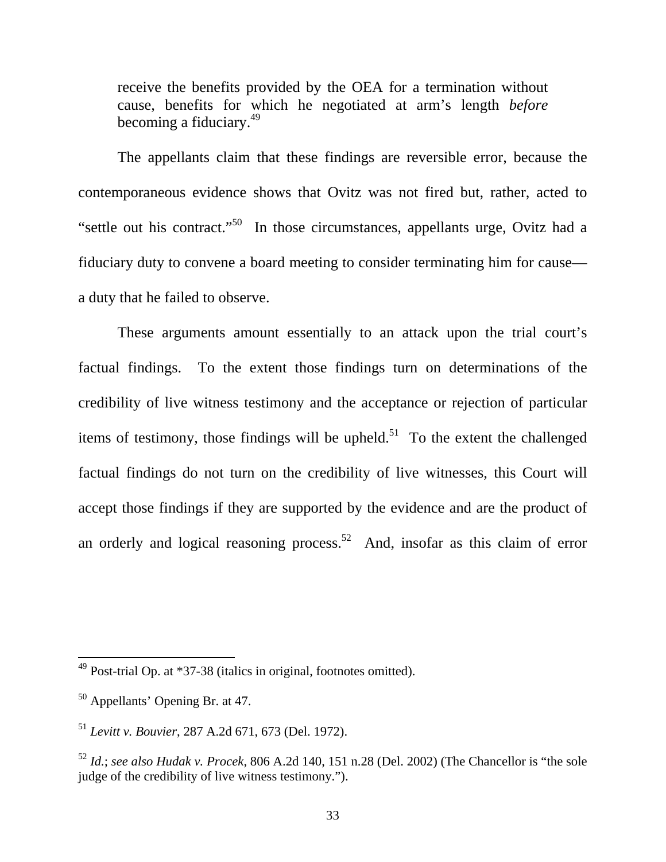receive the benefits provided by the OEA for a termination without cause, benefits for which he negotiated at arm's length *before*  becoming a fiduciary.<sup>49</sup>

 The appellants claim that these findings are reversible error, because the contemporaneous evidence shows that Ovitz was not fired but, rather, acted to "settle out his contract."50 In those circumstances, appellants urge, Ovitz had a fiduciary duty to convene a board meeting to consider terminating him for cause a duty that he failed to observe.

These arguments amount essentially to an attack upon the trial court's factual findings. To the extent those findings turn on determinations of the credibility of live witness testimony and the acceptance or rejection of particular items of testimony, those findings will be upheld.<sup>51</sup> To the extent the challenged factual findings do not turn on the credibility of live witnesses, this Court will accept those findings if they are supported by the evidence and are the product of an orderly and logical reasoning process.<sup>52</sup> And, insofar as this claim of error

 $49$  Post-trial Op. at  $*37-38$  (italics in original, footnotes omitted).

<sup>50</sup> Appellants' Opening Br. at 47.

<sup>51</sup> *Levitt v. Bouvier*, 287 A.2d 671, 673 (Del. 1972).

<sup>52</sup> *Id.*; *see also Hudak v. Procek*, 806 A.2d 140, 151 n.28 (Del. 2002) (The Chancellor is "the sole judge of the credibility of live witness testimony.").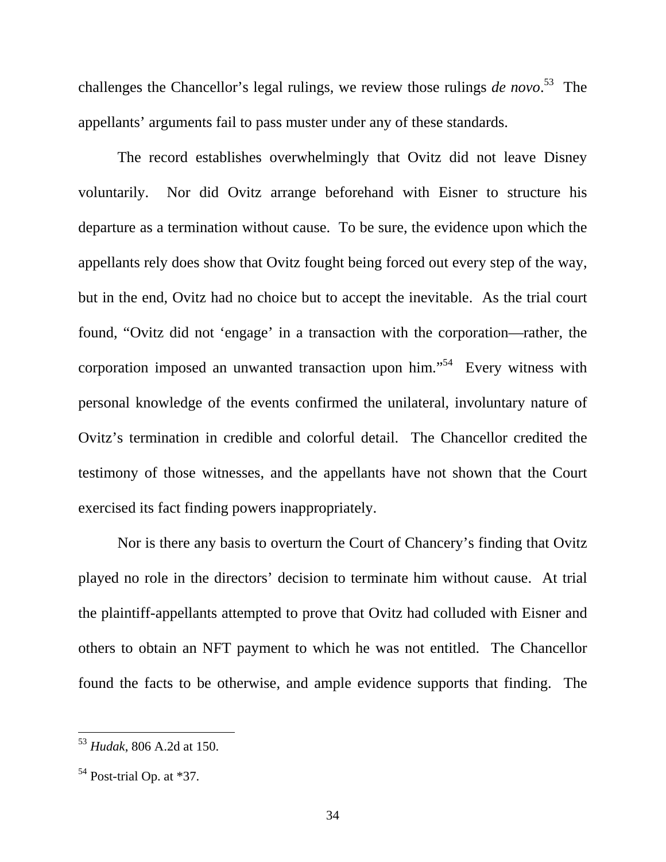challenges the Chancellor's legal rulings, we review those rulings *de novo*. 53 The appellants' arguments fail to pass muster under any of these standards.

The record establishes overwhelmingly that Ovitz did not leave Disney voluntarily. Nor did Ovitz arrange beforehand with Eisner to structure his departure as a termination without cause. To be sure, the evidence upon which the appellants rely does show that Ovitz fought being forced out every step of the way, but in the end, Ovitz had no choice but to accept the inevitable. As the trial court found, "Ovitz did not 'engage' in a transaction with the corporation—rather, the corporation imposed an unwanted transaction upon him."<sup>54</sup> Every witness with personal knowledge of the events confirmed the unilateral, involuntary nature of Ovitz's termination in credible and colorful detail. The Chancellor credited the testimony of those witnesses, and the appellants have not shown that the Court exercised its fact finding powers inappropriately.

Nor is there any basis to overturn the Court of Chancery's finding that Ovitz played no role in the directors' decision to terminate him without cause. At trial the plaintiff-appellants attempted to prove that Ovitz had colluded with Eisner and others to obtain an NFT payment to which he was not entitled. The Chancellor found the facts to be otherwise, and ample evidence supports that finding. The

<sup>53</sup> *Hudak*, 806 A.2d at 150.

<sup>54</sup> Post-trial Op. at \*37.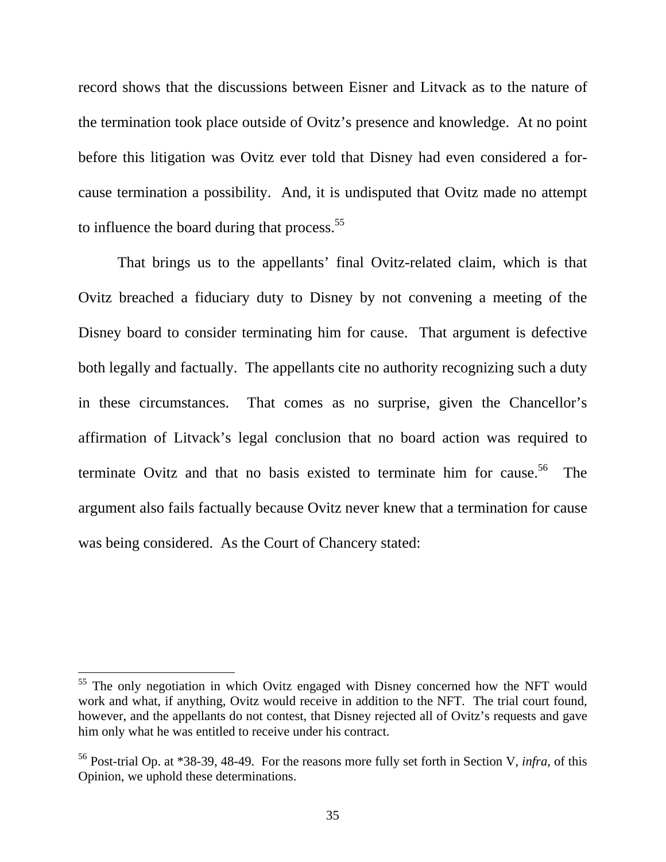record shows that the discussions between Eisner and Litvack as to the nature of the termination took place outside of Ovitz's presence and knowledge. At no point before this litigation was Ovitz ever told that Disney had even considered a forcause termination a possibility. And, it is undisputed that Ovitz made no attempt to influence the board during that process.<sup>55</sup>

That brings us to the appellants' final Ovitz-related claim, which is that Ovitz breached a fiduciary duty to Disney by not convening a meeting of the Disney board to consider terminating him for cause. That argument is defective both legally and factually. The appellants cite no authority recognizing such a duty in these circumstances. That comes as no surprise, given the Chancellor's affirmation of Litvack's legal conclusion that no board action was required to terminate Ovitz and that no basis existed to terminate him for cause.<sup>56</sup> The argument also fails factually because Ovitz never knew that a termination for cause was being considered. As the Court of Chancery stated:

<sup>&</sup>lt;sup>55</sup> The only negotiation in which Ovitz engaged with Disney concerned how the NFT would work and what, if anything, Ovitz would receive in addition to the NFT. The trial court found, however, and the appellants do not contest, that Disney rejected all of Ovitz's requests and gave him only what he was entitled to receive under his contract.

<sup>56</sup> Post-trial Op. at \*38-39, 48-49. For the reasons more fully set forth in Section V, *infra,* of this Opinion, we uphold these determinations.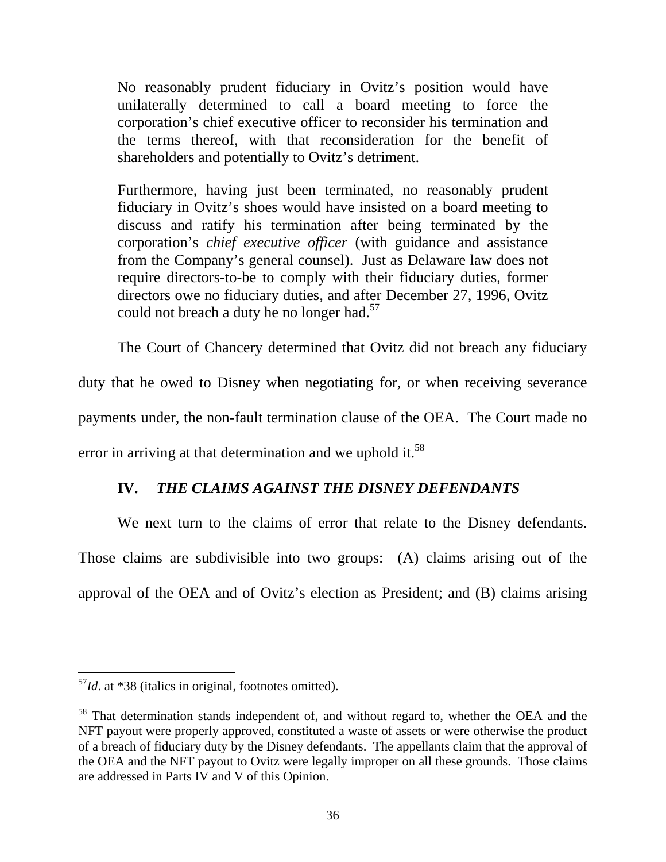No reasonably prudent fiduciary in Ovitz's position would have unilaterally determined to call a board meeting to force the corporation's chief executive officer to reconsider his termination and the terms thereof, with that reconsideration for the benefit of shareholders and potentially to Ovitz's detriment.

Furthermore, having just been terminated, no reasonably prudent fiduciary in Ovitz's shoes would have insisted on a board meeting to discuss and ratify his termination after being terminated by the corporation's *chief executive officer* (with guidance and assistance from the Company's general counsel). Just as Delaware law does not require directors-to-be to comply with their fiduciary duties, former directors owe no fiduciary duties, and after December 27, 1996, Ovitz could not breach a duty he no longer had.<sup>57</sup>

The Court of Chancery determined that Ovitz did not breach any fiduciary

duty that he owed to Disney when negotiating for, or when receiving severance payments under, the non-fault termination clause of the OEA. The Court made no

error in arriving at that determination and we uphold it.<sup>58</sup>

# **IV.** *THE CLAIMS AGAINST THE DISNEY DEFENDANTS*

We next turn to the claims of error that relate to the Disney defendants. Those claims are subdivisible into two groups: (A) claims arising out of the approval of the OEA and of Ovitz's election as President; and (B) claims arising

<sup>57</sup>*Id*. at \*38 (italics in original, footnotes omitted).

<sup>&</sup>lt;sup>58</sup> That determination stands independent of, and without regard to, whether the OEA and the NFT payout were properly approved, constituted a waste of assets or were otherwise the product of a breach of fiduciary duty by the Disney defendants. The appellants claim that the approval of the OEA and the NFT payout to Ovitz were legally improper on all these grounds. Those claims are addressed in Parts IV and V of this Opinion.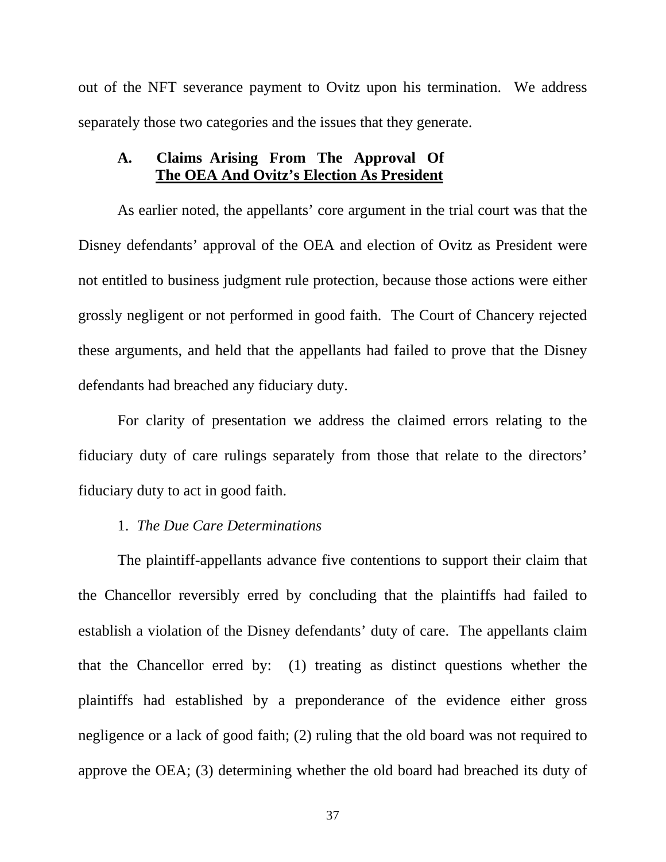out of the NFT severance payment to Ovitz upon his termination. We address separately those two categories and the issues that they generate.

## **A. Claims Arising From The Approval Of The OEA And Ovitz's Election As President**

As earlier noted, the appellants' core argument in the trial court was that the Disney defendants' approval of the OEA and election of Ovitz as President were not entitled to business judgment rule protection, because those actions were either grossly negligent or not performed in good faith. The Court of Chancery rejected these arguments, and held that the appellants had failed to prove that the Disney defendants had breached any fiduciary duty.

For clarity of presentation we address the claimed errors relating to the fiduciary duty of care rulings separately from those that relate to the directors' fiduciary duty to act in good faith.

#### 1. *The Due Care Determinations*

The plaintiff-appellants advance five contentions to support their claim that the Chancellor reversibly erred by concluding that the plaintiffs had failed to establish a violation of the Disney defendants' duty of care. The appellants claim that the Chancellor erred by: (1) treating as distinct questions whether the plaintiffs had established by a preponderance of the evidence either gross negligence or a lack of good faith; (2) ruling that the old board was not required to approve the OEA; (3) determining whether the old board had breached its duty of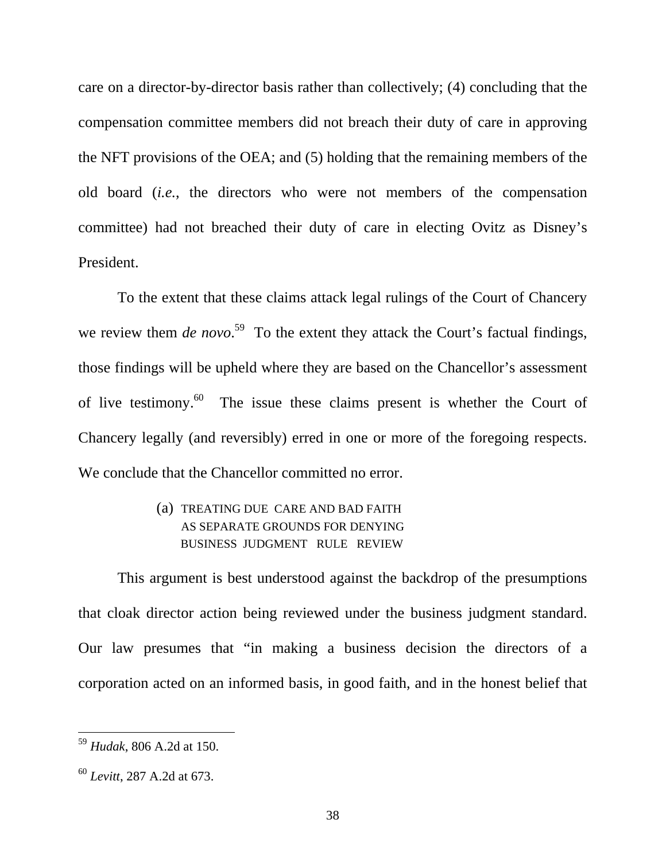care on a director-by-director basis rather than collectively; (4) concluding that the compensation committee members did not breach their duty of care in approving the NFT provisions of the OEA; and (5) holding that the remaining members of the old board (*i.e.*, the directors who were not members of the compensation committee) had not breached their duty of care in electing Ovitz as Disney's President.

To the extent that these claims attack legal rulings of the Court of Chancery we review them *de novo*.<sup>59</sup> To the extent they attack the Court's factual findings, those findings will be upheld where they are based on the Chancellor's assessment of live testimony.60 The issue these claims present is whether the Court of Chancery legally (and reversibly) erred in one or more of the foregoing respects. We conclude that the Chancellor committed no error.

## (a) TREATING DUE CARE AND BAD FAITH AS SEPARATE GROUNDS FOR DENYING BUSINESS JUDGMENT RULE REVIEW

 This argument is best understood against the backdrop of the presumptions that cloak director action being reviewed under the business judgment standard. Our law presumes that "in making a business decision the directors of a corporation acted on an informed basis, in good faith, and in the honest belief that

<sup>59</sup> *Hudak*, 806 A.2d at 150.

<sup>60</sup> *Levitt*, 287 A.2d at 673.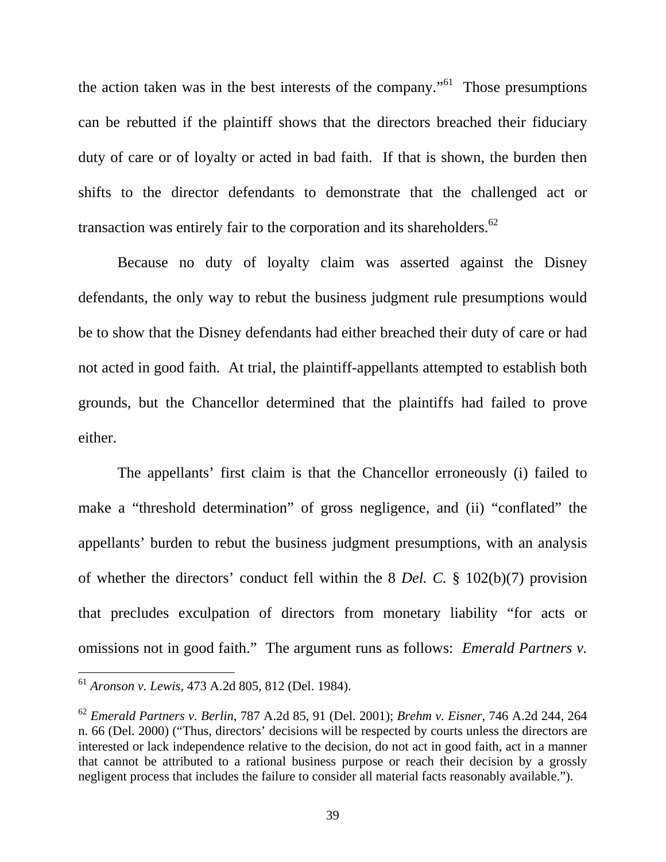the action taken was in the best interests of the company."61 Those presumptions can be rebutted if the plaintiff shows that the directors breached their fiduciary duty of care or of loyalty or acted in bad faith. If that is shown, the burden then shifts to the director defendants to demonstrate that the challenged act or transaction was entirely fair to the corporation and its shareholders. $62$ 

Because no duty of loyalty claim was asserted against the Disney defendants, the only way to rebut the business judgment rule presumptions would be to show that the Disney defendants had either breached their duty of care or had not acted in good faith. At trial, the plaintiff-appellants attempted to establish both grounds, but the Chancellor determined that the plaintiffs had failed to prove either.

 The appellants' first claim is that the Chancellor erroneously (i) failed to make a "threshold determination" of gross negligence, and (ii) "conflated" the appellants' burden to rebut the business judgment presumptions, with an analysis of whether the directors' conduct fell within the 8 *Del. C.* § 102(b)(7) provision that precludes exculpation of directors from monetary liability "for acts or omissions not in good faith." The argument runs as follows: *Emerald Partners v.* 

<sup>61</sup> *Aronson v. Lewis*, 473 A.2d 805, 812 (Del. 1984).

<sup>62</sup> *Emerald Partners v. Berlin*, 787 A.2d 85, 91 (Del. 2001); *Brehm v. Eisner*, 746 A.2d 244, 264 n. 66 (Del. 2000) ("Thus, directors' decisions will be respected by courts unless the directors are interested or lack independence relative to the decision, do not act in good faith, act in a manner that cannot be attributed to a rational business purpose or reach their decision by a grossly negligent process that includes the failure to consider all material facts reasonably available.").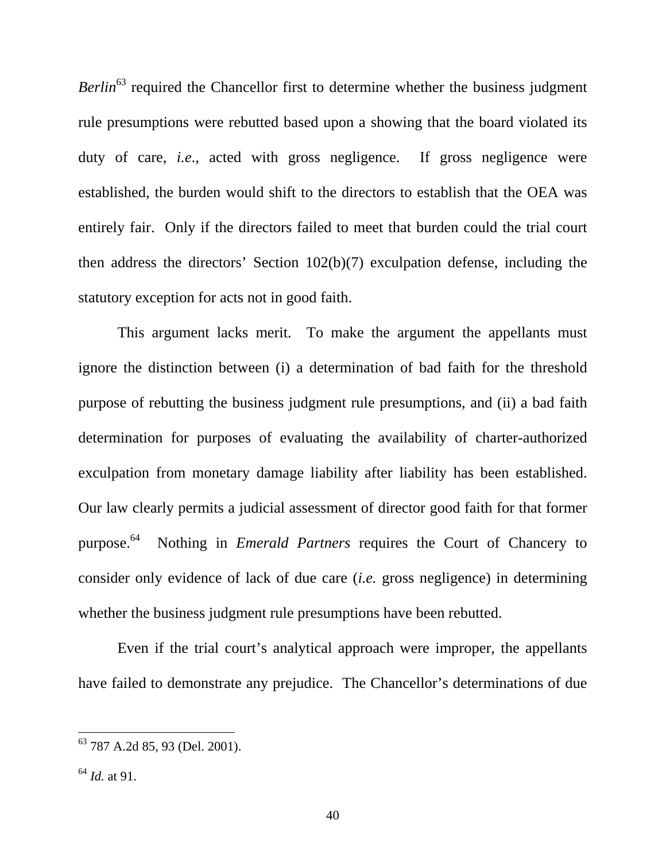*Berlin*<sup>63</sup> required the Chancellor first to determine whether the business judgment rule presumptions were rebutted based upon a showing that the board violated its duty of care, *i.e.*, acted with gross negligence. If gross negligence were established, the burden would shift to the directors to establish that the OEA was entirely fair. Only if the directors failed to meet that burden could the trial court then address the directors' Section 102(b)(7) exculpation defense, including the statutory exception for acts not in good faith.

 This argument lacks merit. To make the argument the appellants must ignore the distinction between (i) a determination of bad faith for the threshold purpose of rebutting the business judgment rule presumptions, and (ii) a bad faith determination for purposes of evaluating the availability of charter-authorized exculpation from monetary damage liability after liability has been established. Our law clearly permits a judicial assessment of director good faith for that former purpose.64 Nothing in *Emerald Partners* requires the Court of Chancery to consider only evidence of lack of due care (*i.e.* gross negligence) in determining whether the business judgment rule presumptions have been rebutted.

Even if the trial court's analytical approach were improper, the appellants have failed to demonstrate any prejudice. The Chancellor's determinations of due

<sup>&</sup>lt;sup>63</sup> 787 A.2d 85, 93 (Del. 2001).

<sup>64</sup> *Id.* at 91.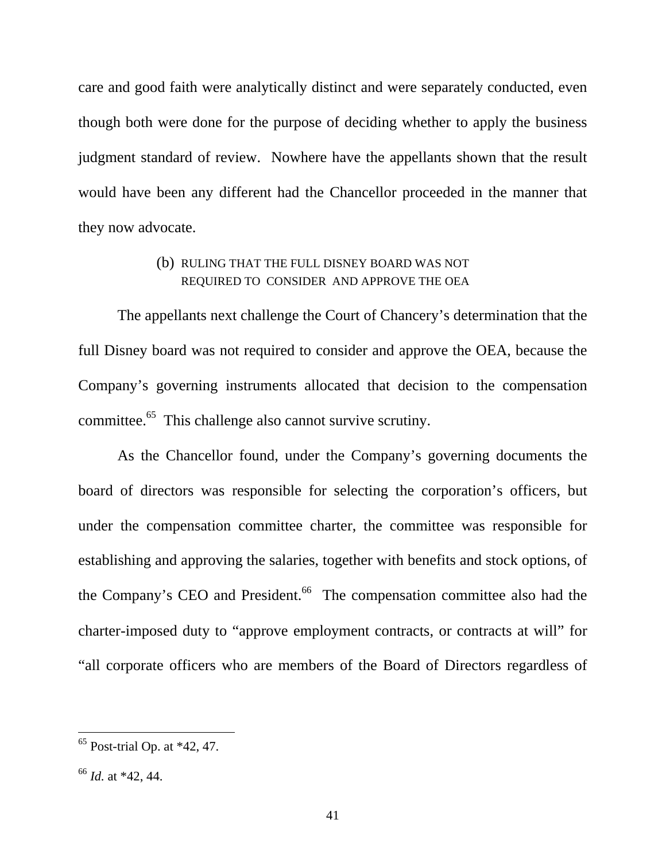care and good faith were analytically distinct and were separately conducted, even though both were done for the purpose of deciding whether to apply the business judgment standard of review. Nowhere have the appellants shown that the result would have been any different had the Chancellor proceeded in the manner that they now advocate.

#### (b) RULING THAT THE FULL DISNEY BOARD WAS NOT REQUIRED TO CONSIDER AND APPROVE THE OEA

The appellants next challenge the Court of Chancery's determination that the full Disney board was not required to consider and approve the OEA, because the Company's governing instruments allocated that decision to the compensation committee.<sup>65</sup> This challenge also cannot survive scrutiny.

As the Chancellor found, under the Company's governing documents the board of directors was responsible for selecting the corporation's officers, but under the compensation committee charter, the committee was responsible for establishing and approving the salaries, together with benefits and stock options, of the Company's CEO and President.<sup>66</sup> The compensation committee also had the charter-imposed duty to "approve employment contracts, or contracts at will" for "all corporate officers who are members of the Board of Directors regardless of

 $65$  Post-trial Op. at  $*42$ , 47.

<sup>66</sup> *Id.* at \*42, 44.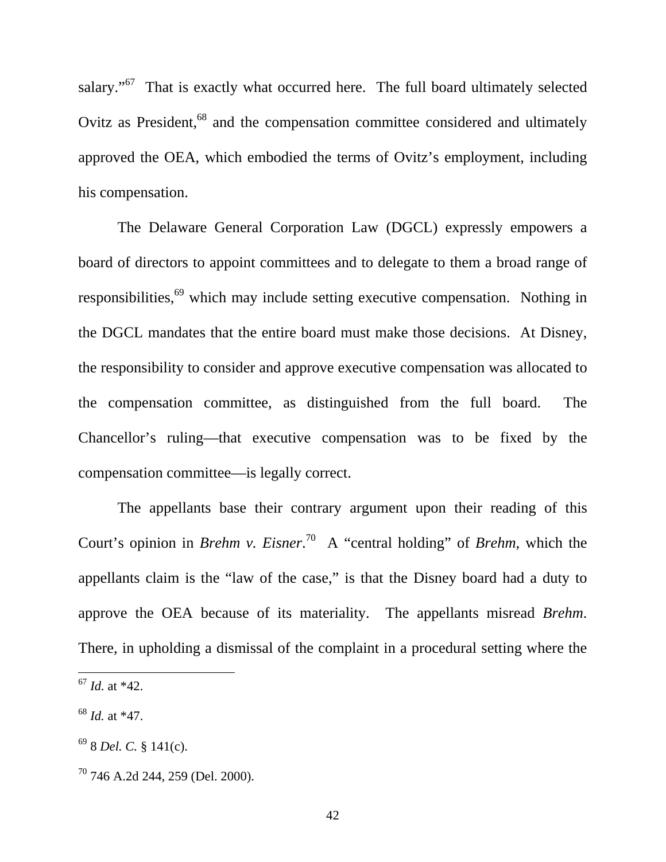salary."<sup>67</sup> That is exactly what occurred here. The full board ultimately selected Ovitz as President,<sup>68</sup> and the compensation committee considered and ultimately approved the OEA, which embodied the terms of Ovitz's employment, including his compensation.

The Delaware General Corporation Law (DGCL) expressly empowers a board of directors to appoint committees and to delegate to them a broad range of responsibilities,<sup>69</sup> which may include setting executive compensation. Nothing in the DGCL mandates that the entire board must make those decisions. At Disney, the responsibility to consider and approve executive compensation was allocated to the compensation committee, as distinguished from the full board. The Chancellor's ruling—that executive compensation was to be fixed by the compensation committee—is legally correct.

The appellants base their contrary argument upon their reading of this Court's opinion in *Brehm v. Eisner*. 70 A "central holding" of *Brehm*, which the appellants claim is the "law of the case," is that the Disney board had a duty to approve the OEA because of its materiality. The appellants misread *Brehm*. There, in upholding a dismissal of the complaint in a procedural setting where the

<sup>67</sup> *Id.* at \*42.

<sup>68</sup> *Id.* at \*47.

<sup>69 8</sup> *Del. C.* § 141(c).

<sup>70 746</sup> A.2d 244, 259 (Del. 2000).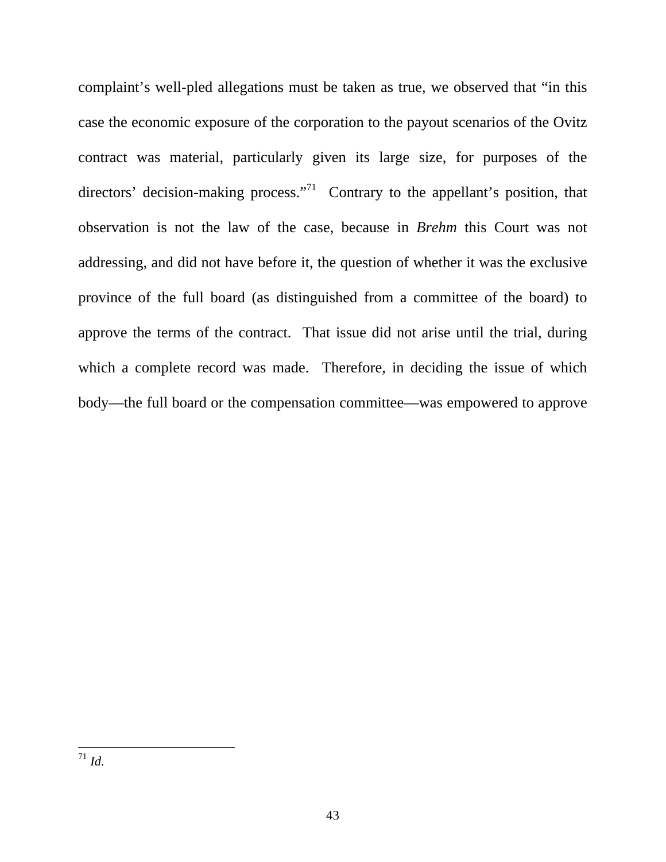complaint's well-pled allegations must be taken as true, we observed that "in this case the economic exposure of the corporation to the payout scenarios of the Ovitz contract was material, particularly given its large size, for purposes of the directors' decision-making process."<sup>71</sup> Contrary to the appellant's position, that observation is not the law of the case, because in *Brehm* this Court was not addressing, and did not have before it, the question of whether it was the exclusive province of the full board (as distinguished from a committee of the board) to approve the terms of the contract. That issue did not arise until the trial, during which a complete record was made. Therefore, in deciding the issue of which body—the full board or the compensation committee—was empowered to approve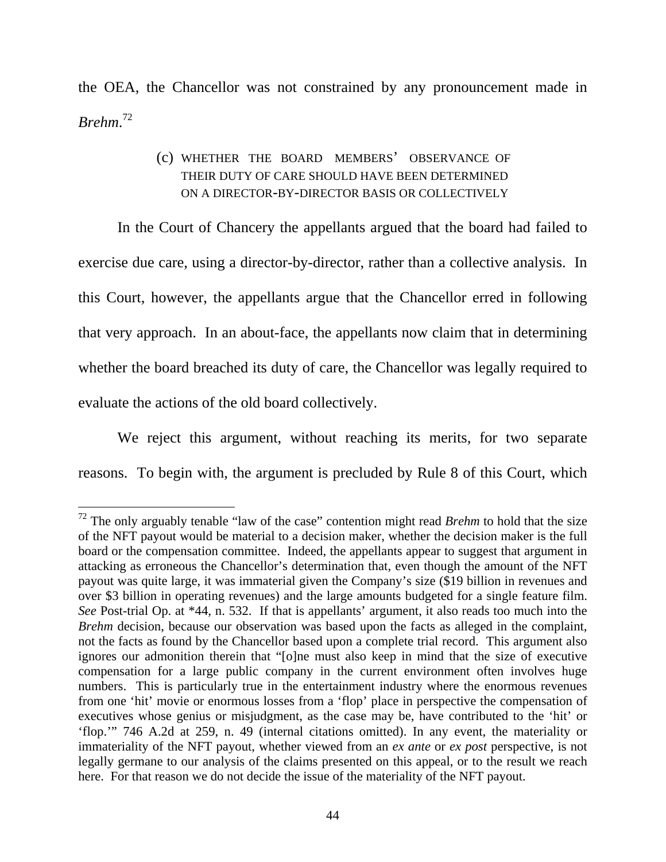the OEA, the Chancellor was not constrained by any pronouncement made in *Brehm*. 72

## (c) WHETHER THE BOARD MEMBERS' OBSERVANCE OF THEIR DUTY OF CARE SHOULD HAVE BEEN DETERMINED ON A DIRECTOR-BY-DIRECTOR BASIS OR COLLECTIVELY

 In the Court of Chancery the appellants argued that the board had failed to exercise due care, using a director-by-director, rather than a collective analysis. In this Court, however, the appellants argue that the Chancellor erred in following that very approach. In an about-face, the appellants now claim that in determining whether the board breached its duty of care, the Chancellor was legally required to evaluate the actions of the old board collectively.

We reject this argument, without reaching its merits, for two separate reasons. To begin with, the argument is precluded by Rule 8 of this Court, which

<sup>&</sup>lt;sup>72</sup> The only arguably tenable "law of the case" contention might read *Brehm* to hold that the size of the NFT payout would be material to a decision maker, whether the decision maker is the full board or the compensation committee. Indeed, the appellants appear to suggest that argument in attacking as erroneous the Chancellor's determination that, even though the amount of the NFT payout was quite large, it was immaterial given the Company's size (\$19 billion in revenues and over \$3 billion in operating revenues) and the large amounts budgeted for a single feature film. *See* Post-trial Op. at \*44, n. 532. If that is appellants' argument, it also reads too much into the *Brehm* decision, because our observation was based upon the facts as alleged in the complaint, not the facts as found by the Chancellor based upon a complete trial record. This argument also ignores our admonition therein that "[o]ne must also keep in mind that the size of executive compensation for a large public company in the current environment often involves huge numbers. This is particularly true in the entertainment industry where the enormous revenues from one 'hit' movie or enormous losses from a 'flop' place in perspective the compensation of executives whose genius or misjudgment, as the case may be, have contributed to the 'hit' or 'flop.'" 746 A.2d at 259, n. 49 (internal citations omitted). In any event, the materiality or immateriality of the NFT payout, whether viewed from an *ex ante* or *ex post* perspective, is not legally germane to our analysis of the claims presented on this appeal, or to the result we reach here. For that reason we do not decide the issue of the materiality of the NFT payout.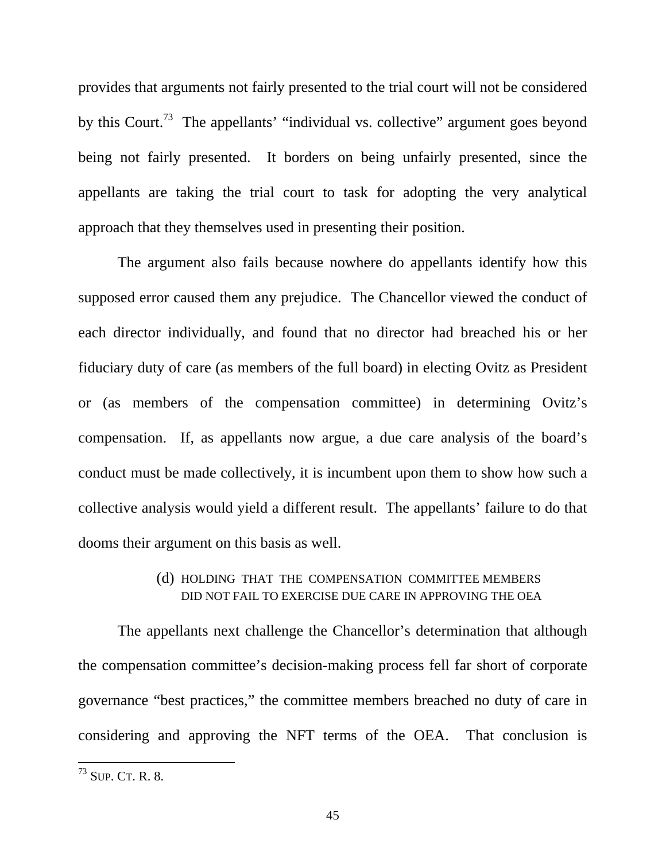provides that arguments not fairly presented to the trial court will not be considered by this Court.<sup>73</sup> The appellants' "individual vs. collective" argument goes beyond being not fairly presented. It borders on being unfairly presented, since the appellants are taking the trial court to task for adopting the very analytical approach that they themselves used in presenting their position.

 The argument also fails because nowhere do appellants identify how this supposed error caused them any prejudice. The Chancellor viewed the conduct of each director individually, and found that no director had breached his or her fiduciary duty of care (as members of the full board) in electing Ovitz as President or (as members of the compensation committee) in determining Ovitz's compensation. If, as appellants now argue, a due care analysis of the board's conduct must be made collectively, it is incumbent upon them to show how such a collective analysis would yield a different result. The appellants' failure to do that dooms their argument on this basis as well.

#### (d) HOLDING THAT THE COMPENSATION COMMITTEE MEMBERS DID NOT FAIL TO EXERCISE DUE CARE IN APPROVING THE OEA

The appellants next challenge the Chancellor's determination that although the compensation committee's decision-making process fell far short of corporate governance "best practices," the committee members breached no duty of care in considering and approving the NFT terms of the OEA. That conclusion is

 $^{73}$  SUP. CT. R. 8.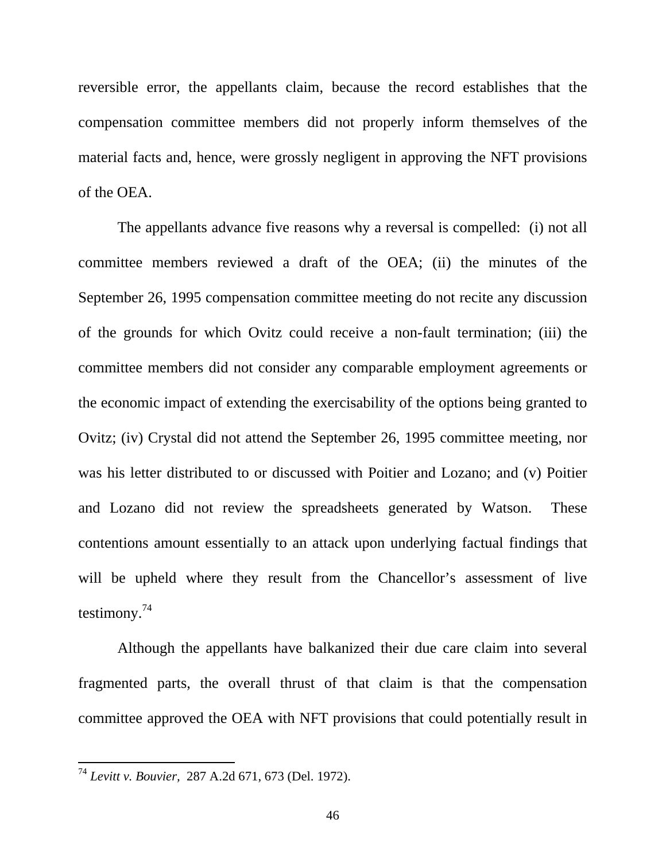reversible error, the appellants claim, because the record establishes that the compensation committee members did not properly inform themselves of the material facts and, hence, were grossly negligent in approving the NFT provisions of the OEA.

The appellants advance five reasons why a reversal is compelled: (i) not all committee members reviewed a draft of the OEA; (ii) the minutes of the September 26, 1995 compensation committee meeting do not recite any discussion of the grounds for which Ovitz could receive a non-fault termination; (iii) the committee members did not consider any comparable employment agreements or the economic impact of extending the exercisability of the options being granted to Ovitz; (iv) Crystal did not attend the September 26, 1995 committee meeting, nor was his letter distributed to or discussed with Poitier and Lozano; and (v) Poitier and Lozano did not review the spreadsheets generated by Watson. These contentions amount essentially to an attack upon underlying factual findings that will be upheld where they result from the Chancellor's assessment of live testimony.74

Although the appellants have balkanized their due care claim into several fragmented parts, the overall thrust of that claim is that the compensation committee approved the OEA with NFT provisions that could potentially result in

<sup>74</sup> *Levitt v. Bouvier,* 287 A.2d 671, 673 (Del. 1972).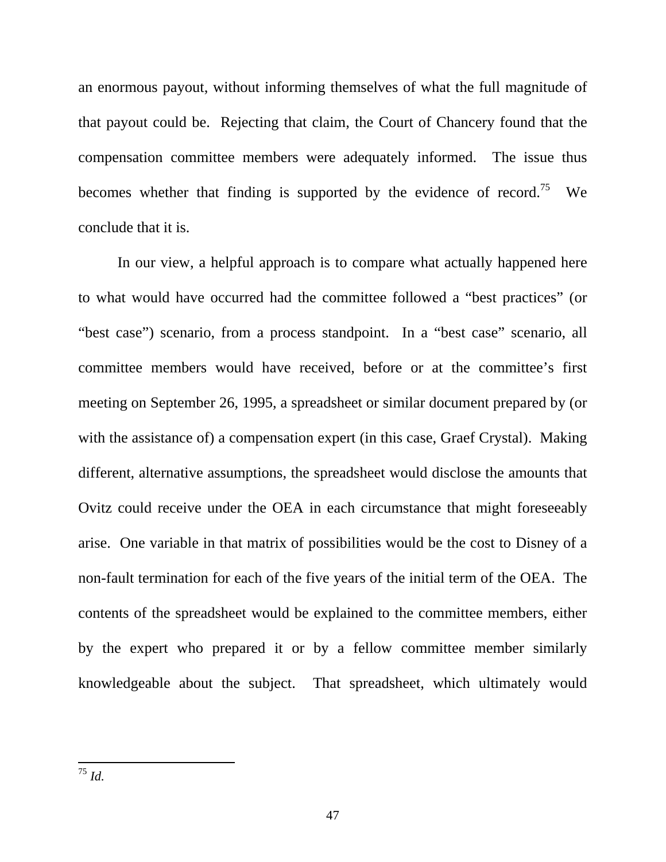an enormous payout, without informing themselves of what the full magnitude of that payout could be. Rejecting that claim, the Court of Chancery found that the compensation committee members were adequately informed. The issue thus becomes whether that finding is supported by the evidence of record.<sup>75</sup> We conclude that it is.

In our view, a helpful approach is to compare what actually happened here to what would have occurred had the committee followed a "best practices" (or "best case") scenario, from a process standpoint. In a "best case" scenario, all committee members would have received, before or at the committee's first meeting on September 26, 1995, a spreadsheet or similar document prepared by (or with the assistance of) a compensation expert (in this case, Graef Crystal). Making different, alternative assumptions, the spreadsheet would disclose the amounts that Ovitz could receive under the OEA in each circumstance that might foreseeably arise. One variable in that matrix of possibilities would be the cost to Disney of a non-fault termination for each of the five years of the initial term of the OEA. The contents of the spreadsheet would be explained to the committee members, either by the expert who prepared it or by a fellow committee member similarly knowledgeable about the subject. That spreadsheet, which ultimately would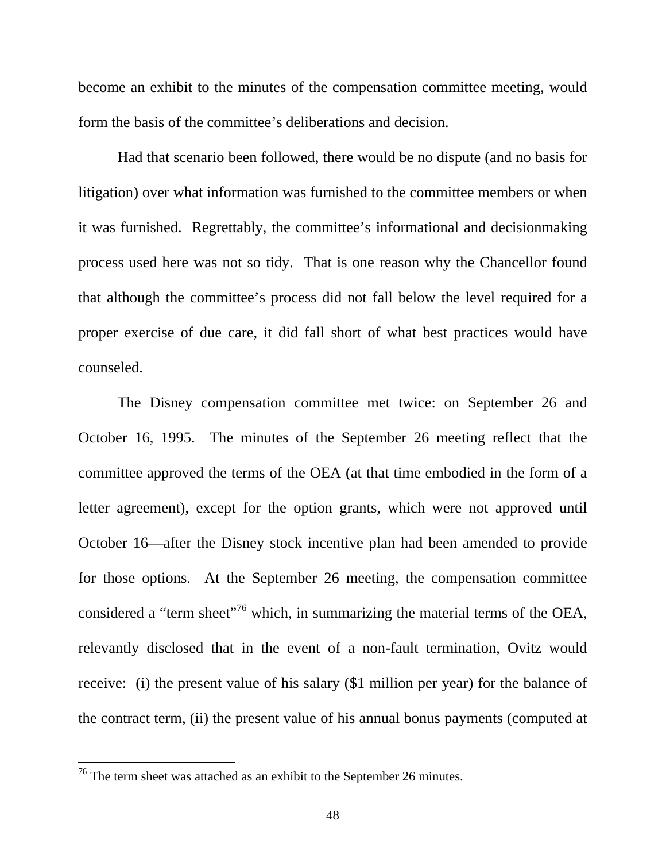become an exhibit to the minutes of the compensation committee meeting, would form the basis of the committee's deliberations and decision.

Had that scenario been followed, there would be no dispute (and no basis for litigation) over what information was furnished to the committee members or when it was furnished. Regrettably, the committee's informational and decisionmaking process used here was not so tidy. That is one reason why the Chancellor found that although the committee's process did not fall below the level required for a proper exercise of due care, it did fall short of what best practices would have counseled.

The Disney compensation committee met twice: on September 26 and October 16, 1995. The minutes of the September 26 meeting reflect that the committee approved the terms of the OEA (at that time embodied in the form of a letter agreement), except for the option grants, which were not approved until October 16—after the Disney stock incentive plan had been amended to provide for those options. At the September 26 meeting, the compensation committee considered a "term sheet"<sup>76</sup> which, in summarizing the material terms of the OEA, relevantly disclosed that in the event of a non-fault termination, Ovitz would receive: (i) the present value of his salary (\$1 million per year) for the balance of the contract term, (ii) the present value of his annual bonus payments (computed at

 $76$  The term sheet was attached as an exhibit to the September 26 minutes.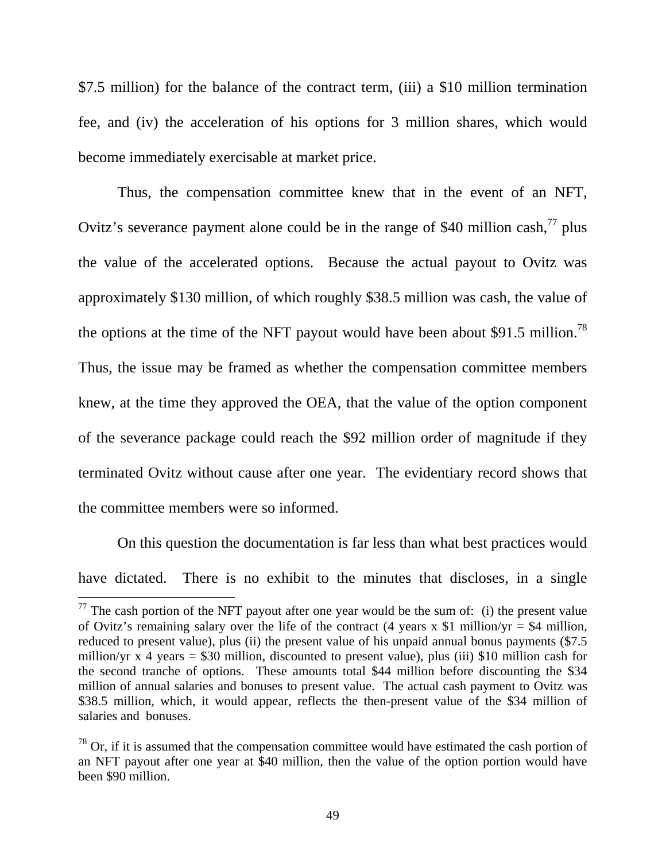\$7.5 million) for the balance of the contract term, (iii) a \$10 million termination fee, and (iv) the acceleration of his options for 3 million shares, which would become immediately exercisable at market price.

Thus, the compensation committee knew that in the event of an NFT, Ovitz's severance payment alone could be in the range of \$40 million cash,  $^{77}$  plus the value of the accelerated options. Because the actual payout to Ovitz was approximately \$130 million, of which roughly \$38.5 million was cash, the value of the options at the time of the NFT payout would have been about \$91.5 million.<sup>78</sup> Thus, the issue may be framed as whether the compensation committee members knew, at the time they approved the OEA, that the value of the option component of the severance package could reach the \$92 million order of magnitude if they terminated Ovitz without cause after one year. The evidentiary record shows that the committee members were so informed.

On this question the documentation is far less than what best practices would have dictated. There is no exhibit to the minutes that discloses, in a single

 $77$  The cash portion of the NFT payout after one year would be the sum of: (i) the present value of Ovitz's remaining salary over the life of the contract (4 years x \$1 million/yr = \$4 million, reduced to present value), plus (ii) the present value of his unpaid annual bonus payments (\$7.5) million/yr x 4 years =  $$30$  million, discounted to present value), plus (iii) \$10 million cash for the second tranche of options. These amounts total \$44 million before discounting the \$34 million of annual salaries and bonuses to present value. The actual cash payment to Ovitz was \$38.5 million, which, it would appear, reflects the then-present value of the \$34 million of salaries and bonuses.

 $78$  Or, if it is assumed that the compensation committee would have estimated the cash portion of an NFT payout after one year at \$40 million, then the value of the option portion would have been \$90 million.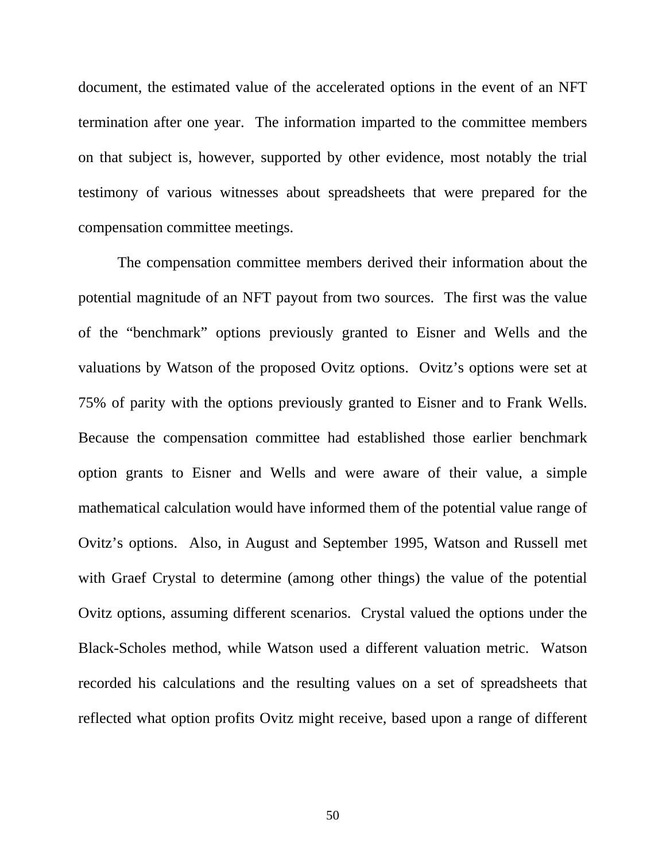document, the estimated value of the accelerated options in the event of an NFT termination after one year. The information imparted to the committee members on that subject is, however, supported by other evidence, most notably the trial testimony of various witnesses about spreadsheets that were prepared for the compensation committee meetings.

The compensation committee members derived their information about the potential magnitude of an NFT payout from two sources. The first was the value of the "benchmark" options previously granted to Eisner and Wells and the valuations by Watson of the proposed Ovitz options. Ovitz's options were set at 75% of parity with the options previously granted to Eisner and to Frank Wells. Because the compensation committee had established those earlier benchmark option grants to Eisner and Wells and were aware of their value, a simple mathematical calculation would have informed them of the potential value range of Ovitz's options. Also, in August and September 1995, Watson and Russell met with Graef Crystal to determine (among other things) the value of the potential Ovitz options, assuming different scenarios. Crystal valued the options under the Black-Scholes method, while Watson used a different valuation metric. Watson recorded his calculations and the resulting values on a set of spreadsheets that reflected what option profits Ovitz might receive, based upon a range of different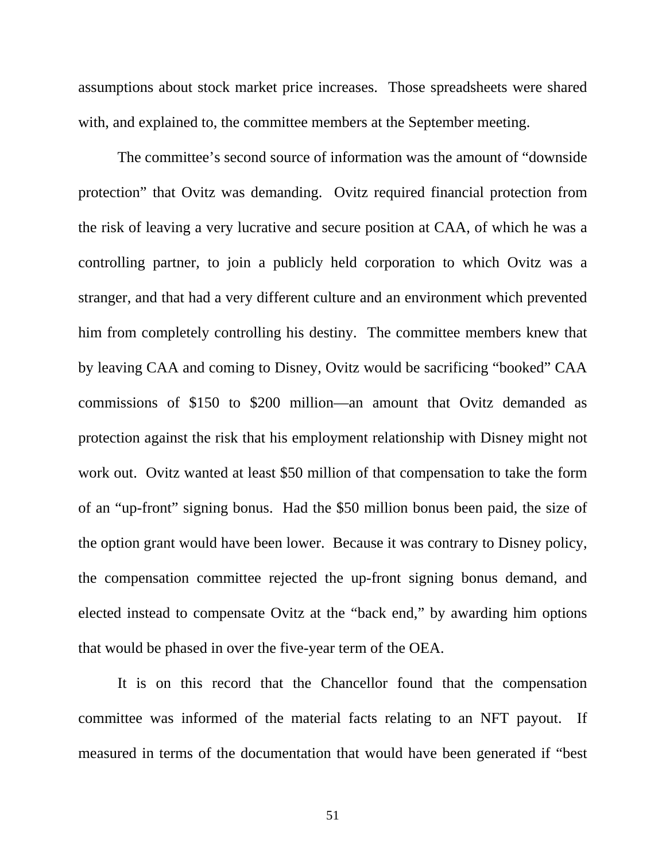assumptions about stock market price increases. Those spreadsheets were shared with, and explained to, the committee members at the September meeting.

The committee's second source of information was the amount of "downside protection" that Ovitz was demanding. Ovitz required financial protection from the risk of leaving a very lucrative and secure position at CAA, of which he was a controlling partner, to join a publicly held corporation to which Ovitz was a stranger, and that had a very different culture and an environment which prevented him from completely controlling his destiny. The committee members knew that by leaving CAA and coming to Disney, Ovitz would be sacrificing "booked" CAA commissions of \$150 to \$200 million—an amount that Ovitz demanded as protection against the risk that his employment relationship with Disney might not work out. Ovitz wanted at least \$50 million of that compensation to take the form of an "up-front" signing bonus. Had the \$50 million bonus been paid, the size of the option grant would have been lower. Because it was contrary to Disney policy, the compensation committee rejected the up-front signing bonus demand, and elected instead to compensate Ovitz at the "back end," by awarding him options that would be phased in over the five-year term of the OEA.

It is on this record that the Chancellor found that the compensation committee was informed of the material facts relating to an NFT payout. If measured in terms of the documentation that would have been generated if "best

51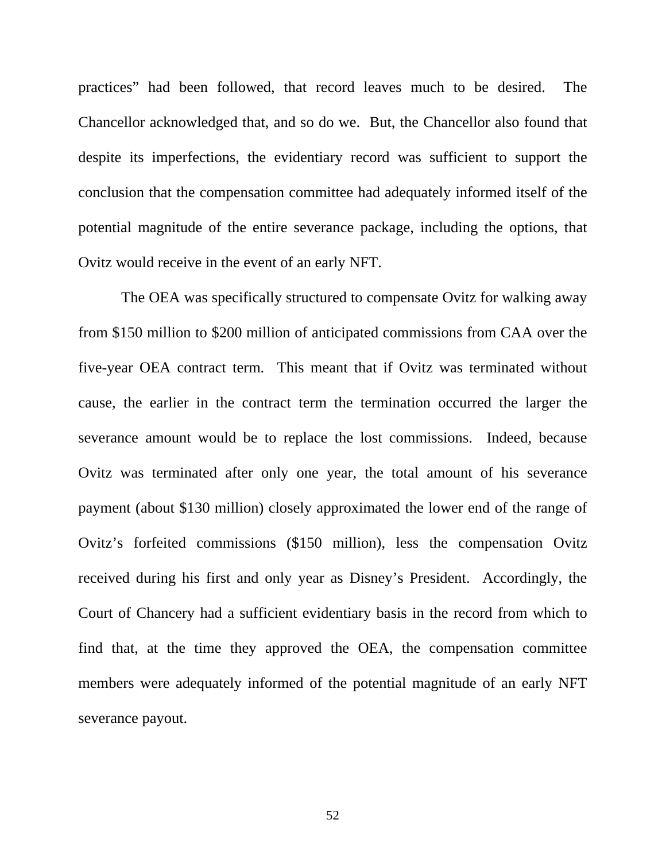practices" had been followed, that record leaves much to be desired. The Chancellor acknowledged that, and so do we. But, the Chancellor also found that despite its imperfections, the evidentiary record was sufficient to support the conclusion that the compensation committee had adequately informed itself of the potential magnitude of the entire severance package, including the options, that Ovitz would receive in the event of an early NFT.

 The OEA was specifically structured to compensate Ovitz for walking away from \$150 million to \$200 million of anticipated commissions from CAA over the five-year OEA contract term. This meant that if Ovitz was terminated without cause, the earlier in the contract term the termination occurred the larger the severance amount would be to replace the lost commissions. Indeed, because Ovitz was terminated after only one year, the total amount of his severance payment (about \$130 million) closely approximated the lower end of the range of Ovitz's forfeited commissions (\$150 million), less the compensation Ovitz received during his first and only year as Disney's President. Accordingly, the Court of Chancery had a sufficient evidentiary basis in the record from which to find that, at the time they approved the OEA, the compensation committee members were adequately informed of the potential magnitude of an early NFT severance payout.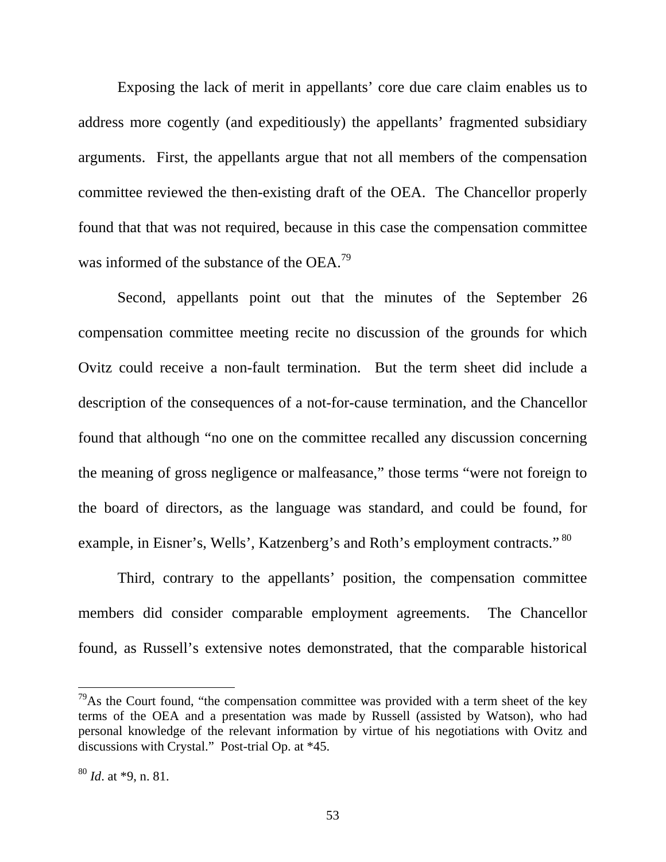Exposing the lack of merit in appellants' core due care claim enables us to address more cogently (and expeditiously) the appellants' fragmented subsidiary arguments. First, the appellants argue that not all members of the compensation committee reviewed the then-existing draft of the OEA. The Chancellor properly found that that was not required, because in this case the compensation committee was informed of the substance of the OEA.<sup>79</sup>

Second, appellants point out that the minutes of the September 26 compensation committee meeting recite no discussion of the grounds for which Ovitz could receive a non-fault termination. But the term sheet did include a description of the consequences of a not-for-cause termination, and the Chancellor found that although "no one on the committee recalled any discussion concerning the meaning of gross negligence or malfeasance," those terms "were not foreign to the board of directors, as the language was standard, and could be found, for example, in Eisner's, Wells', Katzenberg's and Roth's employment contracts."<sup>80</sup>

Third, contrary to the appellants' position, the compensation committee members did consider comparable employment agreements. The Chancellor found, as Russell's extensive notes demonstrated, that the comparable historical

 $79\text{As}$  the Court found, "the compensation committee was provided with a term sheet of the key terms of the OEA and a presentation was made by Russell (assisted by Watson), who had personal knowledge of the relevant information by virtue of his negotiations with Ovitz and discussions with Crystal." Post-trial Op. at \*45.

<sup>80</sup> *Id*. at \*9, n. 81.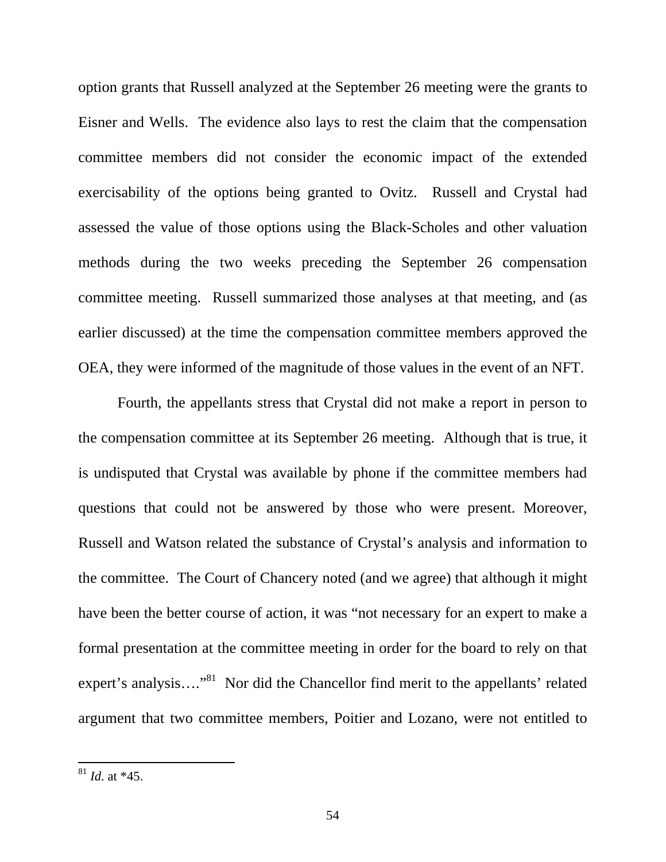option grants that Russell analyzed at the September 26 meeting were the grants to Eisner and Wells. The evidence also lays to rest the claim that the compensation committee members did not consider the economic impact of the extended exercisability of the options being granted to Ovitz. Russell and Crystal had assessed the value of those options using the Black-Scholes and other valuation methods during the two weeks preceding the September 26 compensation committee meeting. Russell summarized those analyses at that meeting, and (as earlier discussed) at the time the compensation committee members approved the OEA, they were informed of the magnitude of those values in the event of an NFT.

Fourth, the appellants stress that Crystal did not make a report in person to the compensation committee at its September 26 meeting. Although that is true, it is undisputed that Crystal was available by phone if the committee members had questions that could not be answered by those who were present. Moreover, Russell and Watson related the substance of Crystal's analysis and information to the committee. The Court of Chancery noted (and we agree) that although it might have been the better course of action, it was "not necessary for an expert to make a formal presentation at the committee meeting in order for the board to rely on that expert's analysis...."<sup>81</sup> Nor did the Chancellor find merit to the appellants' related argument that two committee members, Poitier and Lozano, were not entitled to

 $81$  *Id.* at \*45.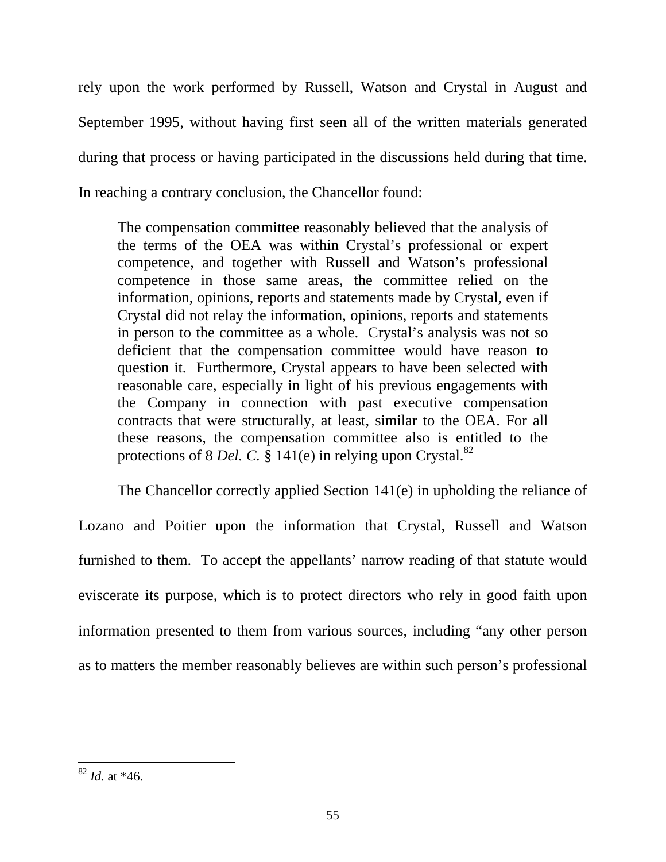rely upon the work performed by Russell, Watson and Crystal in August and September 1995, without having first seen all of the written materials generated during that process or having participated in the discussions held during that time. In reaching a contrary conclusion, the Chancellor found:

The compensation committee reasonably believed that the analysis of the terms of the OEA was within Crystal's professional or expert competence, and together with Russell and Watson's professional competence in those same areas, the committee relied on the information, opinions, reports and statements made by Crystal, even if Crystal did not relay the information, opinions, reports and statements in person to the committee as a whole. Crystal's analysis was not so deficient that the compensation committee would have reason to question it. Furthermore, Crystal appears to have been selected with reasonable care, especially in light of his previous engagements with the Company in connection with past executive compensation contracts that were structurally, at least, similar to the OEA. For all these reasons, the compensation committee also is entitled to the protections of 8 *Del. C.*  $\S$  141(e) in relying upon Crystal.<sup>82</sup>

 The Chancellor correctly applied Section 141(e) in upholding the reliance of Lozano and Poitier upon the information that Crystal, Russell and Watson furnished to them. To accept the appellants' narrow reading of that statute would eviscerate its purpose, which is to protect directors who rely in good faith upon information presented to them from various sources, including "any other person as to matters the member reasonably believes are within such person's professional

<sup>82</sup> *Id.* at \*46.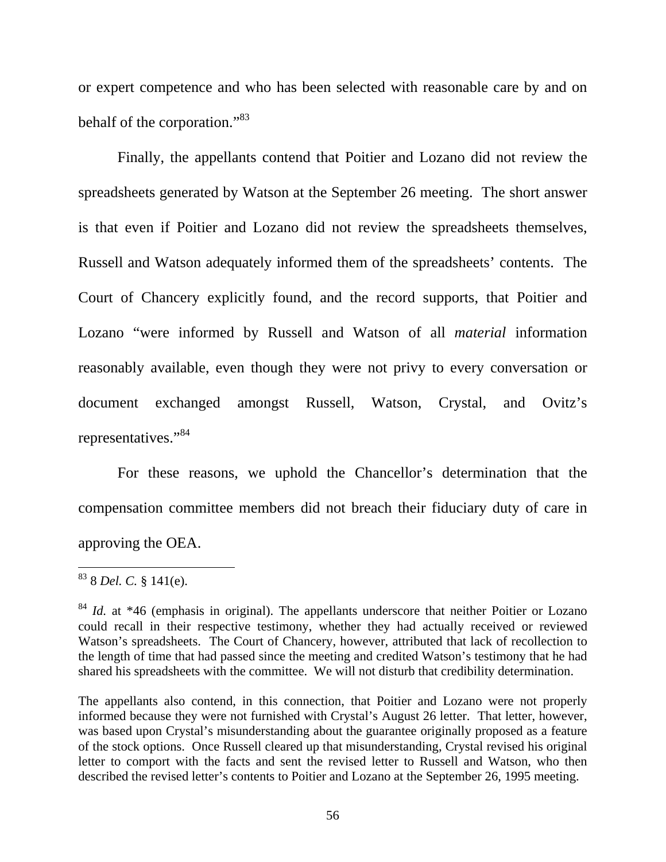or expert competence and who has been selected with reasonable care by and on behalf of the corporation."<sup>83</sup>

 Finally, the appellants contend that Poitier and Lozano did not review the spreadsheets generated by Watson at the September 26 meeting. The short answer is that even if Poitier and Lozano did not review the spreadsheets themselves, Russell and Watson adequately informed them of the spreadsheets' contents. The Court of Chancery explicitly found, and the record supports, that Poitier and Lozano "were informed by Russell and Watson of all *material* information reasonably available, even though they were not privy to every conversation or document exchanged amongst Russell, Watson, Crystal, and Ovitz's representatives."<sup>84</sup>

 For these reasons, we uphold the Chancellor's determination that the compensation committee members did not breach their fiduciary duty of care in approving the OEA.

 $\overline{a}$ 83 8 *Del. C.* § 141(e).

<sup>&</sup>lt;sup>84</sup> *Id.* at \*46 (emphasis in original). The appellants underscore that neither Poitier or Lozano could recall in their respective testimony, whether they had actually received or reviewed Watson's spreadsheets. The Court of Chancery, however, attributed that lack of recollection to the length of time that had passed since the meeting and credited Watson's testimony that he had shared his spreadsheets with the committee. We will not disturb that credibility determination.

The appellants also contend, in this connection, that Poitier and Lozano were not properly informed because they were not furnished with Crystal's August 26 letter. That letter, however, was based upon Crystal's misunderstanding about the guarantee originally proposed as a feature of the stock options. Once Russell cleared up that misunderstanding, Crystal revised his original letter to comport with the facts and sent the revised letter to Russell and Watson, who then described the revised letter's contents to Poitier and Lozano at the September 26, 1995 meeting.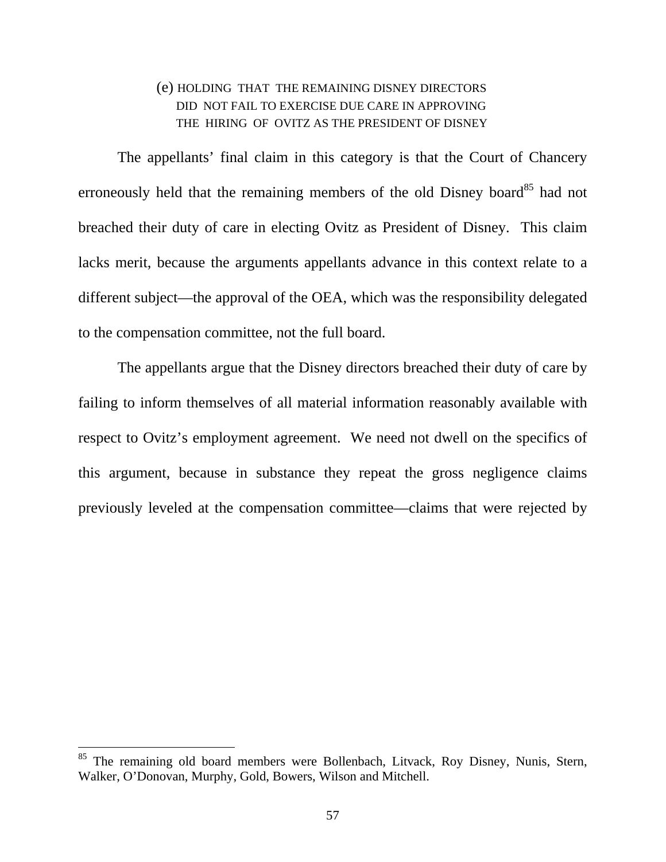## (e) HOLDING THAT THE REMAINING DISNEY DIRECTORS DID NOT FAIL TO EXERCISE DUE CARE IN APPROVING THE HIRING OF OVITZ AS THE PRESIDENT OF DISNEY

 The appellants' final claim in this category is that the Court of Chancery erroneously held that the remaining members of the old Disney board<sup>85</sup> had not breached their duty of care in electing Ovitz as President of Disney. This claim lacks merit, because the arguments appellants advance in this context relate to a different subject—the approval of the OEA, which was the responsibility delegated to the compensation committee, not the full board.

 The appellants argue that the Disney directors breached their duty of care by failing to inform themselves of all material information reasonably available with respect to Ovitz's employment agreement. We need not dwell on the specifics of this argument, because in substance they repeat the gross negligence claims previously leveled at the compensation committee—claims that were rejected by

<sup>&</sup>lt;sup>85</sup> The remaining old board members were Bollenbach, Litvack, Roy Disney, Nunis, Stern, Walker, O'Donovan, Murphy, Gold, Bowers, Wilson and Mitchell.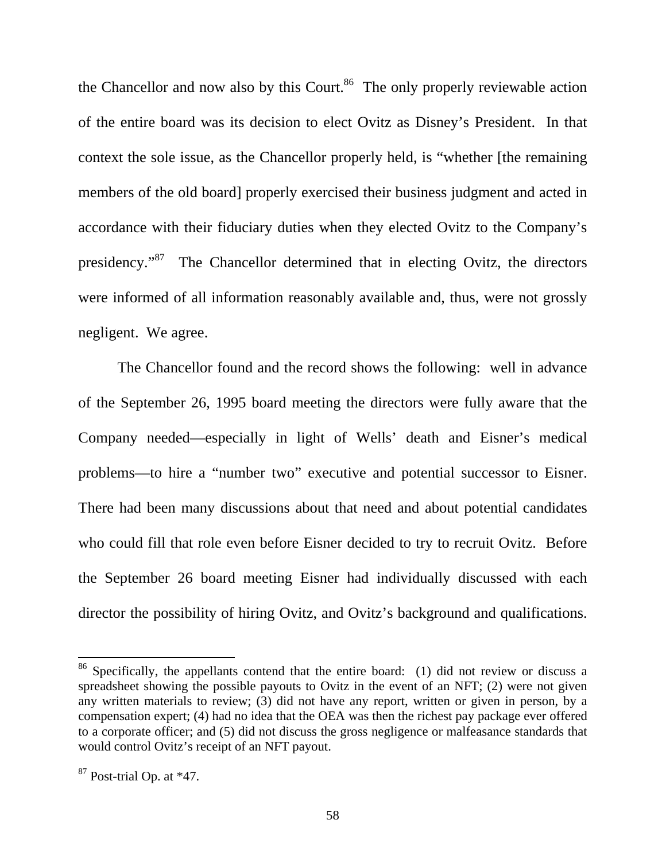the Chancellor and now also by this Court.<sup>86</sup> The only properly reviewable action of the entire board was its decision to elect Ovitz as Disney's President. In that context the sole issue, as the Chancellor properly held, is "whether [the remaining members of the old board] properly exercised their business judgment and acted in accordance with their fiduciary duties when they elected Ovitz to the Company's presidency."87 The Chancellor determined that in electing Ovitz, the directors were informed of all information reasonably available and, thus, were not grossly negligent. We agree.

 The Chancellor found and the record shows the following: well in advance of the September 26, 1995 board meeting the directors were fully aware that the Company needed—especially in light of Wells' death and Eisner's medical problems—to hire a "number two" executive and potential successor to Eisner. There had been many discussions about that need and about potential candidates who could fill that role even before Eisner decided to try to recruit Ovitz. Before the September 26 board meeting Eisner had individually discussed with each director the possibility of hiring Ovitz, and Ovitz's background and qualifications.

 $86$  Specifically, the appellants contend that the entire board: (1) did not review or discuss a spreadsheet showing the possible payouts to Ovitz in the event of an NFT; (2) were not given any written materials to review; (3) did not have any report, written or given in person, by a compensation expert; (4) had no idea that the OEA was then the richest pay package ever offered to a corporate officer; and (5) did not discuss the gross negligence or malfeasance standards that would control Ovitz's receipt of an NFT payout.

 $87$  Post-trial Op. at  $*47$ .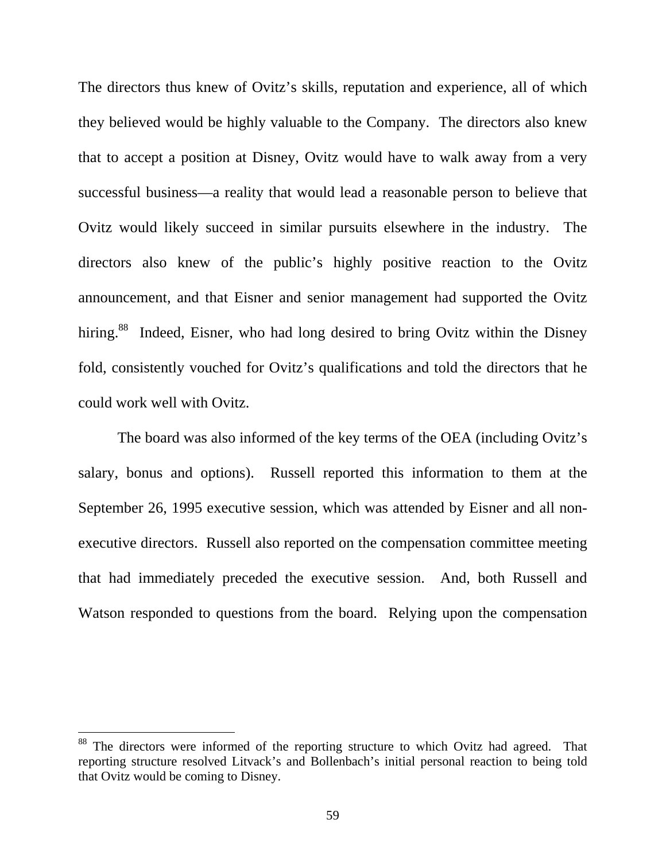The directors thus knew of Ovitz's skills, reputation and experience, all of which they believed would be highly valuable to the Company. The directors also knew that to accept a position at Disney, Ovitz would have to walk away from a very successful business—a reality that would lead a reasonable person to believe that Ovitz would likely succeed in similar pursuits elsewhere in the industry. The directors also knew of the public's highly positive reaction to the Ovitz announcement, and that Eisner and senior management had supported the Ovitz hiring.<sup>88</sup> Indeed, Eisner, who had long desired to bring Ovitz within the Disney fold, consistently vouched for Ovitz's qualifications and told the directors that he could work well with Ovitz.

 The board was also informed of the key terms of the OEA (including Ovitz's salary, bonus and options). Russell reported this information to them at the September 26, 1995 executive session, which was attended by Eisner and all nonexecutive directors. Russell also reported on the compensation committee meeting that had immediately preceded the executive session. And, both Russell and Watson responded to questions from the board. Relying upon the compensation

<sup>&</sup>lt;sup>88</sup> The directors were informed of the reporting structure to which Ovitz had agreed. That reporting structure resolved Litvack's and Bollenbach's initial personal reaction to being told that Ovitz would be coming to Disney.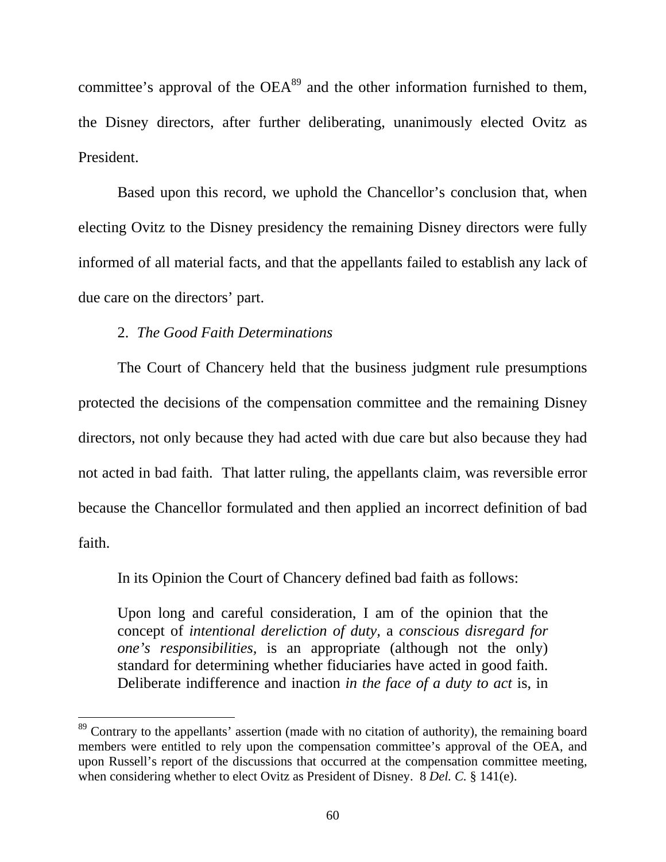committee's approval of the  $OEA^{89}$  and the other information furnished to them, the Disney directors, after further deliberating, unanimously elected Ovitz as President.

 Based upon this record, we uphold the Chancellor's conclusion that, when electing Ovitz to the Disney presidency the remaining Disney directors were fully informed of all material facts, and that the appellants failed to establish any lack of due care on the directors' part.

## 2. *The Good Faith Determinations*

 $\overline{a}$ 

The Court of Chancery held that the business judgment rule presumptions protected the decisions of the compensation committee and the remaining Disney directors, not only because they had acted with due care but also because they had not acted in bad faith. That latter ruling, the appellants claim, was reversible error because the Chancellor formulated and then applied an incorrect definition of bad faith.

In its Opinion the Court of Chancery defined bad faith as follows:

Upon long and careful consideration, I am of the opinion that the concept of *intentional dereliction of duty,* a *conscious disregard for one's responsibilities,* is an appropriate (although not the only) standard for determining whether fiduciaries have acted in good faith. Deliberate indifference and inaction *in the face of a duty to act* is, in

<sup>&</sup>lt;sup>89</sup> Contrary to the appellants' assertion (made with no citation of authority), the remaining board members were entitled to rely upon the compensation committee's approval of the OEA, and upon Russell's report of the discussions that occurred at the compensation committee meeting, when considering whether to elect Ovitz as President of Disney. 8 *Del. C.* § 141(e).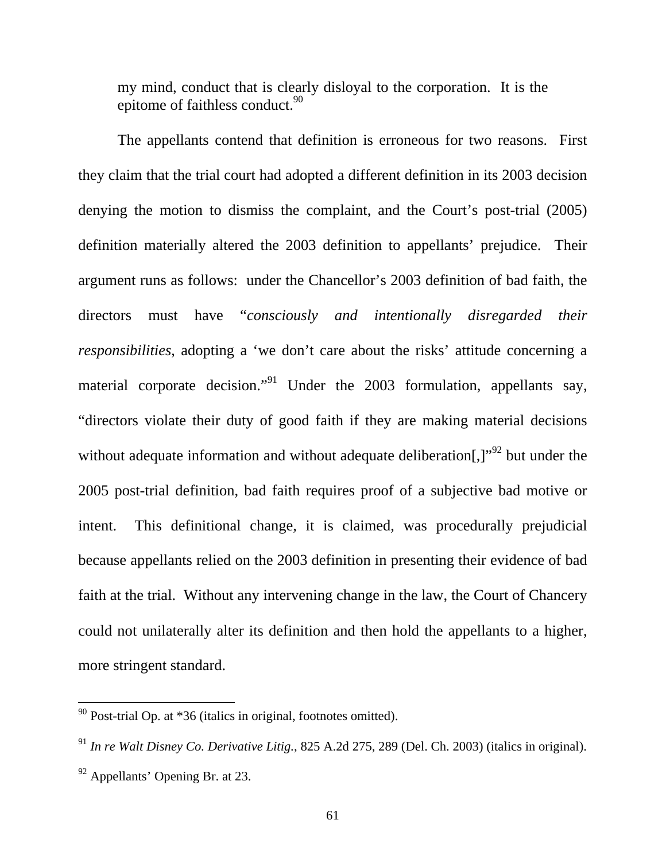my mind, conduct that is clearly disloyal to the corporation. It is the epitome of faithless conduct.<sup>90</sup>

The appellants contend that definition is erroneous for two reasons. First they claim that the trial court had adopted a different definition in its 2003 decision denying the motion to dismiss the complaint, and the Court's post-trial (2005) definition materially altered the 2003 definition to appellants' prejudice. Their argument runs as follows: under the Chancellor's 2003 definition of bad faith, the directors must have "*consciously and intentionally disregarded their responsibilities*, adopting a 'we don't care about the risks' attitude concerning a material corporate decision."<sup>91</sup> Under the 2003 formulation, appellants say, "directors violate their duty of good faith if they are making material decisions without adequate information and without adequate deliberation[,]"<sup>92</sup> but under the 2005 post-trial definition, bad faith requires proof of a subjective bad motive or intent. This definitional change, it is claimed, was procedurally prejudicial because appellants relied on the 2003 definition in presenting their evidence of bad faith at the trial. Without any intervening change in the law, the Court of Chancery could not unilaterally alter its definition and then hold the appellants to a higher, more stringent standard.

 $90$  Post-trial Op. at  $*36$  (italics in original, footnotes omitted).

<sup>91</sup> *In re Walt Disney Co. Derivative Litig.*, 825 A.2d 275, 289 (Del. Ch. 2003) (italics in original).

<sup>92</sup> Appellants' Opening Br. at 23.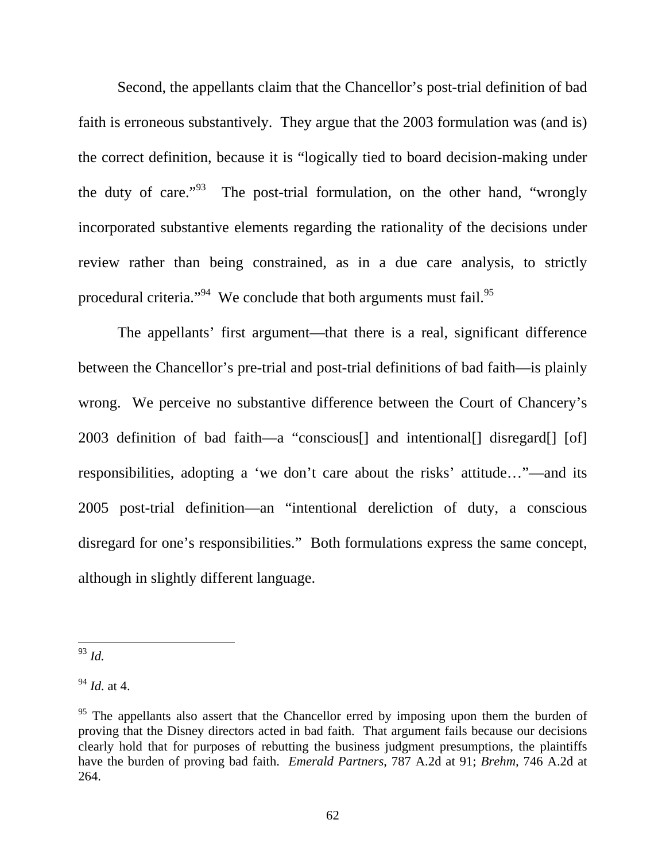Second, the appellants claim that the Chancellor's post-trial definition of bad faith is erroneous substantively. They argue that the 2003 formulation was (and is) the correct definition, because it is "logically tied to board decision-making under the duty of care."<sup>93</sup> The post-trial formulation, on the other hand, "wrongly incorporated substantive elements regarding the rationality of the decisions under review rather than being constrained, as in a due care analysis, to strictly procedural criteria."<sup>94</sup> We conclude that both arguments must fail.<sup>95</sup>

 The appellants' first argument—that there is a real, significant difference between the Chancellor's pre-trial and post-trial definitions of bad faith—is plainly wrong. We perceive no substantive difference between the Court of Chancery's 2003 definition of bad faith—a "conscious[] and intentional[] disregard[] [of] responsibilities, adopting a 'we don't care about the risks' attitude…"—and its 2005 post-trial definition—an "intentional dereliction of duty, a conscious disregard for one's responsibilities." Both formulations express the same concept, although in slightly different language.

<sup>93</sup> *Id.* 

<sup>94</sup> *Id.* at 4.

<sup>&</sup>lt;sup>95</sup> The appellants also assert that the Chancellor erred by imposing upon them the burden of proving that the Disney directors acted in bad faith. That argument fails because our decisions clearly hold that for purposes of rebutting the business judgment presumptions, the plaintiffs have the burden of proving bad faith. *Emerald Partners*, 787 A.2d at 91; *Brehm,* 746 A.2d at 264.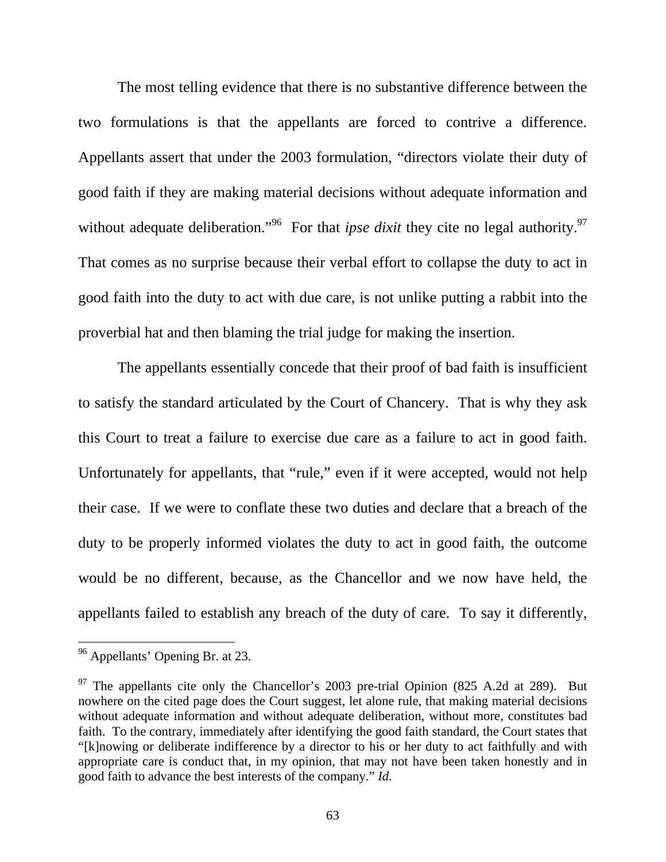The most telling evidence that there is no substantive difference between the two formulations is that the appellants are forced to contrive a difference. Appellants assert that under the 2003 formulation, "directors violate their duty of good faith if they are making material decisions without adequate information and without adequate deliberation."<sup>96</sup> For that *ipse dixit* they cite no legal authority.<sup>97</sup> That comes as no surprise because their verbal effort to collapse the duty to act in good faith into the duty to act with due care, is not unlike putting a rabbit into the proverbial hat and then blaming the trial judge for making the insertion.

The appellants essentially concede that their proof of bad faith is insufficient to satisfy the standard articulated by the Court of Chancery. That is why they ask this Court to treat a failure to exercise due care as a failure to act in good faith. Unfortunately for appellants, that "rule," even if it were accepted, would not help their case. If we were to conflate these two duties and declare that a breach of the duty to be properly informed violates the duty to act in good faith, the outcome would be no different, because, as the Chancellor and we now have held, the appellants failed to establish any breach of the duty of care. To say it differently,

<sup>&</sup>lt;sup>96</sup> Appellants' Opening Br. at 23.

 $97$  The appellants cite only the Chancellor's 2003 pre-trial Opinion (825 A.2d at 289). But nowhere on the cited page does the Court suggest, let alone rule, that making material decisions without adequate information and without adequate deliberation, without more, constitutes bad faith. To the contrary, immediately after identifying the good faith standard, the Court states that "[k]nowing or deliberate indifference by a director to his or her duty to act faithfully and with appropriate care is conduct that, in my opinion, that may not have been taken honestly and in good faith to advance the best interests of the company." *Id.*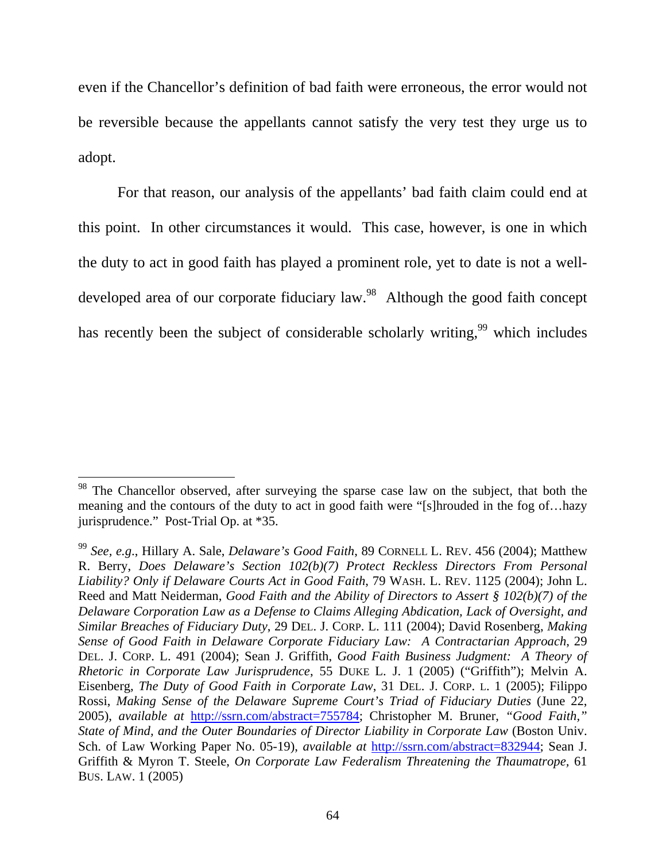even if the Chancellor's definition of bad faith were erroneous, the error would not be reversible because the appellants cannot satisfy the very test they urge us to adopt.

For that reason, our analysis of the appellants' bad faith claim could end at this point. In other circumstances it would. This case, however, is one in which the duty to act in good faith has played a prominent role, yet to date is not a welldeveloped area of our corporate fiduciary law.<sup>98</sup> Although the good faith concept has recently been the subject of considerable scholarly writing,<sup>99</sup> which includes

<sup>&</sup>lt;sup>98</sup> The Chancellor observed, after surveying the sparse case law on the subject, that both the meaning and the contours of the duty to act in good faith were "[s]hrouded in the fog of…hazy jurisprudence." Post-Trial Op. at \*35.

<sup>99</sup> *See, e.g*., Hillary A. Sale, *Delaware's Good Faith*, 89 CORNELL L. REV. 456 (2004); Matthew R. Berry, *Does Delaware's Section 102(b)(7) Protect Reckless Directors From Personal Liability? Only if Delaware Courts Act in Good Faith*, 79 WASH. L. REV. 1125 (2004); John L. Reed and Matt Neiderman, *Good Faith and the Ability of Directors to Assert § 102(b)(7) of the Delaware Corporation Law as a Defense to Claims Alleging Abdication, Lack of Oversight, and Similar Breaches of Fiduciary Duty*, 29 DEL. J. CORP. L. 111 (2004); David Rosenberg, *Making Sense of Good Faith in Delaware Corporate Fiduciary Law: A Contractarian Approach*, 29 DEL. J. CORP. L. 491 (2004); Sean J. Griffith, *Good Faith Business Judgment: A Theory of Rhetoric in Corporate Law Jurisprudence*, 55 DUKE L. J. 1 (2005) ("Griffith"); Melvin A. Eisenberg, *The Duty of Good Faith in Corporate Law*, 31 DEL. J. CORP. L. 1 (2005); Filippo Rossi, *Making Sense of the Delaware Supreme Court's Triad of Fiduciary Duties* (June 22, 2005), *available at* http://ssrn.com/abstract=755784; Christopher M. Bruner, *"Good Faith," State of Mind, and the Outer Boundaries of Director Liability in Corporate Law* (Boston Univ. Sch. of Law Working Paper No. 05-19), *available at* http://ssrn.com/abstract=832944; Sean J. Griffith & Myron T. Steele, *On Corporate Law Federalism Threatening the Thaumatrope,* 61 BUS. LAW. 1 (2005)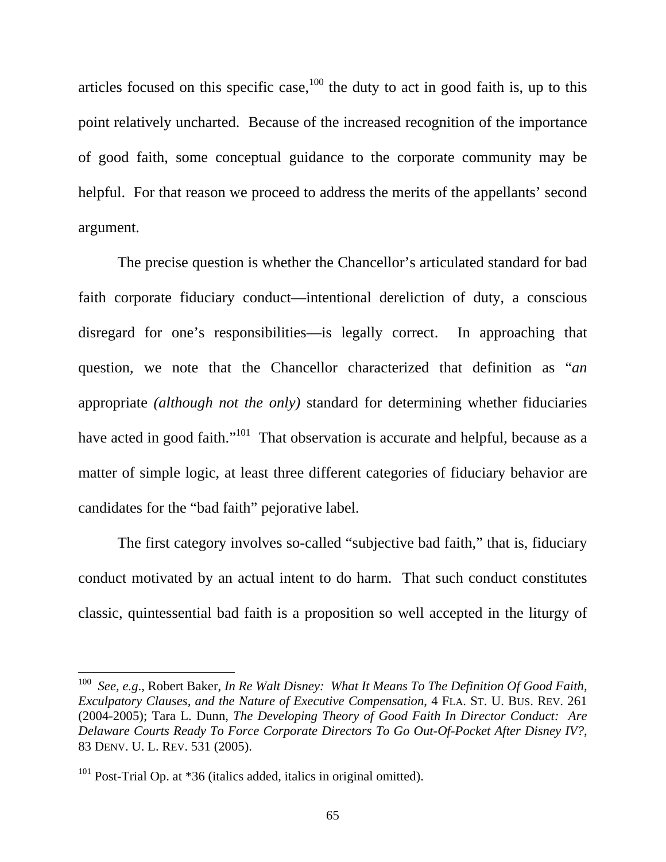articles focused on this specific case, $100$  the duty to act in good faith is, up to this point relatively uncharted. Because of the increased recognition of the importance of good faith, some conceptual guidance to the corporate community may be helpful. For that reason we proceed to address the merits of the appellants' second argument.

The precise question is whether the Chancellor's articulated standard for bad faith corporate fiduciary conduct—intentional dereliction of duty, a conscious disregard for one's responsibilities—is legally correct. In approaching that question, we note that the Chancellor characterized that definition as "*an* appropriate *(although not the only)* standard for determining whether fiduciaries have acted in good faith."<sup>101</sup> That observation is accurate and helpful, because as a matter of simple logic, at least three different categories of fiduciary behavior are candidates for the "bad faith" pejorative label.

The first category involves so-called "subjective bad faith," that is, fiduciary conduct motivated by an actual intent to do harm. That such conduct constitutes classic, quintessential bad faith is a proposition so well accepted in the liturgy of

<sup>100</sup> *See, e.g*., Robert Baker, *In Re Walt Disney: What It Means To The Definition Of Good Faith, Exculpatory Clauses, and the Nature of Executive Compensation*, 4 FLA. ST. U. BUS. REV. 261 (2004-2005); Tara L. Dunn, *The Developing Theory of Good Faith In Director Conduct: Are Delaware Courts Ready To Force Corporate Directors To Go Out-Of-Pocket After Disney IV?*, 83 DENV. U. L. REV. 531 (2005).

 $101$  Post-Trial Op. at  $*36$  (italics added, italics in original omitted).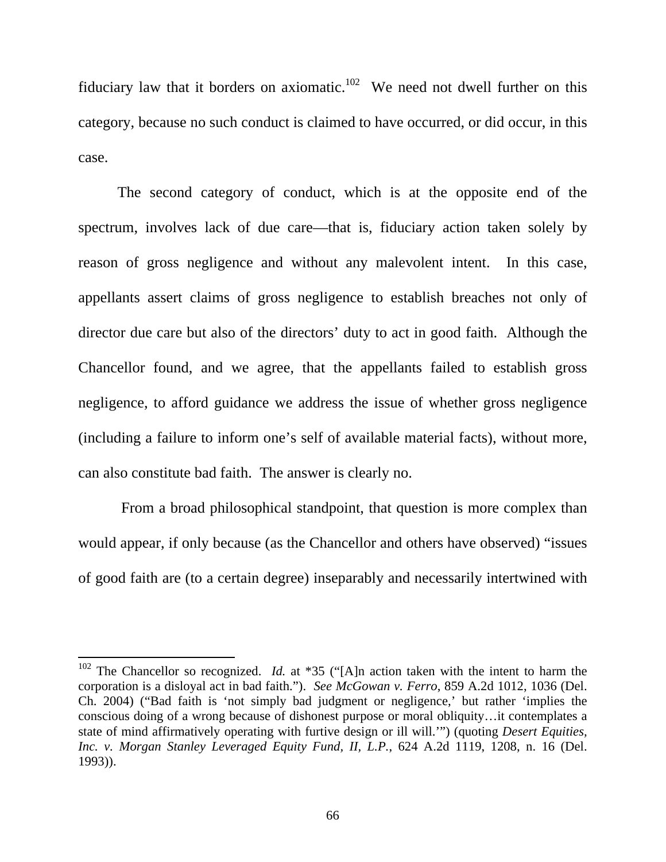fiduciary law that it borders on axiomatic.<sup>102</sup> We need not dwell further on this category, because no such conduct is claimed to have occurred, or did occur, in this case.

The second category of conduct, which is at the opposite end of the spectrum, involves lack of due care—that is, fiduciary action taken solely by reason of gross negligence and without any malevolent intent. In this case, appellants assert claims of gross negligence to establish breaches not only of director due care but also of the directors' duty to act in good faith. Although the Chancellor found, and we agree, that the appellants failed to establish gross negligence, to afford guidance we address the issue of whether gross negligence (including a failure to inform one's self of available material facts), without more, can also constitute bad faith. The answer is clearly no.

 From a broad philosophical standpoint, that question is more complex than would appear, if only because (as the Chancellor and others have observed) "issues of good faith are (to a certain degree) inseparably and necessarily intertwined with

<sup>&</sup>lt;sup>102</sup> The Chancellor so recognized. *Id.* at \*35 ("[A]n action taken with the intent to harm the corporation is a disloyal act in bad faith."). *See McGowan v. Ferro*, 859 A.2d 1012, 1036 (Del. Ch. 2004) ("Bad faith is 'not simply bad judgment or negligence,' but rather 'implies the conscious doing of a wrong because of dishonest purpose or moral obliquity…it contemplates a state of mind affirmatively operating with furtive design or ill will.'") (quoting *Desert Equities, Inc. v. Morgan Stanley Leveraged Equity Fund, II, L.P.*, 624 A.2d 1119, 1208, n. 16 (Del. 1993)).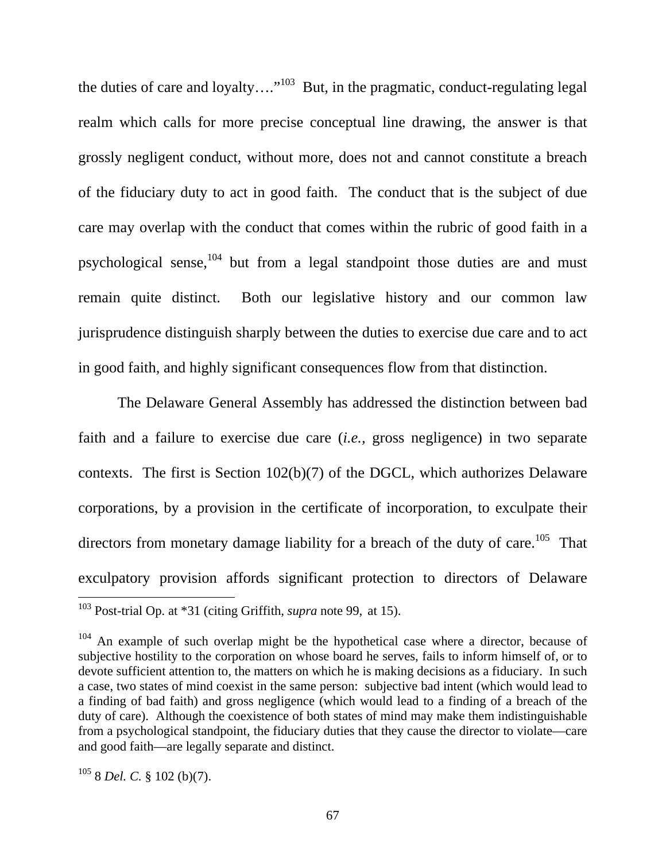the duties of care and loyalty...."<sup>103</sup> But, in the pragmatic, conduct-regulating legal realm which calls for more precise conceptual line drawing, the answer is that grossly negligent conduct, without more, does not and cannot constitute a breach of the fiduciary duty to act in good faith. The conduct that is the subject of due care may overlap with the conduct that comes within the rubric of good faith in a psychological sense, $104$  but from a legal standpoint those duties are and must remain quite distinct. Both our legislative history and our common law jurisprudence distinguish sharply between the duties to exercise due care and to act in good faith, and highly significant consequences flow from that distinction.

The Delaware General Assembly has addressed the distinction between bad faith and a failure to exercise due care (*i.e.,* gross negligence) in two separate contexts. The first is Section 102(b)(7) of the DGCL, which authorizes Delaware corporations, by a provision in the certificate of incorporation, to exculpate their directors from monetary damage liability for a breach of the duty of care.<sup>105</sup> That exculpatory provision affords significant protection to directors of Delaware  $\overline{a}$ 

<sup>103</sup> Post-trial Op. at \*31 (citing Griffith, *supra* note 99, at 15).

 $104$  An example of such overlap might be the hypothetical case where a director, because of subjective hostility to the corporation on whose board he serves, fails to inform himself of, or to devote sufficient attention to, the matters on which he is making decisions as a fiduciary. In such a case, two states of mind coexist in the same person: subjective bad intent (which would lead to a finding of bad faith) and gross negligence (which would lead to a finding of a breach of the duty of care). Although the coexistence of both states of mind may make them indistinguishable from a psychological standpoint, the fiduciary duties that they cause the director to violate—care and good faith—are legally separate and distinct.

<sup>105 8</sup> *Del. C.* § 102 (b)(7).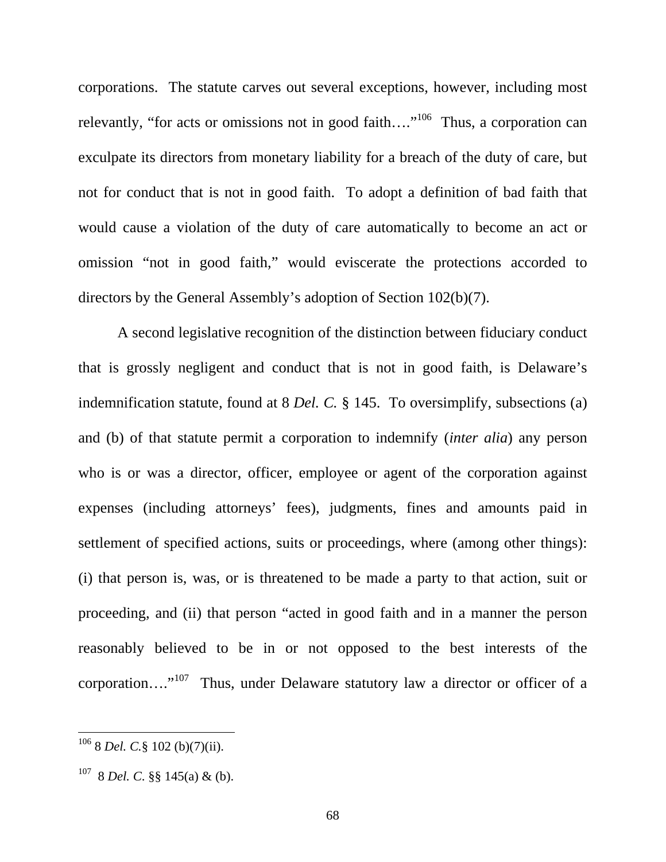corporations. The statute carves out several exceptions, however, including most relevantly, "for acts or omissions not in good faith…."106 Thus, a corporation can exculpate its directors from monetary liability for a breach of the duty of care, but not for conduct that is not in good faith. To adopt a definition of bad faith that would cause a violation of the duty of care automatically to become an act or omission "not in good faith," would eviscerate the protections accorded to directors by the General Assembly's adoption of Section 102(b)(7).

A second legislative recognition of the distinction between fiduciary conduct that is grossly negligent and conduct that is not in good faith, is Delaware's indemnification statute, found at 8 *Del. C.* § 145. To oversimplify, subsections (a) and (b) of that statute permit a corporation to indemnify (*inter alia*) any person who is or was a director, officer, employee or agent of the corporation against expenses (including attorneys' fees), judgments, fines and amounts paid in settlement of specified actions, suits or proceedings, where (among other things): (i) that person is, was, or is threatened to be made a party to that action, suit or proceeding, and (ii) that person "acted in good faith and in a manner the person reasonably believed to be in or not opposed to the best interests of the corporation…."<sup>107</sup> Thus, under Delaware statutory law a director or officer of a

<sup>106 8</sup> *Del. C.*§ 102 (b)(7)(ii).

 $107$  8 *Del. C.* §§ 145(a) & (b).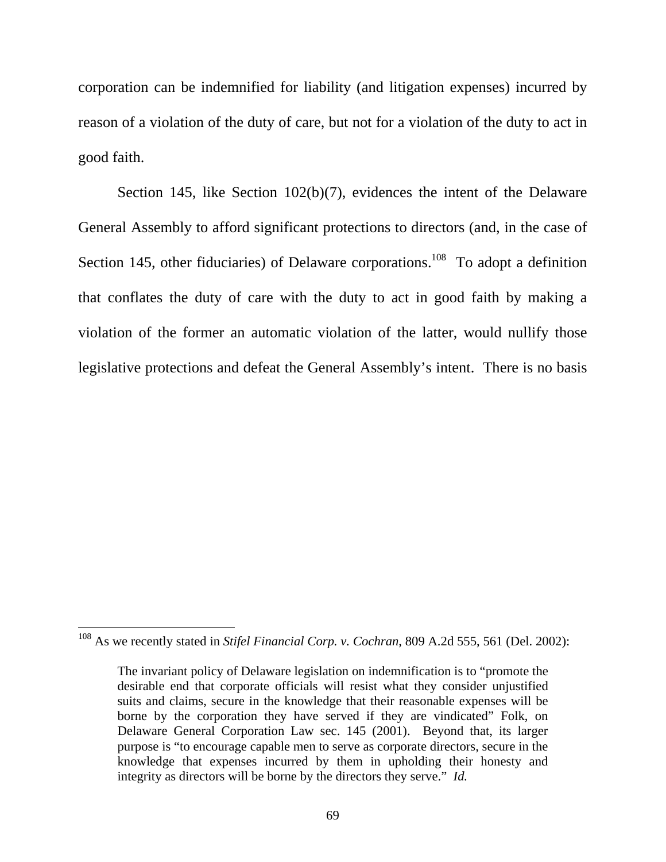corporation can be indemnified for liability (and litigation expenses) incurred by reason of a violation of the duty of care, but not for a violation of the duty to act in good faith.

Section 145, like Section 102(b)(7), evidences the intent of the Delaware General Assembly to afford significant protections to directors (and, in the case of Section 145, other fiduciaries) of Delaware corporations.<sup>108</sup> To adopt a definition that conflates the duty of care with the duty to act in good faith by making a violation of the former an automatic violation of the latter, would nullify those legislative protections and defeat the General Assembly's intent. There is no basis

<sup>108</sup> As we recently stated in *Stifel Financial Corp. v. Cochran*, 809 A.2d 555, 561 (Del. 2002):

The invariant policy of Delaware legislation on indemnification is to "promote the desirable end that corporate officials will resist what they consider unjustified suits and claims, secure in the knowledge that their reasonable expenses will be borne by the corporation they have served if they are vindicated" Folk, on Delaware General Corporation Law sec. 145 (2001). Beyond that, its larger purpose is "to encourage capable men to serve as corporate directors, secure in the knowledge that expenses incurred by them in upholding their honesty and integrity as directors will be borne by the directors they serve." *Id.*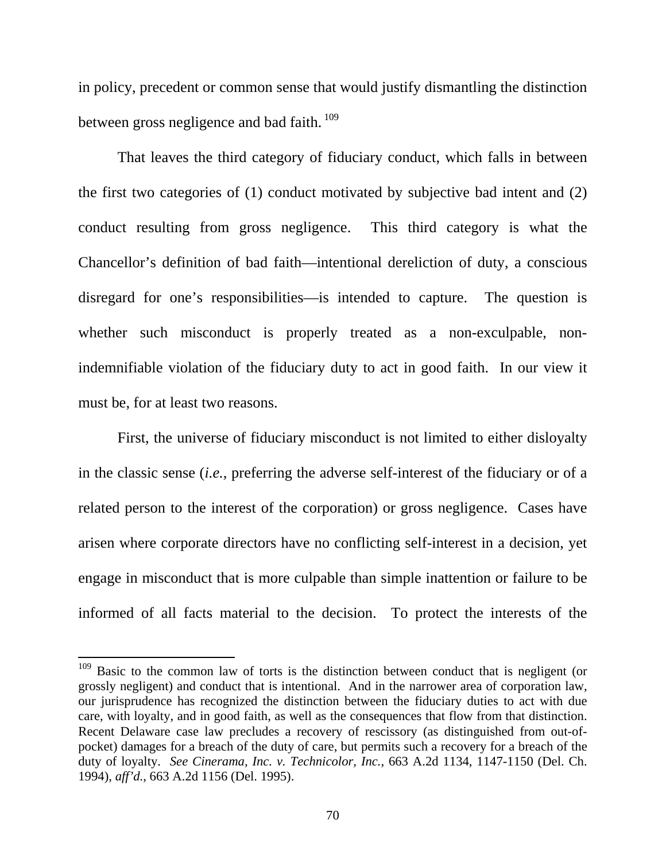in policy, precedent or common sense that would justify dismantling the distinction between gross negligence and bad faith.<sup>109</sup>

 That leaves the third category of fiduciary conduct, which falls in between the first two categories of (1) conduct motivated by subjective bad intent and (2) conduct resulting from gross negligence. This third category is what the Chancellor's definition of bad faith—intentional dereliction of duty, a conscious disregard for one's responsibilities—is intended to capture. The question is whether such misconduct is properly treated as a non-exculpable, nonindemnifiable violation of the fiduciary duty to act in good faith. In our view it must be, for at least two reasons.

 First, the universe of fiduciary misconduct is not limited to either disloyalty in the classic sense (*i.e.*, preferring the adverse self-interest of the fiduciary or of a related person to the interest of the corporation) or gross negligence. Cases have arisen where corporate directors have no conflicting self-interest in a decision, yet engage in misconduct that is more culpable than simple inattention or failure to be informed of all facts material to the decision. To protect the interests of the

 $109$  Basic to the common law of torts is the distinction between conduct that is negligent (or grossly negligent) and conduct that is intentional. And in the narrower area of corporation law, our jurisprudence has recognized the distinction between the fiduciary duties to act with due care, with loyalty, and in good faith, as well as the consequences that flow from that distinction. Recent Delaware case law precludes a recovery of rescissory (as distinguished from out-ofpocket) damages for a breach of the duty of care, but permits such a recovery for a breach of the duty of loyalty. *See Cinerama, Inc. v. Technicolor, Inc.*, 663 A.2d 1134, 1147-1150 (Del. Ch. 1994), *aff'd.*, 663 A.2d 1156 (Del. 1995).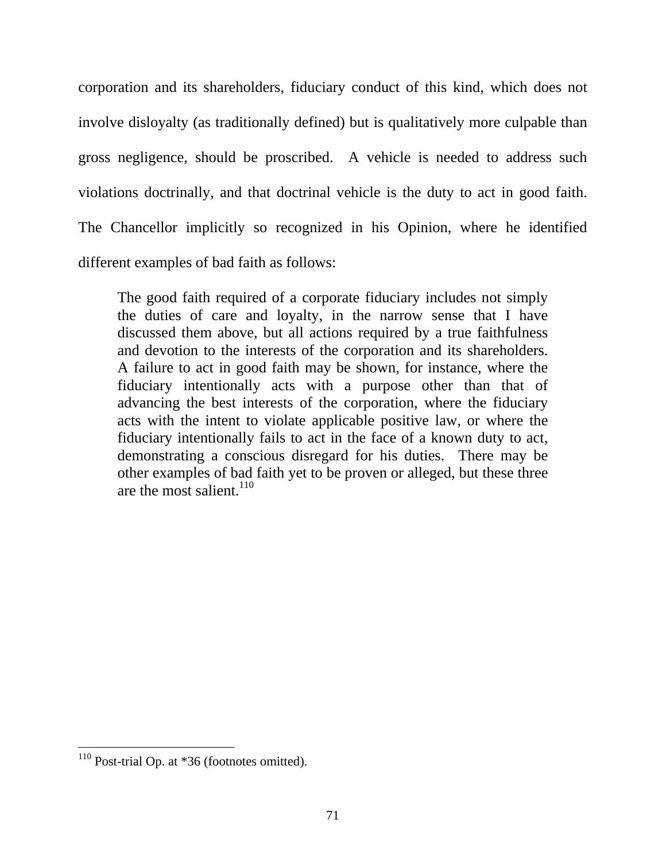corporation and its shareholders, fiduciary conduct of this kind, which does not involve disloyalty (as traditionally defined) but is qualitatively more culpable than gross negligence, should be proscribed. A vehicle is needed to address such violations doctrinally, and that doctrinal vehicle is the duty to act in good faith. The Chancellor implicitly so recognized in his Opinion, where he identified different examples of bad faith as follows:

The good faith required of a corporate fiduciary includes not simply the duties of care and loyalty, in the narrow sense that I have discussed them above, but all actions required by a true faithfulness and devotion to the interests of the corporation and its shareholders. A failure to act in good faith may be shown, for instance, where the fiduciary intentionally acts with a purpose other than that of advancing the best interests of the corporation, where the fiduciary acts with the intent to violate applicable positive law, or where the fiduciary intentionally fails to act in the face of a known duty to act, demonstrating a conscious disregard for his duties. There may be other examples of bad faith yet to be proven or alleged, but these three are the most salient. $110$ 

 $110$  Post-trial Op. at  $*36$  (footnotes omitted).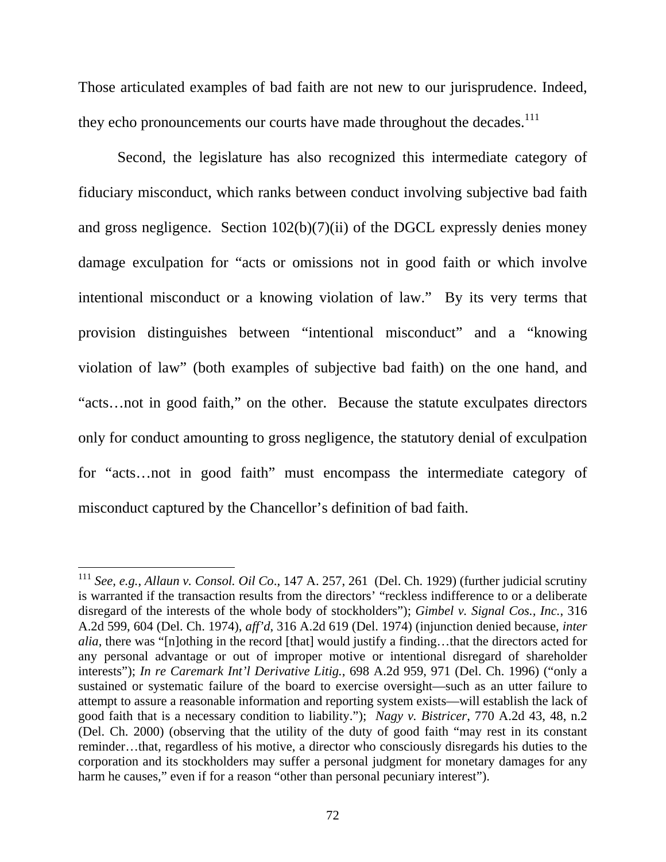Those articulated examples of bad faith are not new to our jurisprudence. Indeed, they echo pronouncements our courts have made throughout the decades. $111$ 

Second, the legislature has also recognized this intermediate category of fiduciary misconduct, which ranks between conduct involving subjective bad faith and gross negligence. Section  $102(b)(7)(ii)$  of the DGCL expressly denies money damage exculpation for "acts or omissions not in good faith or which involve intentional misconduct or a knowing violation of law." By its very terms that provision distinguishes between "intentional misconduct" and a "knowing violation of law" (both examples of subjective bad faith) on the one hand, and "acts…not in good faith," on the other. Because the statute exculpates directors only for conduct amounting to gross negligence, the statutory denial of exculpation for "acts…not in good faith" must encompass the intermediate category of misconduct captured by the Chancellor's definition of bad faith.

<sup>111</sup> *See, e.g.*, *Allaun v. Consol. Oil Co*., 147 A. 257, 261 (Del. Ch. 1929) (further judicial scrutiny is warranted if the transaction results from the directors' "reckless indifference to or a deliberate disregard of the interests of the whole body of stockholders"); *Gimbel v. Signal Cos., Inc.*, 316 A.2d 599, 604 (Del. Ch. 1974), *aff'd*, 316 A.2d 619 (Del. 1974) (injunction denied because, *inter alia*, there was "[n]othing in the record [that] would justify a finding…that the directors acted for any personal advantage or out of improper motive or intentional disregard of shareholder interests"); *In re Caremark Int'l Derivative Litig.*, 698 A.2d 959, 971 (Del. Ch. 1996) ("only a sustained or systematic failure of the board to exercise oversight—such as an utter failure to attempt to assure a reasonable information and reporting system exists—will establish the lack of good faith that is a necessary condition to liability."); *Nagy v. Bistricer*, 770 A.2d 43, 48, n.2 (Del. Ch. 2000) (observing that the utility of the duty of good faith "may rest in its constant reminder…that, regardless of his motive, a director who consciously disregards his duties to the corporation and its stockholders may suffer a personal judgment for monetary damages for any harm he causes," even if for a reason "other than personal pecuniary interest").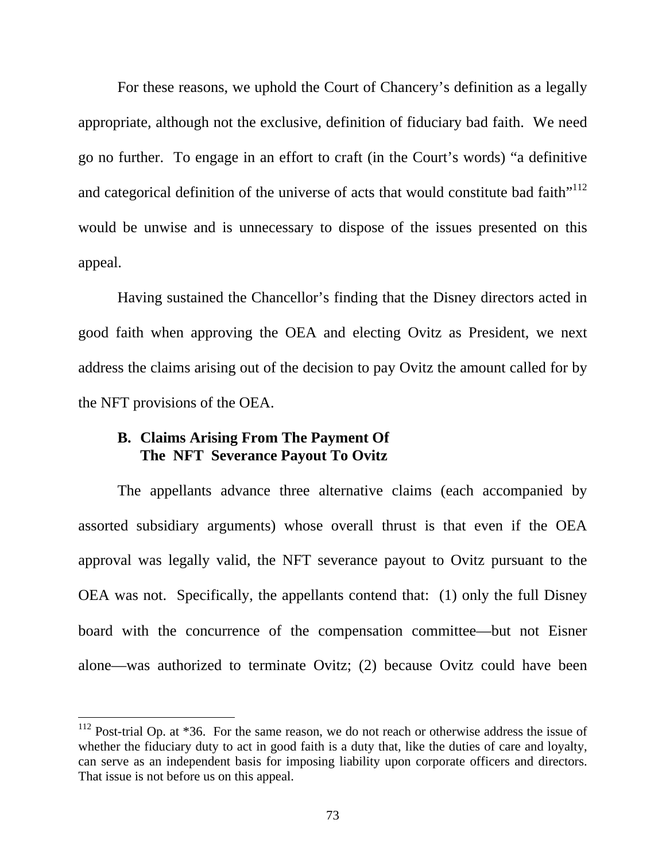For these reasons, we uphold the Court of Chancery's definition as a legally appropriate, although not the exclusive, definition of fiduciary bad faith. We need go no further. To engage in an effort to craft (in the Court's words) "a definitive and categorical definition of the universe of acts that would constitute bad faith $v^{112}$ would be unwise and is unnecessary to dispose of the issues presented on this appeal.

Having sustained the Chancellor's finding that the Disney directors acted in good faith when approving the OEA and electing Ovitz as President, we next address the claims arising out of the decision to pay Ovitz the amount called for by the NFT provisions of the OEA.

## **B. Claims Arising From The Payment Of The NFT Severance Payout To Ovitz**

 $\overline{a}$ 

The appellants advance three alternative claims (each accompanied by assorted subsidiary arguments) whose overall thrust is that even if the OEA approval was legally valid, the NFT severance payout to Ovitz pursuant to the OEA was not. Specifically, the appellants contend that: (1) only the full Disney board with the concurrence of the compensation committee—but not Eisner alone—was authorized to terminate Ovitz; (2) because Ovitz could have been

<sup>&</sup>lt;sup>112</sup> Post-trial Op. at \*36. For the same reason, we do not reach or otherwise address the issue of whether the fiduciary duty to act in good faith is a duty that, like the duties of care and loyalty, can serve as an independent basis for imposing liability upon corporate officers and directors. That issue is not before us on this appeal.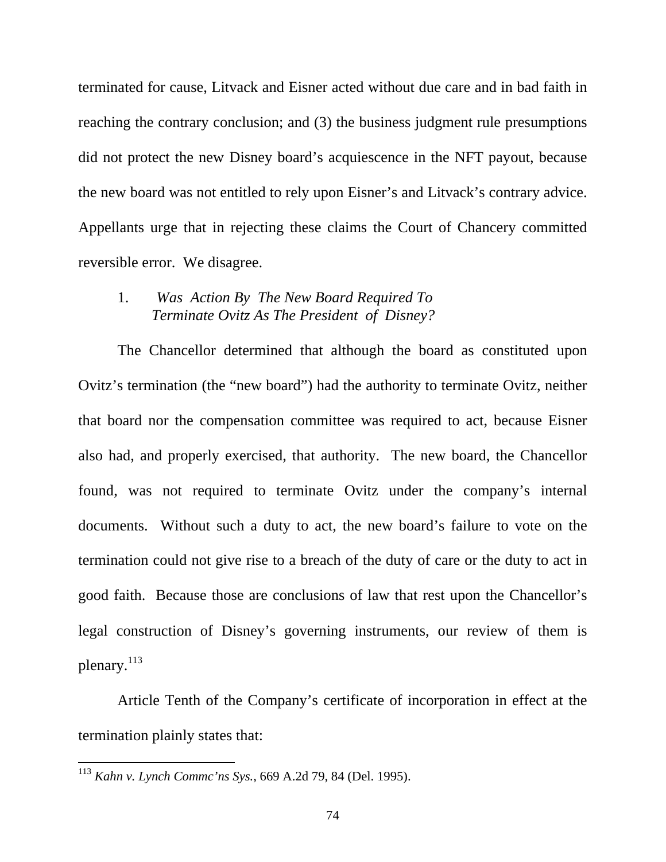terminated for cause, Litvack and Eisner acted without due care and in bad faith in reaching the contrary conclusion; and (3) the business judgment rule presumptions did not protect the new Disney board's acquiescence in the NFT payout, because the new board was not entitled to rely upon Eisner's and Litvack's contrary advice. Appellants urge that in rejecting these claims the Court of Chancery committed reversible error. We disagree.

## 1. *Was Action By The New Board Required To Terminate Ovitz As The President of Disney?*

 The Chancellor determined that although the board as constituted upon Ovitz's termination (the "new board") had the authority to terminate Ovitz, neither that board nor the compensation committee was required to act, because Eisner also had, and properly exercised, that authority. The new board, the Chancellor found, was not required to terminate Ovitz under the company's internal documents. Without such a duty to act, the new board's failure to vote on the termination could not give rise to a breach of the duty of care or the duty to act in good faith. Because those are conclusions of law that rest upon the Chancellor's legal construction of Disney's governing instruments, our review of them is plenary.<sup>113</sup>

 Article Tenth of the Company's certificate of incorporation in effect at the termination plainly states that:

<sup>113</sup> *Kahn v. Lynch Commc'ns Sys.*, 669 A.2d 79, 84 (Del. 1995).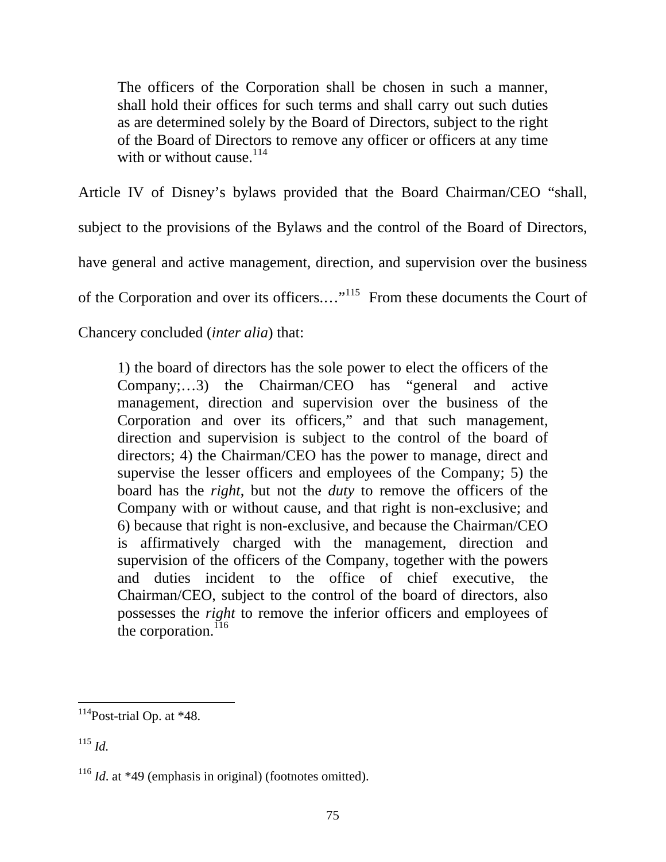The officers of the Corporation shall be chosen in such a manner, shall hold their offices for such terms and shall carry out such duties as are determined solely by the Board of Directors, subject to the right of the Board of Directors to remove any officer or officers at any time with or without cause.<sup>114</sup>

Article IV of Disney's bylaws provided that the Board Chairman/CEO "shall,

subject to the provisions of the Bylaws and the control of the Board of Directors,

have general and active management, direction, and supervision over the business

of the Corporation and over its officers...."<sup>115</sup> From these documents the Court of

Chancery concluded (*inter alia*) that:

1) the board of directors has the sole power to elect the officers of the Company;…3) the Chairman/CEO has "general and active management, direction and supervision over the business of the Corporation and over its officers," and that such management, direction and supervision is subject to the control of the board of directors; 4) the Chairman/CEO has the power to manage, direct and supervise the lesser officers and employees of the Company; 5) the board has the *right*, but not the *duty* to remove the officers of the Company with or without cause, and that right is non-exclusive; and 6) because that right is non-exclusive, and because the Chairman/CEO is affirmatively charged with the management, direction and supervision of the officers of the Company, together with the powers and duties incident to the office of chief executive, the Chairman/CEO, subject to the control of the board of directors, also possesses the *right* to remove the inferior officers and employees of the corporation.  $116$ 

 $\overline{a}$  $114$ Post-trial Op. at  $*48$ .

 $^{115}$  *Id.* 

<sup>&</sup>lt;sup>116</sup> *Id.* at \*49 (emphasis in original) (footnotes omitted).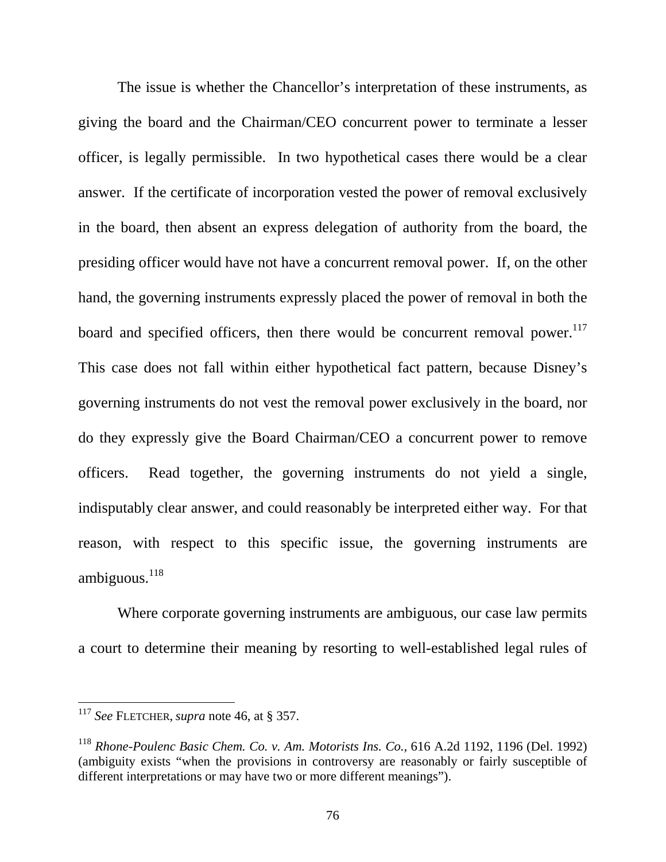The issue is whether the Chancellor's interpretation of these instruments, as giving the board and the Chairman/CEO concurrent power to terminate a lesser officer, is legally permissible. In two hypothetical cases there would be a clear answer. If the certificate of incorporation vested the power of removal exclusively in the board, then absent an express delegation of authority from the board, the presiding officer would have not have a concurrent removal power. If, on the other hand, the governing instruments expressly placed the power of removal in both the board and specified officers, then there would be concurrent removal power. $117$ This case does not fall within either hypothetical fact pattern, because Disney's governing instruments do not vest the removal power exclusively in the board, nor do they expressly give the Board Chairman/CEO a concurrent power to remove officers. Read together, the governing instruments do not yield a single, indisputably clear answer, and could reasonably be interpreted either way. For that reason, with respect to this specific issue, the governing instruments are ambiguous. $118$ 

Where corporate governing instruments are ambiguous, our case law permits a court to determine their meaning by resorting to well-established legal rules of

<sup>117</sup> *See* FLETCHER, *supra* note 46, at § 357.

<sup>118</sup> *Rhone-Poulenc Basic Chem. Co. v. Am. Motorists Ins. Co.,* 616 A.2d 1192, 1196 (Del. 1992) (ambiguity exists "when the provisions in controversy are reasonably or fairly susceptible of different interpretations or may have two or more different meanings").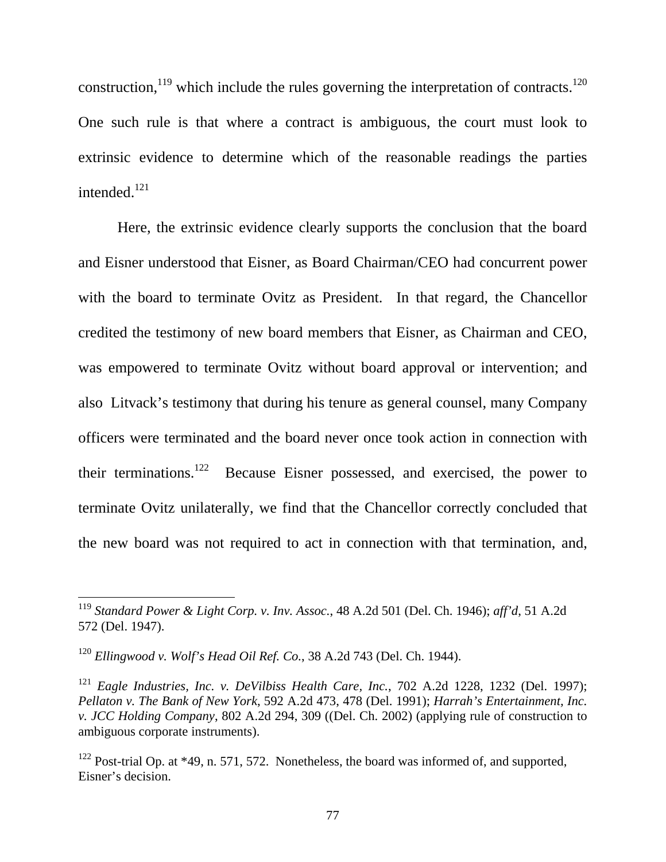construction,<sup>119</sup> which include the rules governing the interpretation of contracts.<sup>120</sup> One such rule is that where a contract is ambiguous, the court must look to extrinsic evidence to determine which of the reasonable readings the parties intended.<sup>121</sup>

Here, the extrinsic evidence clearly supports the conclusion that the board and Eisner understood that Eisner, as Board Chairman/CEO had concurrent power with the board to terminate Ovitz as President. In that regard, the Chancellor credited the testimony of new board members that Eisner, as Chairman and CEO, was empowered to terminate Ovitz without board approval or intervention; and also Litvack's testimony that during his tenure as general counsel, many Company officers were terminated and the board never once took action in connection with their terminations.<sup>122</sup> Because Eisner possessed, and exercised, the power to terminate Ovitz unilaterally, we find that the Chancellor correctly concluded that the new board was not required to act in connection with that termination, and,

<sup>119</sup> *Standard Power & Light Corp. v. Inv. Assoc.*, 48 A.2d 501 (Del. Ch. 1946); *aff'd*, 51 A.2d 572 (Del. 1947).

<sup>120</sup> *Ellingwood v. Wolf's Head Oil Ref. Co.*, 38 A.2d 743 (Del. Ch. 1944).

<sup>121</sup> *Eagle Industries, Inc. v. DeVilbiss Health Care, Inc.*, 702 A.2d 1228, 1232 (Del. 1997); *Pellaton v. The Bank of New York*, 592 A.2d 473, 478 (Del. 1991); *Harrah's Entertainment, Inc. v. JCC Holding Company*, 802 A.2d 294, 309 ((Del. Ch. 2002) (applying rule of construction to ambiguous corporate instruments).

 $122$  Post-trial Op. at  $*49$ , n. 571, 572. Nonetheless, the board was informed of, and supported, Eisner's decision.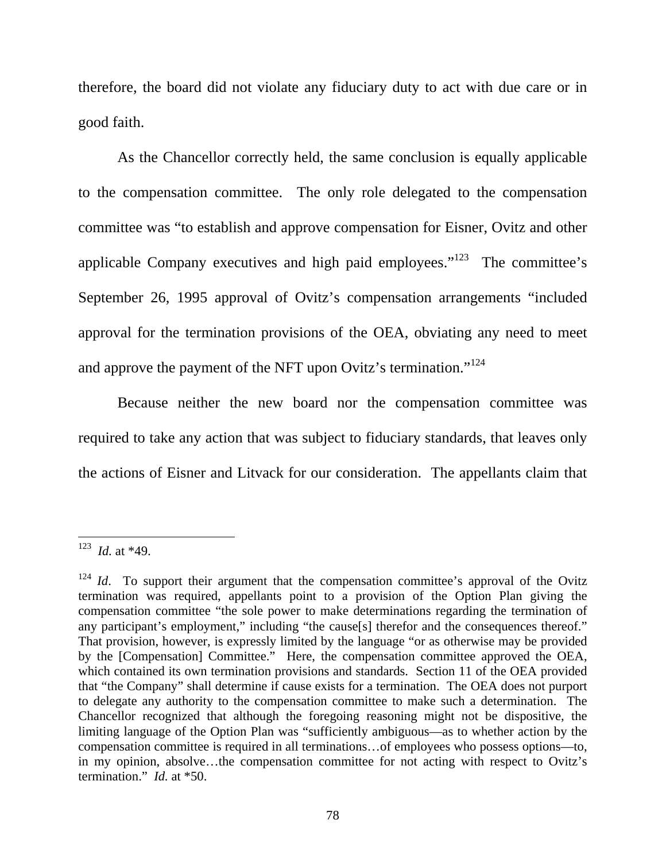therefore, the board did not violate any fiduciary duty to act with due care or in good faith.

As the Chancellor correctly held, the same conclusion is equally applicable to the compensation committee. The only role delegated to the compensation committee was "to establish and approve compensation for Eisner, Ovitz and other applicable Company executives and high paid employees."<sup>123</sup> The committee's September 26, 1995 approval of Ovitz's compensation arrangements "included approval for the termination provisions of the OEA, obviating any need to meet and approve the payment of the NFT upon Ovitz's termination."<sup>124</sup>

Because neither the new board nor the compensation committee was required to take any action that was subject to fiduciary standards, that leaves only the actions of Eisner and Litvack for our consideration. The appellants claim that

 $\overline{a}$ 123 *Id.* at \*49.

<sup>&</sup>lt;sup>124</sup> *Id.* To support their argument that the compensation committee's approval of the Ovitz termination was required, appellants point to a provision of the Option Plan giving the compensation committee "the sole power to make determinations regarding the termination of any participant's employment," including "the cause[s] therefor and the consequences thereof." That provision, however, is expressly limited by the language "or as otherwise may be provided by the [Compensation] Committee." Here, the compensation committee approved the OEA, which contained its own termination provisions and standards. Section 11 of the OEA provided that "the Company" shall determine if cause exists for a termination. The OEA does not purport to delegate any authority to the compensation committee to make such a determination. The Chancellor recognized that although the foregoing reasoning might not be dispositive, the limiting language of the Option Plan was "sufficiently ambiguous—as to whether action by the compensation committee is required in all terminations…of employees who possess options—to, in my opinion, absolve…the compensation committee for not acting with respect to Ovitz's termination." *Id.* at \*50.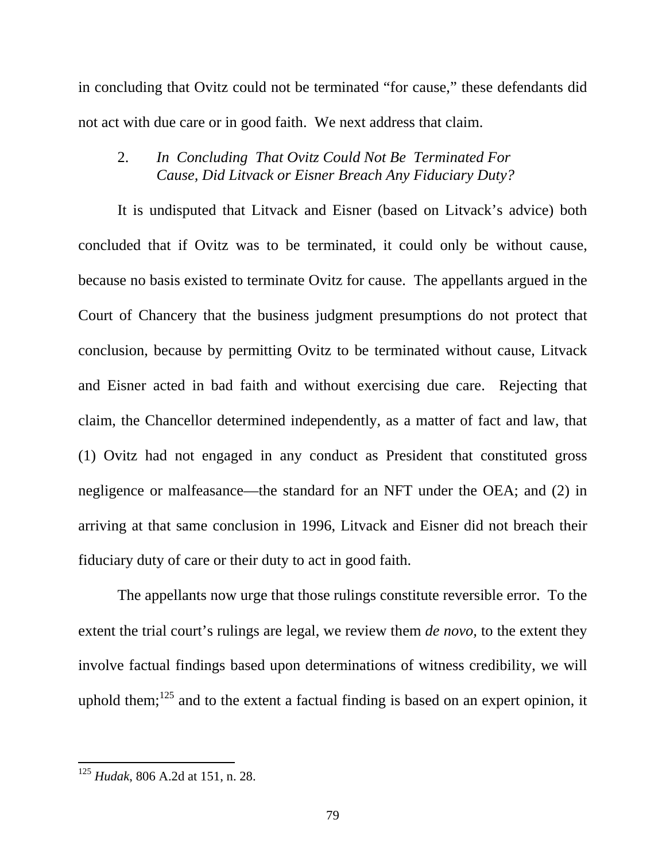in concluding that Ovitz could not be terminated "for cause," these defendants did not act with due care or in good faith. We next address that claim.

# 2. *In Concluding That Ovitz Could Not Be Terminated For Cause, Did Litvack or Eisner Breach Any Fiduciary Duty?*

 It is undisputed that Litvack and Eisner (based on Litvack's advice) both concluded that if Ovitz was to be terminated, it could only be without cause, because no basis existed to terminate Ovitz for cause. The appellants argued in the Court of Chancery that the business judgment presumptions do not protect that conclusion, because by permitting Ovitz to be terminated without cause, Litvack and Eisner acted in bad faith and without exercising due care. Rejecting that claim, the Chancellor determined independently, as a matter of fact and law, that (1) Ovitz had not engaged in any conduct as President that constituted gross negligence or malfeasance—the standard for an NFT under the OEA; and (2) in arriving at that same conclusion in 1996, Litvack and Eisner did not breach their fiduciary duty of care or their duty to act in good faith.

 The appellants now urge that those rulings constitute reversible error. To the extent the trial court's rulings are legal, we review them *de novo,* to the extent they involve factual findings based upon determinations of witness credibility, we will uphold them; $^{125}$  and to the extent a factual finding is based on an expert opinion, it

<sup>125</sup> *Hudak*, 806 A.2d at 151, n. 28.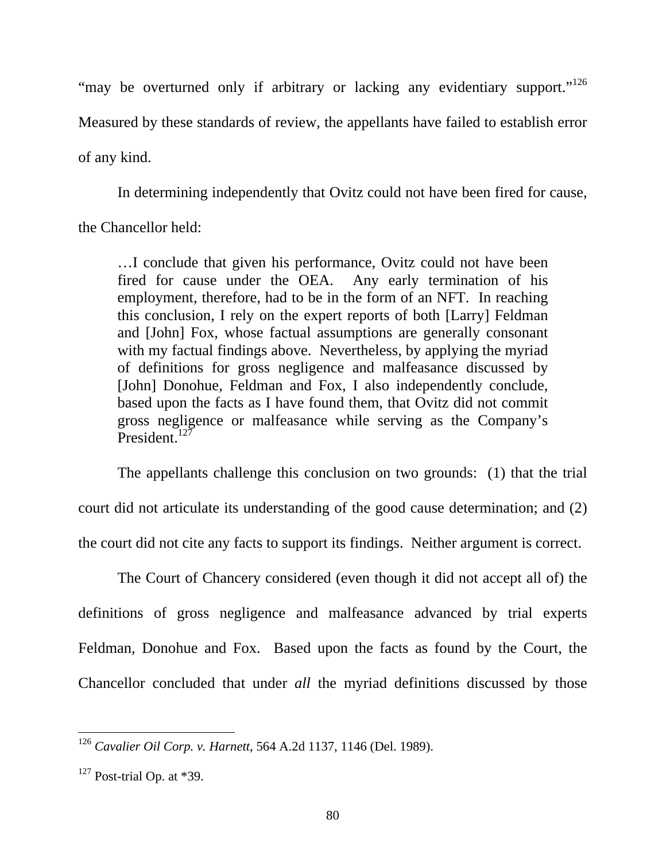"may be overturned only if arbitrary or lacking any evidentiary support."<sup>126</sup> Measured by these standards of review, the appellants have failed to establish error of any kind.

In determining independently that Ovitz could not have been fired for cause,

the Chancellor held:

…I conclude that given his performance, Ovitz could not have been fired for cause under the OEA. Any early termination of his employment, therefore, had to be in the form of an NFT. In reaching this conclusion, I rely on the expert reports of both [Larry] Feldman and [John] Fox, whose factual assumptions are generally consonant with my factual findings above. Nevertheless, by applying the myriad of definitions for gross negligence and malfeasance discussed by [John] Donohue, Feldman and Fox, I also independently conclude, based upon the facts as I have found them, that Ovitz did not commit gross negligence or malfeasance while serving as the Company's President.<sup>127</sup>

The appellants challenge this conclusion on two grounds: (1) that the trial court did not articulate its understanding of the good cause determination; and (2) the court did not cite any facts to support its findings. Neither argument is correct.

The Court of Chancery considered (even though it did not accept all of) the definitions of gross negligence and malfeasance advanced by trial experts Feldman, Donohue and Fox. Based upon the facts as found by the Court, the Chancellor concluded that under *all* the myriad definitions discussed by those

<sup>126</sup> *Cavalier Oil Corp. v. Harnett*, 564 A.2d 1137, 1146 (Del. 1989).

 $127$  Post-trial Op. at  $*39$ .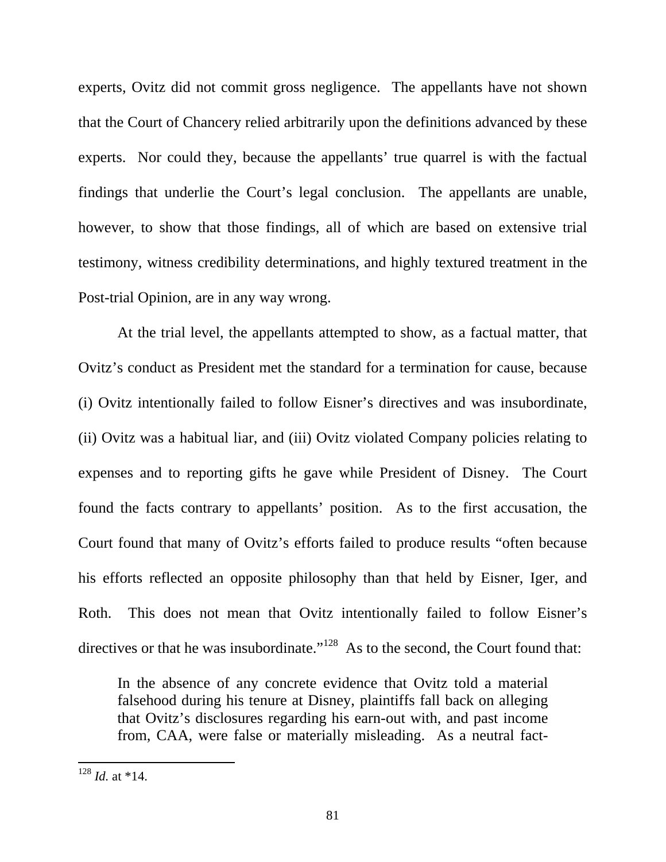experts, Ovitz did not commit gross negligence. The appellants have not shown that the Court of Chancery relied arbitrarily upon the definitions advanced by these experts. Nor could they, because the appellants' true quarrel is with the factual findings that underlie the Court's legal conclusion. The appellants are unable, however, to show that those findings, all of which are based on extensive trial testimony, witness credibility determinations, and highly textured treatment in the Post-trial Opinion, are in any way wrong.

At the trial level, the appellants attempted to show, as a factual matter, that Ovitz's conduct as President met the standard for a termination for cause, because (i) Ovitz intentionally failed to follow Eisner's directives and was insubordinate, (ii) Ovitz was a habitual liar, and (iii) Ovitz violated Company policies relating to expenses and to reporting gifts he gave while President of Disney. The Court found the facts contrary to appellants' position. As to the first accusation, the Court found that many of Ovitz's efforts failed to produce results "often because his efforts reflected an opposite philosophy than that held by Eisner, Iger, and Roth. This does not mean that Ovitz intentionally failed to follow Eisner's directives or that he was insubordinate."<sup>128</sup> As to the second, the Court found that:

In the absence of any concrete evidence that Ovitz told a material falsehood during his tenure at Disney, plaintiffs fall back on alleging that Ovitz's disclosures regarding his earn-out with, and past income from, CAA, were false or materially misleading. As a neutral fact-

<sup>128</sup> *Id.* at \*14.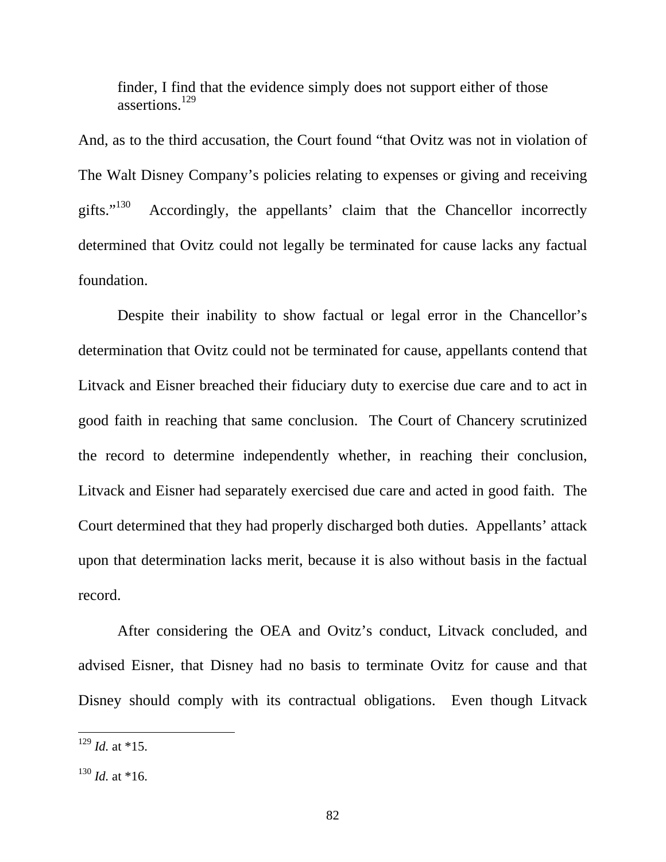finder, I find that the evidence simply does not support either of those assertions.129

And, as to the third accusation, the Court found "that Ovitz was not in violation of The Walt Disney Company's policies relating to expenses or giving and receiving gifts."130 Accordingly, the appellants' claim that the Chancellor incorrectly determined that Ovitz could not legally be terminated for cause lacks any factual foundation.

 Despite their inability to show factual or legal error in the Chancellor's determination that Ovitz could not be terminated for cause, appellants contend that Litvack and Eisner breached their fiduciary duty to exercise due care and to act in good faith in reaching that same conclusion. The Court of Chancery scrutinized the record to determine independently whether, in reaching their conclusion, Litvack and Eisner had separately exercised due care and acted in good faith. The Court determined that they had properly discharged both duties. Appellants' attack upon that determination lacks merit, because it is also without basis in the factual record.

 After considering the OEA and Ovitz's conduct, Litvack concluded, and advised Eisner, that Disney had no basis to terminate Ovitz for cause and that Disney should comply with its contractual obligations. Even though Litvack

 $129$  *Id.* at \*15.

 $130$  *Id.* at \*16.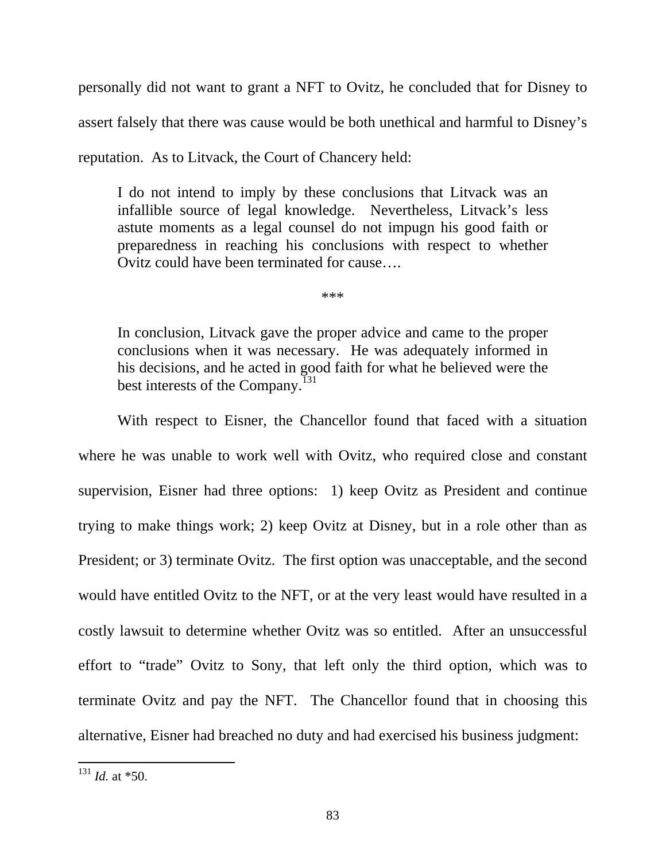personally did not want to grant a NFT to Ovitz, he concluded that for Disney to assert falsely that there was cause would be both unethical and harmful to Disney's reputation. As to Litvack, the Court of Chancery held:

I do not intend to imply by these conclusions that Litvack was an infallible source of legal knowledge. Nevertheless, Litvack's less astute moments as a legal counsel do not impugn his good faith or preparedness in reaching his conclusions with respect to whether Ovitz could have been terminated for cause….

\*\*\*

In conclusion, Litvack gave the proper advice and came to the proper conclusions when it was necessary. He was adequately informed in his decisions, and he acted in good faith for what he believed were the best interests of the Company.<sup>131</sup>

With respect to Eisner, the Chancellor found that faced with a situation where he was unable to work well with Ovitz, who required close and constant supervision, Eisner had three options: 1) keep Ovitz as President and continue trying to make things work; 2) keep Ovitz at Disney, but in a role other than as President; or 3) terminate Ovitz. The first option was unacceptable, and the second would have entitled Ovitz to the NFT, or at the very least would have resulted in a costly lawsuit to determine whether Ovitz was so entitled. After an unsuccessful effort to "trade" Ovitz to Sony, that left only the third option, which was to terminate Ovitz and pay the NFT. The Chancellor found that in choosing this alternative, Eisner had breached no duty and had exercised his business judgment:

 $\overline{a}$  $131$  *Id.* at \*50.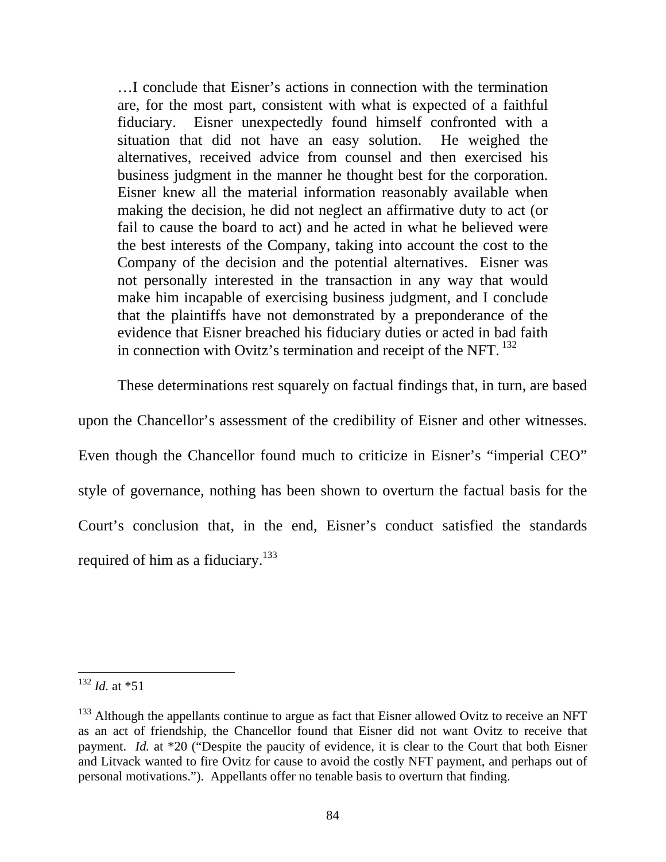…I conclude that Eisner's actions in connection with the termination are, for the most part, consistent with what is expected of a faithful fiduciary. Eisner unexpectedly found himself confronted with a situation that did not have an easy solution. He weighed the alternatives, received advice from counsel and then exercised his business judgment in the manner he thought best for the corporation. Eisner knew all the material information reasonably available when making the decision, he did not neglect an affirmative duty to act (or fail to cause the board to act) and he acted in what he believed were the best interests of the Company, taking into account the cost to the Company of the decision and the potential alternatives. Eisner was not personally interested in the transaction in any way that would make him incapable of exercising business judgment, and I conclude that the plaintiffs have not demonstrated by a preponderance of the evidence that Eisner breached his fiduciary duties or acted in bad faith in connection with Ovitz's termination and receipt of the NFT.  $^{132}$ 

These determinations rest squarely on factual findings that, in turn, are based upon the Chancellor's assessment of the credibility of Eisner and other witnesses. Even though the Chancellor found much to criticize in Eisner's "imperial CEO" style of governance, nothing has been shown to overturn the factual basis for the Court's conclusion that, in the end, Eisner's conduct satisfied the standards required of him as a fiduciary.<sup>133</sup>

 $132$  *Id.* at  $*51$ 

 $133$  Although the appellants continue to argue as fact that Eisner allowed Ovitz to receive an NFT as an act of friendship, the Chancellor found that Eisner did not want Ovitz to receive that payment. *Id.* at \*20 ("Despite the paucity of evidence, it is clear to the Court that both Eisner and Litvack wanted to fire Ovitz for cause to avoid the costly NFT payment, and perhaps out of personal motivations."). Appellants offer no tenable basis to overturn that finding.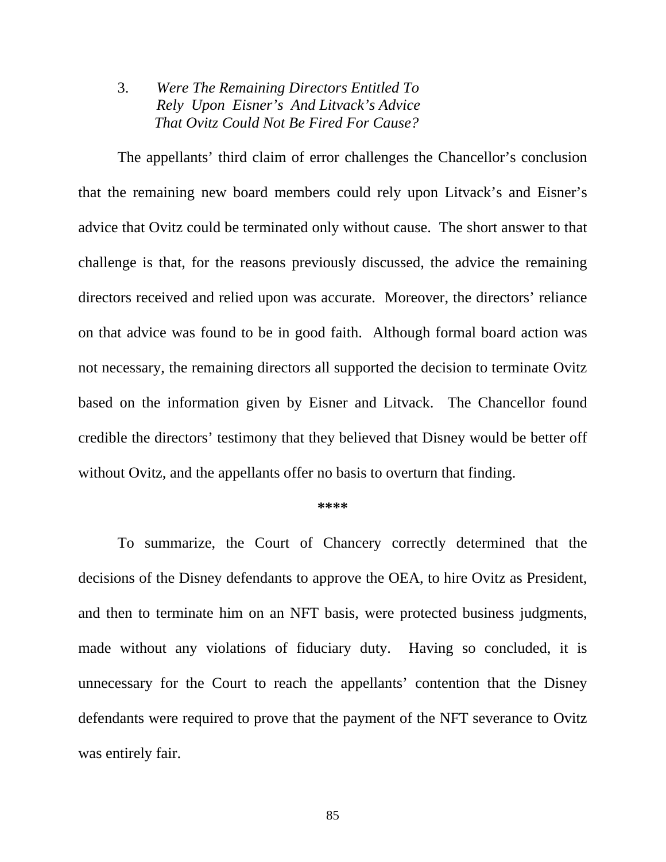3. *Were The Remaining Directors Entitled To Rely Upon Eisner's And Litvack's Advice That Ovitz Could Not Be Fired For Cause?* 

 The appellants' third claim of error challenges the Chancellor's conclusion that the remaining new board members could rely upon Litvack's and Eisner's advice that Ovitz could be terminated only without cause. The short answer to that challenge is that, for the reasons previously discussed, the advice the remaining directors received and relied upon was accurate. Moreover, the directors' reliance on that advice was found to be in good faith. Although formal board action was not necessary, the remaining directors all supported the decision to terminate Ovitz based on the information given by Eisner and Litvack. The Chancellor found credible the directors' testimony that they believed that Disney would be better off without Ovitz, and the appellants offer no basis to overturn that finding.

#### **\*\*\*\***

 To summarize, the Court of Chancery correctly determined that the decisions of the Disney defendants to approve the OEA, to hire Ovitz as President, and then to terminate him on an NFT basis, were protected business judgments, made without any violations of fiduciary duty. Having so concluded, it is unnecessary for the Court to reach the appellants' contention that the Disney defendants were required to prove that the payment of the NFT severance to Ovitz was entirely fair.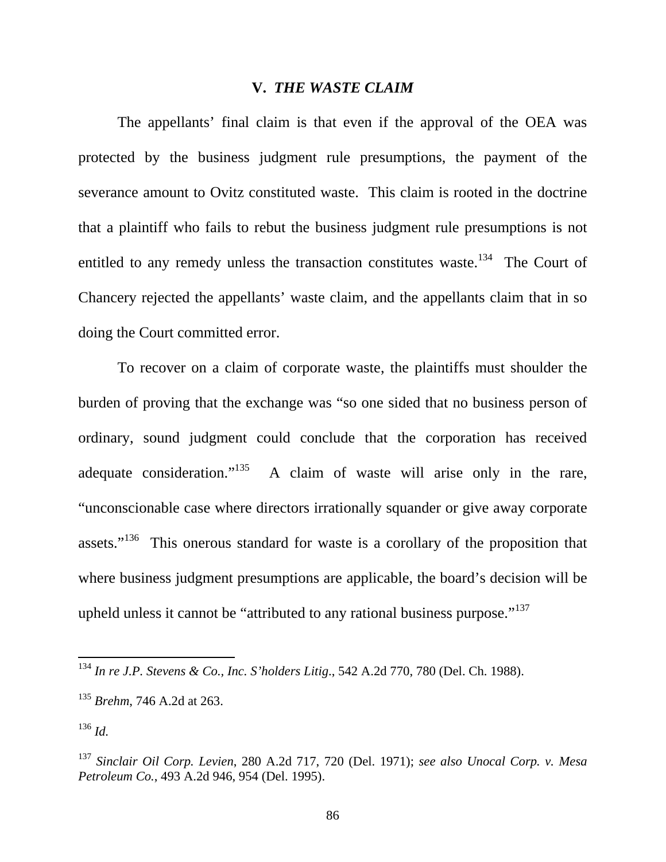### **V.** *THE WASTE CLAIM*

 The appellants' final claim is that even if the approval of the OEA was protected by the business judgment rule presumptions, the payment of the severance amount to Ovitz constituted waste. This claim is rooted in the doctrine that a plaintiff who fails to rebut the business judgment rule presumptions is not entitled to any remedy unless the transaction constitutes waste.<sup>134</sup> The Court of Chancery rejected the appellants' waste claim, and the appellants claim that in so doing the Court committed error.

To recover on a claim of corporate waste, the plaintiffs must shoulder the burden of proving that the exchange was "so one sided that no business person of ordinary, sound judgment could conclude that the corporation has received adequate consideration." $135$  A claim of waste will arise only in the rare, "unconscionable case where directors irrationally squander or give away corporate assets."<sup>136</sup> This onerous standard for waste is a corollary of the proposition that where business judgment presumptions are applicable, the board's decision will be upheld unless it cannot be "attributed to any rational business purpose."<sup>137</sup>

<sup>134</sup> *In re J.P. Stevens & Co., Inc. S'holders Litig*., 542 A.2d 770, 780 (Del. Ch. 1988).

<sup>135</sup> *Brehm*, 746 A.2d at 263.

 $^{136}$  *Id.* 

<sup>137</sup> *Sinclair Oil Corp. Levien*, 280 A.2d 717, 720 (Del. 1971); *see also Unocal Corp. v. Mesa Petroleum Co.*, 493 A.2d 946, 954 (Del. 1995).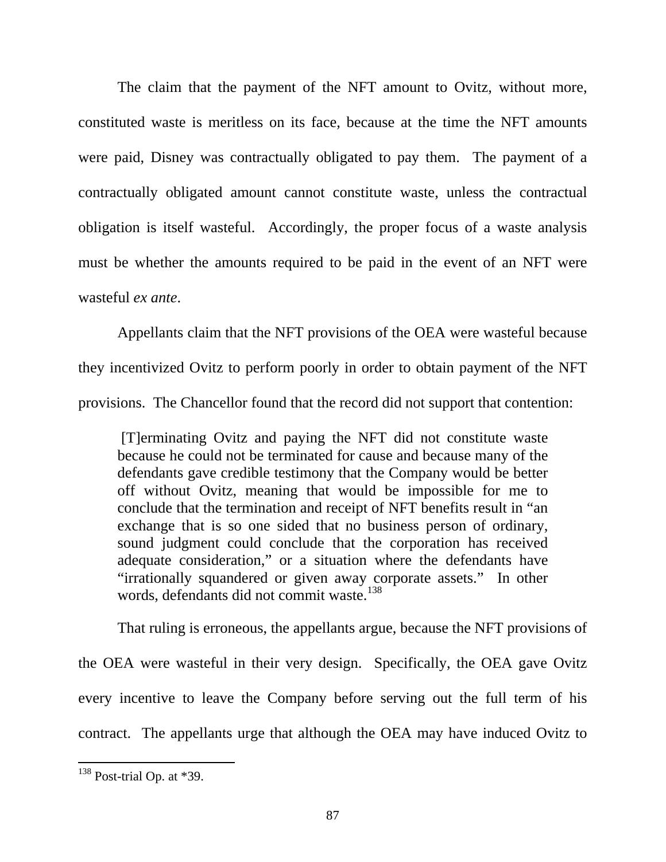The claim that the payment of the NFT amount to Ovitz, without more, constituted waste is meritless on its face, because at the time the NFT amounts were paid, Disney was contractually obligated to pay them. The payment of a contractually obligated amount cannot constitute waste, unless the contractual obligation is itself wasteful. Accordingly, the proper focus of a waste analysis must be whether the amounts required to be paid in the event of an NFT were wasteful *ex ante*.

Appellants claim that the NFT provisions of the OEA were wasteful because they incentivized Ovitz to perform poorly in order to obtain payment of the NFT provisions. The Chancellor found that the record did not support that contention:

 [T]erminating Ovitz and paying the NFT did not constitute waste because he could not be terminated for cause and because many of the defendants gave credible testimony that the Company would be better off without Ovitz, meaning that would be impossible for me to conclude that the termination and receipt of NFT benefits result in "an exchange that is so one sided that no business person of ordinary, sound judgment could conclude that the corporation has received adequate consideration," or a situation where the defendants have "irrationally squandered or given away corporate assets." In other words, defendants did not commit waste.<sup>138</sup>

That ruling is erroneous, the appellants argue, because the NFT provisions of the OEA were wasteful in their very design. Specifically, the OEA gave Ovitz every incentive to leave the Company before serving out the full term of his contract. The appellants urge that although the OEA may have induced Ovitz to

 $\overline{a}$  $138$  Post-trial Op. at  $*39$ .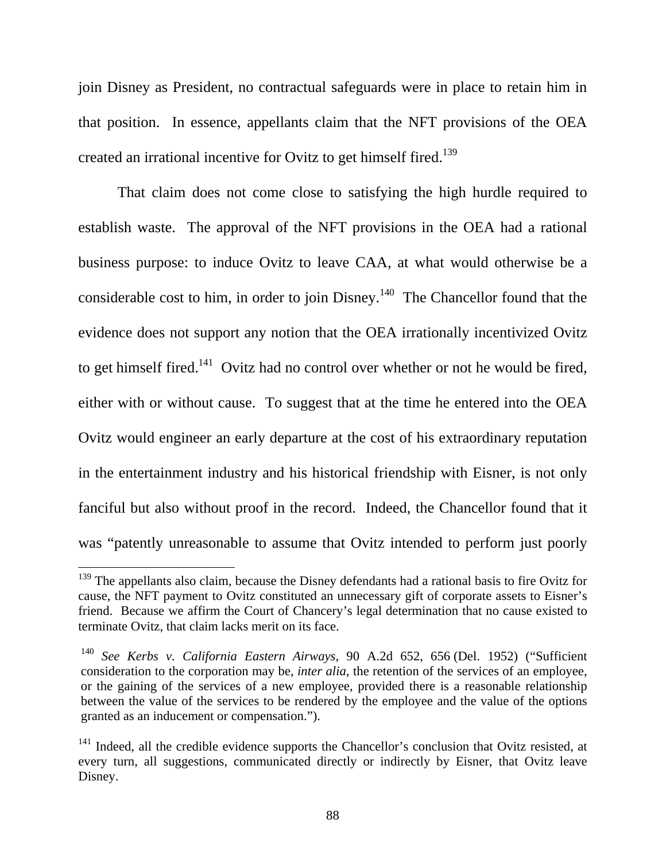join Disney as President, no contractual safeguards were in place to retain him in that position. In essence, appellants claim that the NFT provisions of the OEA created an irrational incentive for Ovitz to get himself fired.<sup>139</sup>

That claim does not come close to satisfying the high hurdle required to establish waste. The approval of the NFT provisions in the OEA had a rational business purpose: to induce Ovitz to leave CAA, at what would otherwise be a considerable cost to him, in order to join Disney.<sup>140</sup> The Chancellor found that the evidence does not support any notion that the OEA irrationally incentivized Ovitz to get himself fired.<sup>141</sup> Ovitz had no control over whether or not he would be fired, either with or without cause. To suggest that at the time he entered into the OEA Ovitz would engineer an early departure at the cost of his extraordinary reputation in the entertainment industry and his historical friendship with Eisner, is not only fanciful but also without proof in the record. Indeed, the Chancellor found that it was "patently unreasonable to assume that Ovitz intended to perform just poorly

<sup>&</sup>lt;sup>139</sup> The appellants also claim, because the Disney defendants had a rational basis to fire Ovitz for cause, the NFT payment to Ovitz constituted an unnecessary gift of corporate assets to Eisner's friend. Because we affirm the Court of Chancery's legal determination that no cause existed to terminate Ovitz, that claim lacks merit on its face.

<sup>140</sup> *See Kerbs v. California Eastern Airways*, 90 A.2d 652, 656 (Del. 1952) ("Sufficient consideration to the corporation may be, *inter alia*, the retention of the services of an employee, or the gaining of the services of a new employee, provided there is a reasonable relationship between the value of the services to be rendered by the employee and the value of the options granted as an inducement or compensation.").

<sup>&</sup>lt;sup>141</sup> Indeed, all the credible evidence supports the Chancellor's conclusion that Ovitz resisted, at every turn, all suggestions, communicated directly or indirectly by Eisner, that Ovitz leave Disney.